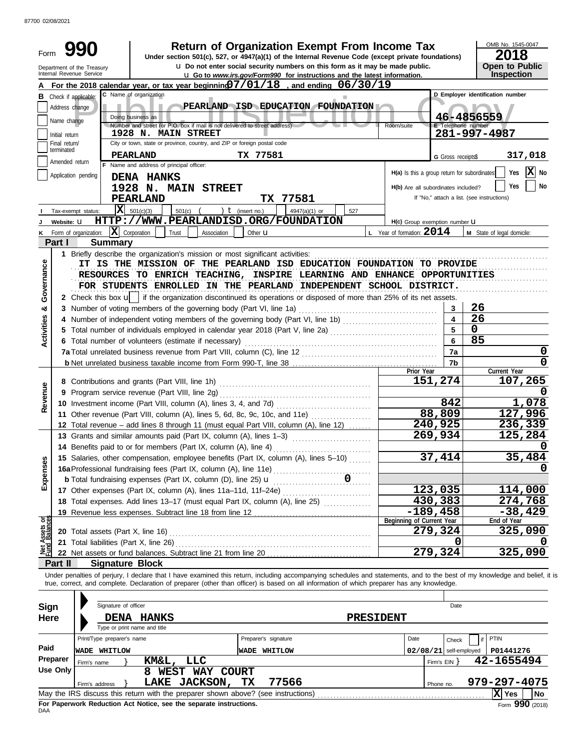| u Do not enter social security numbers on this form as it may be made public.<br>Department of the Treasury<br>Internal Revenue Service<br><b>u</b> Go to www.irs.gov/Form990 for instructions and the latest information.<br>For the 2018 calendar year, or tax year beginning $07/01/18$ , and ending $06/30/19$<br>C Name of organization<br><b>B</b> Check if applicable:<br>PEARLAND ISD EDUCATION FOUNDATION<br>Address change<br>Doing business as<br>Name change |                                              | <b>Open to Public</b><br>Inspection |
|--------------------------------------------------------------------------------------------------------------------------------------------------------------------------------------------------------------------------------------------------------------------------------------------------------------------------------------------------------------------------------------------------------------------------------------------------------------------------|----------------------------------------------|-------------------------------------|
|                                                                                                                                                                                                                                                                                                                                                                                                                                                                          |                                              |                                     |
|                                                                                                                                                                                                                                                                                                                                                                                                                                                                          |                                              |                                     |
|                                                                                                                                                                                                                                                                                                                                                                                                                                                                          |                                              | D Employer identification number    |
|                                                                                                                                                                                                                                                                                                                                                                                                                                                                          |                                              |                                     |
| Number and street (or P.O. box if mail is not delivered to street address)<br>Room/suite                                                                                                                                                                                                                                                                                                                                                                                 | E Telephone number                           | 46-4856559                          |
| <b>1928 N. MAIN STREET</b><br>Initial return                                                                                                                                                                                                                                                                                                                                                                                                                             |                                              | 281-997-4987                        |
| City or town, state or province, country, and ZIP or foreign postal code<br>Final return/<br>terminated                                                                                                                                                                                                                                                                                                                                                                  |                                              |                                     |
| TX 77581<br>PEARLAND                                                                                                                                                                                                                                                                                                                                                                                                                                                     | G Gross receipts\$                           | 317,018                             |
| Amended return<br>F Name and address of principal officer:                                                                                                                                                                                                                                                                                                                                                                                                               | H(a) Is this a group return for subordinates | $ \mathbf{X} $ No<br>Yes            |
| Application pending<br>DENA HANKS                                                                                                                                                                                                                                                                                                                                                                                                                                        |                                              |                                     |
| 1928 N. MAIN STREET                                                                                                                                                                                                                                                                                                                                                                                                                                                      | H(b) Are all subordinates included?          | Yes<br>No                           |
| TX 77581<br>PEARLAND                                                                                                                                                                                                                                                                                                                                                                                                                                                     | If "No," attach a list. (see instructions)   |                                     |
| X <br>) $t$ (insert no.)<br>501(c)(3)<br>501(c)<br>Tax-exempt status:<br>4947(a)(1) or<br>527                                                                                                                                                                                                                                                                                                                                                                            |                                              |                                     |
| HTTP://WWW.PEARLANDISD.ORG/FOUNDATION<br>Website: U                                                                                                                                                                                                                                                                                                                                                                                                                      | H(c) Group exemption number <b>U</b>         |                                     |
| $ \mathbf{X} $ Corporation<br>L Year of formation: $2014$<br>Form of organization:<br>Trust<br>Association<br>Other <b>u</b><br>ĸ                                                                                                                                                                                                                                                                                                                                        |                                              | M State of legal domicile:          |
| Part I<br><b>Summary</b>                                                                                                                                                                                                                                                                                                                                                                                                                                                 |                                              |                                     |
| 1 Briefly describe the organization's mission or most significant activities:<br>Governance<br>IT IS THE MISSION OF THE PEARLAND ISD EDUCATION FOUNDATION TO PROVIDE<br>RESOURCES TO ENRICH TEACHING, INSPIRE LEARNING AND ENHANCE OPPORTUNITIES<br>FOR STUDENTS ENROLLED IN THE PEARLAND INDEPENDENT SCHOOL DISTRICT.                                                                                                                                                   |                                              |                                     |
| 2 Check this box u   if the organization discontinued its operations or disposed of more than 25% of its net assets.                                                                                                                                                                                                                                                                                                                                                     |                                              |                                     |
| 3 Number of voting members of the governing body (Part VI, line 1a)<br>න්                                                                                                                                                                                                                                                                                                                                                                                                | 3                                            | 26                                  |
|                                                                                                                                                                                                                                                                                                                                                                                                                                                                          | 4                                            | 26                                  |
| <b>Activities</b><br>5 Total number of individuals employed in calendar year 2018 (Part V, line 2a) [[[[[[[[[[[[[[[[[[[[[[[[[[[[[[[                                                                                                                                                                                                                                                                                                                                      | 5                                            | $\mathbf{0}$                        |
| 6 Total number of volunteers (estimate if necessary)                                                                                                                                                                                                                                                                                                                                                                                                                     | 6                                            | 85                                  |
|                                                                                                                                                                                                                                                                                                                                                                                                                                                                          | 7a                                           | 0<br>0                              |
|                                                                                                                                                                                                                                                                                                                                                                                                                                                                          | 7b<br>Prior Year                             | Current Year                        |
|                                                                                                                                                                                                                                                                                                                                                                                                                                                                          | 151,274                                      | 107,265                             |
|                                                                                                                                                                                                                                                                                                                                                                                                                                                                          |                                              |                                     |
| Revenue                                                                                                                                                                                                                                                                                                                                                                                                                                                                  | 842                                          | 1,078                               |
| 11 Other revenue (Part VIII, column (A), lines 5, 6d, 8c, 9c, 10c, and 11e)                                                                                                                                                                                                                                                                                                                                                                                              | 88,809                                       | 127,996                             |
| 12 Total revenue - add lines 8 through 11 (must equal Part VIII, column (A), line 12)                                                                                                                                                                                                                                                                                                                                                                                    | 240,925                                      | 236,339                             |
| 13 Grants and similar amounts paid (Part IX, column (A), lines 1-3)                                                                                                                                                                                                                                                                                                                                                                                                      | 269,934                                      | 125,284                             |
| 14 Benefits paid to or for members (Part IX, column (A), line 4)                                                                                                                                                                                                                                                                                                                                                                                                         |                                              | 0                                   |
| 15 Salaries, other compensation, employee benefits (Part IX, column (A), lines 5-10)                                                                                                                                                                                                                                                                                                                                                                                     | 37,414                                       | 35,484                              |
| Expenses                                                                                                                                                                                                                                                                                                                                                                                                                                                                 |                                              | O                                   |
|                                                                                                                                                                                                                                                                                                                                                                                                                                                                          |                                              |                                     |
| 17 Other expenses (Part IX, column (A), lines 11a-11d, 11f-24e)                                                                                                                                                                                                                                                                                                                                                                                                          | 123,035                                      | 114,000                             |
| 18 Total expenses. Add lines 13-17 (must equal Part IX, column (A), line 25) [[[[[[[[[[[[[[[[[[[[[[[[[[[[[[[                                                                                                                                                                                                                                                                                                                                                             | 430,383                                      | 274,768                             |
| 19 Revenue less expenses. Subtract line 18 from line 12                                                                                                                                                                                                                                                                                                                                                                                                                  | $-189,458$                                   | $-38,429$                           |
|                                                                                                                                                                                                                                                                                                                                                                                                                                                                          | Beginning of Current Year<br>279,324         | End of Year                         |
| Net Assets or<br>Fund Balances                                                                                                                                                                                                                                                                                                                                                                                                                                           | 0                                            | 325,090                             |
| 21 Total liabilities (Part X, line 26)                                                                                                                                                                                                                                                                                                                                                                                                                                   | 279,324                                      | 325,090                             |
| Part II<br><b>Signature Block</b>                                                                                                                                                                                                                                                                                                                                                                                                                                        |                                              |                                     |
|                                                                                                                                                                                                                                                                                                                                                                                                                                                                          |                                              |                                     |
| Under penalties of perjury, I declare that I have examined this return, including accompanying schedules and statements, and to the best of my knowledge and belief, it is<br>true, correct, and complete. Declaration of preparer (other than officer) is based on all information of which preparer has any knowledge.<br>Signature of officer<br>Sign                                                                                                                 | Date                                         |                                     |
| <b>Here</b><br>DENA HANKS<br>PRESIDENT                                                                                                                                                                                                                                                                                                                                                                                                                                   |                                              |                                     |
| Type or print name and title<br>Date                                                                                                                                                                                                                                                                                                                                                                                                                                     |                                              | PTIN                                |
| Print/Type preparer's name<br>Preparer's signature<br>Paid                                                                                                                                                                                                                                                                                                                                                                                                               | Check                                        |                                     |
| WADE WHITLOW<br><b>WADE WHITLOW</b><br>Preparer                                                                                                                                                                                                                                                                                                                                                                                                                          | $02/08/21$ self-employed                     | P01441276                           |
| KM&L,<br><b>LLC</b><br>Firm's name<br><b>Use Only</b><br>8 WEST WAY COURT                                                                                                                                                                                                                                                                                                                                                                                                | Firm's $EIN$ }                               | 42-1655494                          |
| LAKE JACKSON, TX<br>77566                                                                                                                                                                                                                                                                                                                                                                                                                                                |                                              | 979-297-4075                        |
| Firm's address                                                                                                                                                                                                                                                                                                                                                                                                                                                           | Phone no.                                    | X Yes<br><b>No</b>                  |

| LAKE JACKSON, TX<br>Firm's address                                                | 77566 | Phone no. | 979-297-4075    |      |
|-----------------------------------------------------------------------------------|-------|-----------|-----------------|------|
| May the IRS discuss this return with the preparer shown above? (see instructions) |       |           | $ X $ Yes       | l No |
| For Paperwork Reduction Act Notice, see the separate instructions.<br>DAA         |       |           | Form 990 (2018) |      |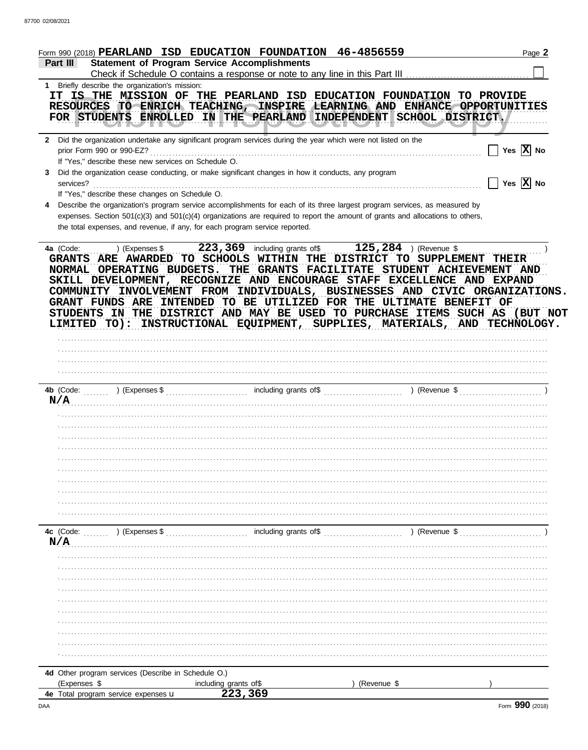| Form 990 (2018) PEARLAND ISD EDUCATION FOUNDATION 46-4856559                                                                                                                                                                                                                                                                                                                              |                       |             | Page 2                                                |
|-------------------------------------------------------------------------------------------------------------------------------------------------------------------------------------------------------------------------------------------------------------------------------------------------------------------------------------------------------------------------------------------|-----------------------|-------------|-------------------------------------------------------|
| <b>Statement of Program Service Accomplishments</b><br>Part III                                                                                                                                                                                                                                                                                                                           |                       |             |                                                       |
| 1 Briefly describe the organization's mission:                                                                                                                                                                                                                                                                                                                                            |                       |             |                                                       |
| IT IS THE MISSION OF THE PEARLAND ISD EDUCATION FOUNDATION TO PROVIDE                                                                                                                                                                                                                                                                                                                     |                       |             |                                                       |
| RESOURCES TO ENRICH TEACHING, INSPIRE LEARNING AND ENHANCE OPPORTUNITIES                                                                                                                                                                                                                                                                                                                  |                       |             |                                                       |
| FOR STUDENTS ENROLLED IN THE PEARLAND INDEPENDENT SCHOOL DISTRICT.                                                                                                                                                                                                                                                                                                                        |                       |             |                                                       |
|                                                                                                                                                                                                                                                                                                                                                                                           |                       |             |                                                       |
| 2 Did the organization undertake any significant program services during the year which were not listed on the                                                                                                                                                                                                                                                                            |                       |             |                                                       |
| prior Form 990 or 990-EZ?                                                                                                                                                                                                                                                                                                                                                                 |                       |             | Yes $\overline{X}$ No                                 |
| If "Yes," describe these new services on Schedule O.                                                                                                                                                                                                                                                                                                                                      |                       |             |                                                       |
| Did the organization cease conducting, or make significant changes in how it conducts, any program                                                                                                                                                                                                                                                                                        |                       |             |                                                       |
| services?<br><u>[</u> [11] Services?<br><u>[11] Services?</u>                                                                                                                                                                                                                                                                                                                             |                       |             | $\overline{\phantom{a}}$ Yes $\overline{\text{X}}$ No |
| If "Yes," describe these changes on Schedule O.                                                                                                                                                                                                                                                                                                                                           |                       |             |                                                       |
| Describe the organization's program service accomplishments for each of its three largest program services, as measured by                                                                                                                                                                                                                                                                |                       |             |                                                       |
| expenses. Section 501(c)(3) and 501(c)(4) organizations are required to report the amount of grants and allocations to others,<br>the total expenses, and revenue, if any, for each program service reported.                                                                                                                                                                             |                       |             |                                                       |
|                                                                                                                                                                                                                                                                                                                                                                                           |                       |             |                                                       |
| SKILL DEVELOPMENT, RECOGNIZE AND ENCOURAGE STAFF EXCELLENCE AND EXPAND<br>COMMUNITY INVOLVEMENT FROM INDIVIDUALS, BUSINESSES AND CIVIC ORGANIZATIONS.<br>GRANT FUNDS ARE INTENDED TO BE UTILIZED FOR THE ULTIMATE BENEFIT OF<br>STUDENTS IN THE DISTRICT AND MAY BE USED TO PURCHASE ITEMS SUCH AS (BUT NOT<br>LIMITED TO): INSTRUCTIONAL EQUIPMENT, SUPPLIES, MATERIALS, AND TECHNOLOGY. |                       |             |                                                       |
| N/A                                                                                                                                                                                                                                                                                                                                                                                       |                       |             |                                                       |
|                                                                                                                                                                                                                                                                                                                                                                                           |                       |             |                                                       |
|                                                                                                                                                                                                                                                                                                                                                                                           |                       |             |                                                       |
|                                                                                                                                                                                                                                                                                                                                                                                           |                       |             |                                                       |
|                                                                                                                                                                                                                                                                                                                                                                                           |                       |             |                                                       |
|                                                                                                                                                                                                                                                                                                                                                                                           |                       |             |                                                       |
|                                                                                                                                                                                                                                                                                                                                                                                           |                       |             |                                                       |
|                                                                                                                                                                                                                                                                                                                                                                                           |                       |             |                                                       |
|                                                                                                                                                                                                                                                                                                                                                                                           |                       |             |                                                       |
|                                                                                                                                                                                                                                                                                                                                                                                           |                       |             |                                                       |
|                                                                                                                                                                                                                                                                                                                                                                                           |                       |             |                                                       |
| N/A                                                                                                                                                                                                                                                                                                                                                                                       |                       |             |                                                       |
|                                                                                                                                                                                                                                                                                                                                                                                           |                       |             |                                                       |
|                                                                                                                                                                                                                                                                                                                                                                                           |                       |             |                                                       |
|                                                                                                                                                                                                                                                                                                                                                                                           |                       |             |                                                       |
|                                                                                                                                                                                                                                                                                                                                                                                           |                       |             |                                                       |
|                                                                                                                                                                                                                                                                                                                                                                                           |                       |             |                                                       |
|                                                                                                                                                                                                                                                                                                                                                                                           |                       |             |                                                       |
|                                                                                                                                                                                                                                                                                                                                                                                           |                       |             |                                                       |
|                                                                                                                                                                                                                                                                                                                                                                                           |                       |             |                                                       |
|                                                                                                                                                                                                                                                                                                                                                                                           |                       |             |                                                       |
|                                                                                                                                                                                                                                                                                                                                                                                           |                       |             |                                                       |
| 4d Other program services (Describe in Schedule O.)                                                                                                                                                                                                                                                                                                                                       |                       |             |                                                       |
| (Expenses \$                                                                                                                                                                                                                                                                                                                                                                              | including grants of\$ | (Revenue \$ |                                                       |
| 4e Total program service expenses u                                                                                                                                                                                                                                                                                                                                                       | 223,369               |             |                                                       |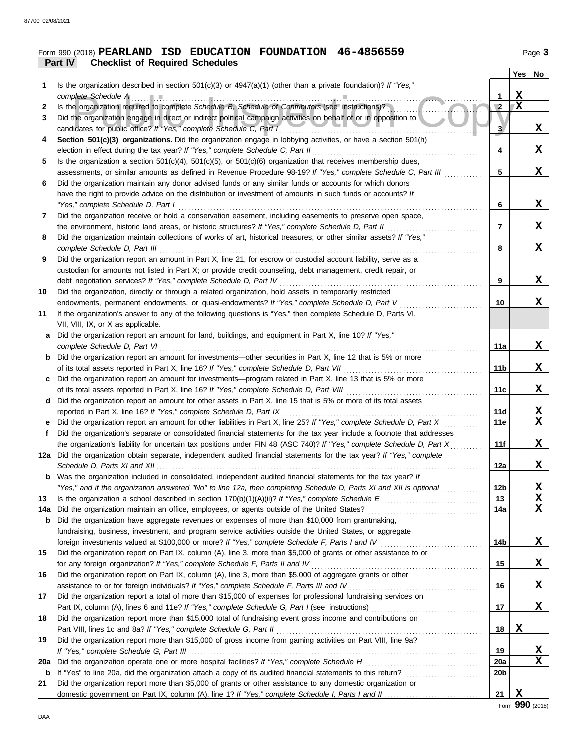## **Part IV Checklist of Required Schedules Form 990 (2018) PEARLAND ISD EDUCATION FOUNDATION 46-4856559**

|          |                                                                                                                                                                                   |                 | $Yes \mid No$ |   |
|----------|-----------------------------------------------------------------------------------------------------------------------------------------------------------------------------------|-----------------|---------------|---|
| 1        | Is the organization described in section $501(c)(3)$ or $4947(a)(1)$ (other than a private foundation)? If "Yes,"                                                                 |                 |               |   |
|          | complete Schedule A<br>والمتوانية والمتحدث والمتحدث والمتحدث والمستحدث                                                                                                            | 1               | X             |   |
| 2        | Is the organization required to complete Schedule B, Schedule of Contributors (see instructions)?                                                                                 | $\overline{2}$  | $\mathbf{X}$  |   |
| 3        | Did the organization engage in direct or indirect political campaign activities on behalf of or in opposition to                                                                  |                 |               |   |
|          | candidates for public office? If "Yes," complete Schedule C, Part I                                                                                                               | 3               |               | X |
| 4        | Section 501(c)(3) organizations. Did the organization engage in lobbying activities, or have a section 501(h)                                                                     |                 |               |   |
|          | election in effect during the tax year? If "Yes," complete Schedule C, Part II                                                                                                    | 4               |               | X |
| 5        | Is the organization a section $501(c)(4)$ , $501(c)(5)$ , or $501(c)(6)$ organization that receives membership dues,                                                              |                 |               |   |
|          | assessments, or similar amounts as defined in Revenue Procedure 98-19? If "Yes," complete Schedule C, Part III                                                                    | 5               |               | X |
| 6        | Did the organization maintain any donor advised funds or any similar funds or accounts for which donors                                                                           |                 |               |   |
|          | have the right to provide advice on the distribution or investment of amounts in such funds or accounts? If                                                                       |                 |               |   |
|          | "Yes," complete Schedule D, Part I                                                                                                                                                | 6               |               | X |
| 7        | Did the organization receive or hold a conservation easement, including easements to preserve open space,                                                                         |                 |               |   |
|          | the environment, historic land areas, or historic structures? If "Yes," complete Schedule D, Part II                                                                              | 7               |               | X |
| 8        | Did the organization maintain collections of works of art, historical treasures, or other similar assets? If "Yes,"                                                               |                 |               | X |
|          | complete Schedule D, Part III<br>Did the organization report an amount in Part X, line 21, for escrow or custodial account liability, serve as a                                  | 8               |               |   |
| 9        |                                                                                                                                                                                   |                 |               |   |
|          | custodian for amounts not listed in Part X; or provide credit counseling, debt management, credit repair, or<br>debt negotiation services? If "Yes," complete Schedule D, Part IV | 9               |               | X |
| 10       | Did the organization, directly or through a related organization, hold assets in temporarily restricted                                                                           |                 |               |   |
|          | endowments, permanent endowments, or quasi-endowments? If "Yes," complete Schedule D, Part V                                                                                      | 10              |               | X |
| 11       | If the organization's answer to any of the following questions is "Yes," then complete Schedule D, Parts VI,                                                                      |                 |               |   |
|          | VII, VIII, IX, or X as applicable.                                                                                                                                                |                 |               |   |
| a        | Did the organization report an amount for land, buildings, and equipment in Part X, line 10? If "Yes,"                                                                            |                 |               |   |
|          | complete Schedule D, Part VI                                                                                                                                                      | 11a             |               | X |
| b        | Did the organization report an amount for investments—other securities in Part X, line 12 that is 5% or more                                                                      |                 |               |   |
|          | of its total assets reported in Part X, line 16? If "Yes," complete Schedule D, Part VII                                                                                          | 11b             |               | X |
| c        | Did the organization report an amount for investments—program related in Part X, line 13 that is 5% or more                                                                       |                 |               |   |
|          | of its total assets reported in Part X, line 16? If "Yes," complete Schedule D, Part VIII                                                                                         | 11c             |               | X |
| d        | Did the organization report an amount for other assets in Part X, line 15 that is 5% or more of its total assets                                                                  |                 |               |   |
|          | reported in Part X, line 16? If "Yes," complete Schedule D, Part IX                                                                                                               | 11d             |               | X |
| е        | Did the organization report an amount for other liabilities in Part X, line 25? If "Yes," complete Schedule D, Part X                                                             | 11e             |               | X |
|          | Did the organization's separate or consolidated financial statements for the tax year include a footnote that addresses                                                           |                 |               |   |
|          | the organization's liability for uncertain tax positions under FIN 48 (ASC 740)? If "Yes," complete Schedule D, Part X                                                            | 11f             |               | X |
|          | 12a Did the organization obtain separate, independent audited financial statements for the tax year? If "Yes," complete                                                           |                 |               |   |
|          | Schedule D, Parts XI and XII                                                                                                                                                      | 12a             |               | X |
|          | Was the organization included in consolidated, independent audited financial statements for the tax year? If                                                                      |                 |               |   |
|          | "Yes," and if the organization answered "No" to line 12a, then completing Schedule D, Parts XI and XII is optional                                                                | 12 <sub>b</sub> |               | X |
| 13       |                                                                                                                                                                                   | 13              |               | X |
| 14a      | Did the organization maintain an office, employees, or agents outside of the United States?                                                                                       | 14a             |               | X |
| b        | Did the organization have aggregate revenues or expenses of more than \$10,000 from grantmaking,                                                                                  |                 |               |   |
|          | fundraising, business, investment, and program service activities outside the United States, or aggregate                                                                         |                 |               |   |
|          | foreign investments valued at \$100,000 or more? If "Yes," complete Schedule F, Parts I and IV                                                                                    | 14b             |               | X |
| 15       | Did the organization report on Part IX, column (A), line 3, more than \$5,000 of grants or other assistance to or                                                                 |                 |               |   |
|          | for any foreign organization? If "Yes," complete Schedule F, Parts II and IV                                                                                                      | 15              |               | X |
| 16       | Did the organization report on Part IX, column (A), line 3, more than \$5,000 of aggregate grants or other                                                                        |                 |               |   |
|          | assistance to or for foreign individuals? If "Yes," complete Schedule F, Parts III and IV                                                                                         | 16              |               | X |
| 17       | Did the organization report a total of more than \$15,000 of expenses for professional fundraising services on                                                                    |                 |               |   |
|          |                                                                                                                                                                                   | 17              |               | X |
| 18       | Did the organization report more than \$15,000 total of fundraising event gross income and contributions on                                                                       |                 |               |   |
|          | Part VIII, lines 1c and 8a? If "Yes," complete Schedule G, Part II                                                                                                                | 18              | X             |   |
| 19       | Did the organization report more than \$15,000 of gross income from gaming activities on Part VIII, line 9a?                                                                      | 19              |               | X |
|          | Did the organization operate one or more hospital facilities? If "Yes," complete Schedule H                                                                                       | 20a             |               | X |
| 20a<br>b |                                                                                                                                                                                   | 20b             |               |   |
| 21       | Did the organization report more than \$5,000 of grants or other assistance to any domestic organization or                                                                       |                 |               |   |
|          |                                                                                                                                                                                   | 21              | X             |   |
|          |                                                                                                                                                                                   |                 |               |   |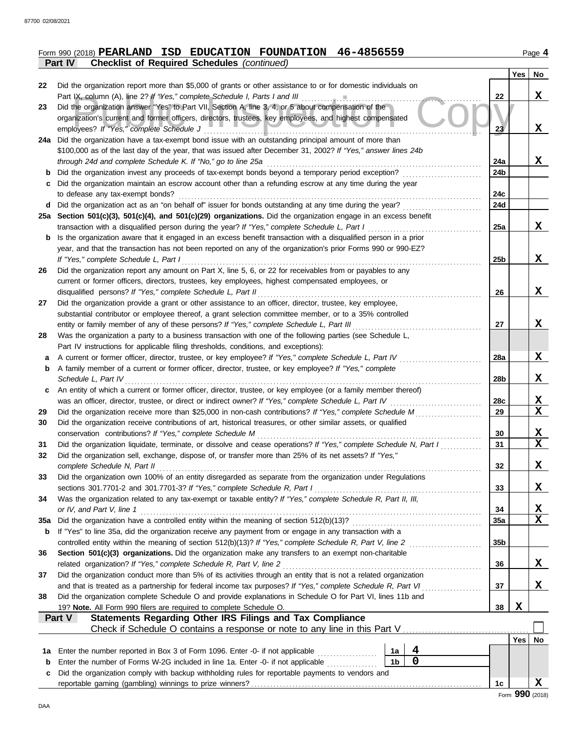|                                                            |  | Form 990 (2018) PEARLAND ISD EDUCATION FOUNDATION 46-4856559 | Page 4 |
|------------------------------------------------------------|--|--------------------------------------------------------------|--------|
| <b>Part IV</b> Checklist of Required Schedules (continued) |  |                                                              |        |

|        |                                                                                                                                                                                                     |                 | <b>Yes</b>       | No |
|--------|-----------------------------------------------------------------------------------------------------------------------------------------------------------------------------------------------------|-----------------|------------------|----|
| 22     | Did the organization report more than \$5,000 of grants or other assistance to or for domestic individuals on                                                                                       |                 |                  |    |
|        |                                                                                                                                                                                                     | 22              |                  | X  |
| 23     | Did the organization answer "Yes" to Part VII, Section A, line 3, 4, or 5 about compensation of the                                                                                                 |                 |                  |    |
|        | organization's current and former officers, directors, trustees, key employees, and highest compensated                                                                                             |                 |                  |    |
|        | employees? If "Yes," complete Schedule J                                                                                                                                                            | 23 <sub>2</sub> |                  | X  |
|        | 24a Did the organization have a tax-exempt bond issue with an outstanding principal amount of more than                                                                                             |                 |                  |    |
|        | \$100,000 as of the last day of the year, that was issued after December 31, 2002? If "Yes," answer lines 24b                                                                                       |                 |                  |    |
|        | Did the organization invest any proceeds of tax-exempt bonds beyond a temporary period exception?                                                                                                   | 24a<br>24b      |                  | X  |
| b<br>c | Did the organization maintain an escrow account other than a refunding escrow at any time during the year                                                                                           |                 |                  |    |
|        | to defease any tax-exempt bonds?                                                                                                                                                                    | 24c             |                  |    |
|        | d Did the organization act as an "on behalf of" issuer for bonds outstanding at any time during the year?                                                                                           | 24d             |                  |    |
|        | 25a Section 501(c)(3), 501(c)(4), and 501(c)(29) organizations. Did the organization engage in an excess benefit                                                                                    |                 |                  |    |
|        | transaction with a disqualified person during the year? If "Yes," complete Schedule L, Part I                                                                                                       | 25a             |                  | X  |
|        | <b>b</b> Is the organization aware that it engaged in an excess benefit transaction with a disqualified person in a prior                                                                           |                 |                  |    |
|        | year, and that the transaction has not been reported on any of the organization's prior Forms 990 or 990-EZ?                                                                                        |                 |                  |    |
|        | If "Yes," complete Schedule L, Part I                                                                                                                                                               | 25 <sub>b</sub> |                  | X  |
| 26     | Did the organization report any amount on Part X, line 5, 6, or 22 for receivables from or payables to any                                                                                          |                 |                  |    |
|        | current or former officers, directors, trustees, key employees, highest compensated employees, or                                                                                                   |                 |                  |    |
|        | disqualified persons? If "Yes," complete Schedule L, Part II                                                                                                                                        | 26              |                  | X  |
| 27     | Did the organization provide a grant or other assistance to an officer, director, trustee, key employee,                                                                                            |                 |                  |    |
|        | substantial contributor or employee thereof, a grant selection committee member, or to a 35% controlled<br>entity or family member of any of these persons? If "Yes," complete Schedule L, Part III | 27              |                  | X  |
| 28     | Was the organization a party to a business transaction with one of the following parties (see Schedule L,                                                                                           |                 |                  |    |
|        | Part IV instructions for applicable filing thresholds, conditions, and exceptions):                                                                                                                 |                 |                  |    |
| a      | A current or former officer, director, trustee, or key employee? If "Yes," complete Schedule L, Part IV                                                                                             | 28a             |                  | X  |
| b      | A family member of a current or former officer, director, trustee, or key employee? If "Yes," complete                                                                                              |                 |                  |    |
|        | Schedule L, Part IV                                                                                                                                                                                 | 28b             |                  | X  |
| c      | An entity of which a current or former officer, director, trustee, or key employee (or a family member thereof)                                                                                     |                 |                  |    |
|        |                                                                                                                                                                                                     | 28c             |                  | X  |
| 29     |                                                                                                                                                                                                     | 29              |                  | X  |
| 30     | Did the organization receive contributions of art, historical treasures, or other similar assets, or qualified                                                                                      |                 |                  |    |
|        |                                                                                                                                                                                                     | 30              |                  | X  |
| 31     | Did the organization liquidate, terminate, or dissolve and cease operations? If "Yes," complete Schedule N, Part I                                                                                  | 31              |                  | X  |
| 32     | Did the organization sell, exchange, dispose of, or transfer more than 25% of its net assets? If "Yes,"                                                                                             |                 |                  | X  |
| 33     | Did the organization own 100% of an entity disregarded as separate from the organization under Regulations                                                                                          | 32              |                  |    |
|        | sections 301.7701-2 and 301.7701-3? If "Yes," complete Schedule R, Part I                                                                                                                           | 33              |                  | X  |
| 34     | Was the organization related to any tax-exempt or taxable entity? If "Yes," complete Schedule R, Part II, III,                                                                                      |                 |                  |    |
|        | or IV, and Part V, line 1                                                                                                                                                                           | 34              |                  | X  |
| 35a    |                                                                                                                                                                                                     | 35a             |                  | X  |
| b      | If "Yes" to line 35a, did the organization receive any payment from or engage in any transaction with a                                                                                             |                 |                  |    |
|        |                                                                                                                                                                                                     | 35b             |                  |    |
| 36     | Section 501(c)(3) organizations. Did the organization make any transfers to an exempt non-charitable                                                                                                |                 |                  |    |
|        | related organization? If "Yes," complete Schedule R, Part V, line 2                                                                                                                                 | 36              |                  | X  |
| 37     | Did the organization conduct more than 5% of its activities through an entity that is not a related organization                                                                                    |                 |                  |    |
|        | and that is treated as a partnership for federal income tax purposes? If "Yes," complete Schedule R, Part VI                                                                                        | 37              |                  | X  |
| 38     | Did the organization complete Schedule O and provide explanations in Schedule O for Part VI, lines 11b and                                                                                          |                 | X                |    |
|        | 19? Note. All Form 990 filers are required to complete Schedule O.<br>Statements Regarding Other IRS Filings and Tax Compliance<br>Part V                                                           | 38              |                  |    |
|        |                                                                                                                                                                                                     |                 |                  |    |
|        |                                                                                                                                                                                                     |                 | Yes <sub>1</sub> | No |
| 1a     | 4<br>Enter the number reported in Box 3 of Form 1096. Enter -0- if not applicable<br>1a<br>.                                                                                                        |                 |                  |    |
| b      | $\mathbf 0$<br>1 <sub>b</sub><br>Enter the number of Forms W-2G included in line 1a. Enter -0- if not applicable <i>manument</i>                                                                    |                 |                  |    |
| c      | Did the organization comply with backup withholding rules for reportable payments to vendors and                                                                                                    |                 |                  |    |
|        |                                                                                                                                                                                                     | 1c              |                  | X  |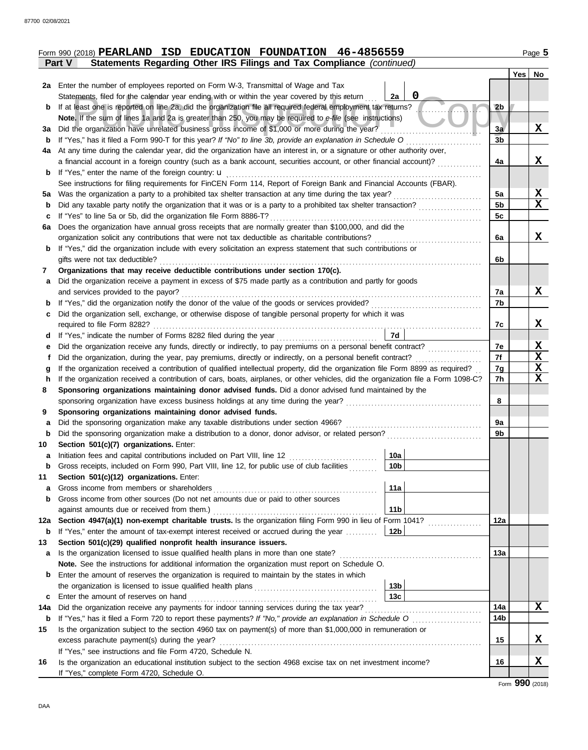|     | Form 990 (2018) PEARLAND ISD EDUCATION FOUNDATION $46-4856559$                                                                                               |                 |                             |                  | Page 5      |
|-----|--------------------------------------------------------------------------------------------------------------------------------------------------------------|-----------------|-----------------------------|------------------|-------------|
|     | Statements Regarding Other IRS Filings and Tax Compliance (continued)<br>Part V                                                                              |                 |                             |                  |             |
|     |                                                                                                                                                              |                 |                             | Yes <sub>1</sub> | No          |
|     | 2a Enter the number of employees reported on Form W-3, Transmittal of Wage and Tax                                                                           |                 |                             |                  |             |
|     | Statements, filed for the calendar year ending with or within the year covered by this return                                                                | 0<br>2a         |                             |                  |             |
| b   | If at least one is reported on line 2a, did the organization file all required federal employment tax returns?                                               |                 | 2 <sub>b</sub>              |                  |             |
|     | Note. If the sum of lines 1a and 2a is greater than 250, you may be required to e-file (see instructions)                                                    |                 |                             |                  |             |
| За  | Did the organization have unrelated business gross income of \$1,000 or more during the year?                                                                |                 | 3a                          |                  | X           |
| b   | If "Yes," has it filed a Form 990-T for this year? If "No" to line 3b, provide an explanation in Schedule O                                                  |                 | $\overline{3}$ <sub>b</sub> |                  |             |
| 4a  | At any time during the calendar year, did the organization have an interest in, or a signature or other authority over,                                      |                 |                             |                  |             |
|     | a financial account in a foreign country (such as a bank account, securities account, or other financial account)?                                           |                 | 4a                          |                  | X           |
| b   | If "Yes," enter the name of the foreign country: <b>u</b>                                                                                                    |                 |                             |                  |             |
|     | See instructions for filing requirements for FinCEN Form 114, Report of Foreign Bank and Financial Accounts (FBAR).                                          |                 |                             |                  |             |
| 5а  | Was the organization a party to a prohibited tax shelter transaction at any time during the tax year?                                                        |                 | 5a                          |                  | X           |
| b   | Did any taxable party notify the organization that it was or is a party to a prohibited tax shelter transaction?                                             |                 | 5 <sub>b</sub>              |                  | $\mathbf x$ |
| c   | If "Yes" to line 5a or 5b, did the organization file Form 8886-T?                                                                                            |                 | 5c                          |                  |             |
| 6a  | Does the organization have annual gross receipts that are normally greater than \$100,000, and did the                                                       |                 |                             |                  |             |
|     | organization solicit any contributions that were not tax deductible as charitable contributions?                                                             |                 | 6a                          |                  | X           |
| b   | If "Yes," did the organization include with every solicitation an express statement that such contributions or                                               |                 |                             |                  |             |
|     | gifts were not tax deductible?                                                                                                                               |                 | 6b                          |                  |             |
| 7   | Organizations that may receive deductible contributions under section 170(c).                                                                                |                 |                             |                  |             |
| a   | Did the organization receive a payment in excess of \$75 made partly as a contribution and partly for goods                                                  |                 |                             |                  | X           |
|     | and services provided to the payor?<br>If "Yes," did the organization notify the donor of the value of the goods or services provided?                       |                 | 7a<br>7b                    |                  |             |
| b   | Did the organization sell, exchange, or otherwise dispose of tangible personal property for which it was                                                     |                 |                             |                  |             |
| c   |                                                                                                                                                              |                 | 7c                          |                  | X           |
| d   | If "Yes," indicate the number of Forms 8282 filed during the year                                                                                            | 7d              |                             |                  |             |
| е   |                                                                                                                                                              |                 | 7e                          |                  | X           |
| f   | Did the organization, during the year, pay premiums, directly or indirectly, on a personal benefit contract?                                                 |                 | 7f                          |                  | $\mathbf X$ |
| g   | If the organization received a contribution of qualified intellectual property, did the organization file Form 8899 as required?                             |                 | 7g                          |                  | $\mathbf X$ |
| h   | If the organization received a contribution of cars, boats, airplanes, or other vehicles, did the organization file a Form 1098-C?                           |                 | 7h                          |                  | X           |
| 8   | Sponsoring organizations maintaining donor advised funds. Did a donor advised fund maintained by the                                                         |                 |                             |                  |             |
|     |                                                                                                                                                              |                 | 8                           |                  |             |
| 9   | Sponsoring organizations maintaining donor advised funds.                                                                                                    |                 |                             |                  |             |
| a   | Did the sponsoring organization make any taxable distributions under section 4966?                                                                           |                 | 9a                          |                  |             |
| b   | Did the sponsoring organization make a distribution to a donor, donor advisor, or related person?                                                            |                 | 9b                          |                  |             |
| 10  | Section 501(c)(7) organizations. Enter:                                                                                                                      |                 |                             |                  |             |
|     |                                                                                                                                                              | 10a             |                             |                  |             |
| b   | Gross receipts, included on Form 990, Part VIII, line 12, for public use of club facilities                                                                  | 10b             |                             |                  |             |
| 11  | Section 501(c)(12) organizations. Enter:                                                                                                                     |                 |                             |                  |             |
| a   | Gross income from members or shareholders                                                                                                                    | 11a             |                             |                  |             |
| b   | Gross income from other sources (Do not net amounts due or paid to other sources                                                                             |                 |                             |                  |             |
|     | against amounts due or received from them.)                                                                                                                  | 11 <sub>b</sub> |                             |                  |             |
| 12a | Section 4947(a)(1) non-exempt charitable trusts. Is the organization filing Form 990 in lieu of Form 1041?                                                   |                 | 12a                         |                  |             |
| b   | If "Yes," enter the amount of tax-exempt interest received or accrued during the year                                                                        | 12 <sub>b</sub> |                             |                  |             |
| 13  | Section 501(c)(29) qualified nonprofit health insurance issuers.                                                                                             |                 |                             |                  |             |
| a   | Is the organization licensed to issue qualified health plans in more than one state?                                                                         |                 | 13а                         |                  |             |
|     | Note. See the instructions for additional information the organization must report on Schedule O.                                                            |                 |                             |                  |             |
| b   | Enter the amount of reserves the organization is required to maintain by the states in which                                                                 |                 |                             |                  |             |
|     |                                                                                                                                                              | 13 <sub>b</sub> |                             |                  |             |
| c   | Enter the amount of reserves on hand                                                                                                                         | 13c             | 14a                         |                  |             |
| 14a | Did the organization receive any payments for indoor tanning services during the tax year?                                                                   |                 |                             |                  | x           |
| b   |                                                                                                                                                              |                 | 14b                         |                  |             |
| 15  | Is the organization subject to the section 4960 tax on payment(s) of more than \$1,000,000 in remuneration or                                                |                 |                             |                  |             |
|     | excess parachute payment(s) during the year?                                                                                                                 |                 | 15                          |                  | X.          |
| 16  | If "Yes," see instructions and file Form 4720, Schedule N.                                                                                                   |                 | 16                          |                  | X           |
|     | Is the organization an educational institution subject to the section 4968 excise tax on net investment income?<br>If "Yes," complete Form 4720, Schedule O. |                 |                             |                  |             |
|     |                                                                                                                                                              |                 |                             |                  |             |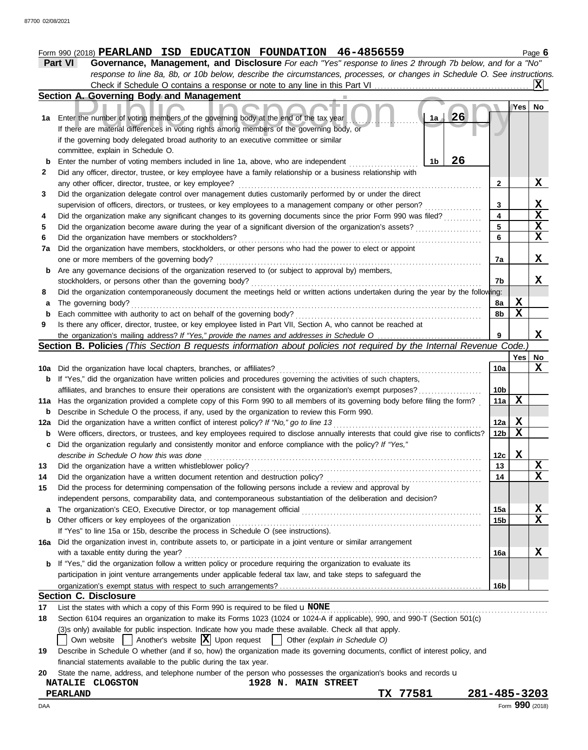|  |  | Form 990 (2018) PEARLAND ISD EDUCATION FOUNDATION $46-4856559$ | Page O |
|--|--|----------------------------------------------------------------|--------|
|  |  |                                                                |        |

| Part VI | Governance, Management, and Disclosure For each "Yes" response to lines 2 through 7b below, and for a "No"                |  |
|---------|---------------------------------------------------------------------------------------------------------------------------|--|
|         | response to line 8a, 8b, or 10b below, describe the circumstances, processes, or changes in Schedule O. See instructions. |  |
|         |                                                                                                                           |  |

|     | Crieck in Scriedule O contains a response or note to any line in this Part VI<br>Section A. Governing Body and Management                                                                                                               |                 |             |               |
|-----|-----------------------------------------------------------------------------------------------------------------------------------------------------------------------------------------------------------------------------------------|-----------------|-------------|---------------|
|     |                                                                                                                                                                                                                                         |                 | Yes   No    |               |
|     | 26<br>1a Enter the number of voting members of the governing body at the end of the tax year<br>1a                                                                                                                                      |                 |             |               |
|     | If there are material differences in voting rights among members of the governing body, or                                                                                                                                              |                 |             |               |
|     | if the governing body delegated broad authority to an executive committee or similar                                                                                                                                                    |                 |             |               |
|     | committee, explain in Schedule O.                                                                                                                                                                                                       |                 |             |               |
| b   | 26<br>Enter the number of voting members included in line 1a, above, who are independent<br>1b                                                                                                                                          |                 |             |               |
| 2   | Did any officer, director, trustee, or key employee have a family relationship or a business relationship with                                                                                                                          |                 |             |               |
|     | any other officer, director, trustee, or key employee?                                                                                                                                                                                  | 2               |             | X             |
| 3   | Did the organization delegate control over management duties customarily performed by or under the direct                                                                                                                               |                 |             |               |
|     | supervision of officers, directors, or trustees, or key employees to a management company or other person?                                                                                                                              | 3               |             | <u>x</u>      |
| 4   | Did the organization make any significant changes to its governing documents since the prior Form 990 was filed?                                                                                                                        | 4               |             | $\mathbf x$   |
| 5   | Did the organization become aware during the year of a significant diversion of the organization's assets?                                                                                                                              | 5               |             | X             |
| 6   | Did the organization have members or stockholders?                                                                                                                                                                                      | 6               |             | X             |
| 7a  | Did the organization have members, stockholders, or other persons who had the power to elect or appoint                                                                                                                                 |                 |             |               |
|     | one or more members of the governing body?                                                                                                                                                                                              | 7a              |             | X             |
| b   | Are any governance decisions of the organization reserved to (or subject to approval by) members,                                                                                                                                       |                 |             |               |
|     | stockholders, or persons other than the governing body?                                                                                                                                                                                 | 7b              |             | X             |
| 8   | Did the organization contemporaneously document the meetings held or written actions undertaken during the year by the following:                                                                                                       |                 |             |               |
| а   | The governing body?                                                                                                                                                                                                                     | 8a              | X           |               |
| b   | Each committee with authority to act on behalf of the governing body?                                                                                                                                                                   | 8b              | X           |               |
| 9   | Is there any officer, director, trustee, or key employee listed in Part VII, Section A, who cannot be reached at                                                                                                                        |                 |             |               |
|     |                                                                                                                                                                                                                                         | 9               |             | X             |
|     | Section B. Policies (This Section B requests information about policies not required by the Internal Revenue Code.                                                                                                                      |                 |             |               |
|     |                                                                                                                                                                                                                                         |                 |             | Yes   No<br>X |
|     | 10a Did the organization have local chapters, branches, or affiliates?<br><b>b</b> If "Yes," did the organization have written policies and procedures governing the activities of such chapters,                                       | 10a             |             |               |
|     | affiliates, and branches to ensure their operations are consistent with the organization's exempt purposes?                                                                                                                             | 10 <sub>b</sub> |             |               |
|     | 11a Has the organization provided a complete copy of this Form 990 to all members of its governing body before filing the form?                                                                                                         | 11a             | $\mathbf X$ |               |
| b   | Describe in Schedule O the process, if any, used by the organization to review this Form 990.                                                                                                                                           |                 |             |               |
| 12a | Did the organization have a written conflict of interest policy? If "No," go to line 13                                                                                                                                                 | 12a             | X           |               |
| b   | Were officers, directors, or trustees, and key employees required to disclose annually interests that could give rise to conflicts?                                                                                                     | 12 <sub>b</sub> | $\mathbf x$ |               |
| c   | Did the organization regularly and consistently monitor and enforce compliance with the policy? If "Yes,"                                                                                                                               |                 |             |               |
|     | describe in Schedule O how this was done                                                                                                                                                                                                | 12c             | X           |               |
| 13  | Did the organization have a written whistleblower policy?                                                                                                                                                                               | 13              |             | X             |
| 14  | Did the organization have a written document retention and destruction policy?                                                                                                                                                          | 14              |             | X             |
| 15  | Did the process for determining compensation of the following persons include a review and approval by                                                                                                                                  |                 |             |               |
|     | independent persons, comparability data, and contemporaneous substantiation of the deliberation and decision?                                                                                                                           |                 |             |               |
| a   | The organization's CEO, Executive Director, or top management official                                                                                                                                                                  | 15a             |             | <u>x</u>      |
| b   | Other officers or key employees of the organization                                                                                                                                                                                     | 15b             |             | X             |
|     | If "Yes" to line 15a or 15b, describe the process in Schedule O (see instructions).                                                                                                                                                     |                 |             |               |
| 16а | Did the organization invest in, contribute assets to, or participate in a joint venture or similar arrangement                                                                                                                          |                 |             |               |
|     | with a taxable entity during the year?                                                                                                                                                                                                  | 16a             |             | X             |
|     | If "Yes," did the organization follow a written policy or procedure requiring the organization to evaluate its                                                                                                                          |                 |             |               |
|     | participation in joint venture arrangements under applicable federal tax law, and take steps to safeguard the                                                                                                                           |                 |             |               |
|     |                                                                                                                                                                                                                                         | 16 <sub>b</sub> |             |               |
|     | <b>Section C. Disclosure</b>                                                                                                                                                                                                            |                 |             |               |
| 17  | List the states with which a copy of this Form 990 is required to be filed $\mathbf u$ NONE                                                                                                                                             |                 |             |               |
| 18  | Section 6104 requires an organization to make its Forms 1023 (1024 or 1024-A if applicable), 990, and 990-T (Section 501(c)<br>(3)s only) available for public inspection. Indicate how you made these available. Check all that apply. |                 |             |               |
|     |                                                                                                                                                                                                                                         |                 |             |               |
|     | Another's website $ \mathbf{X} $ Upon request<br>Own website<br>Other (explain in Schedule O)                                                                                                                                           |                 |             |               |

**19** Describe in Schedule O whether (and if so, how) the organization made its governing documents, conflict of interest policy, and financial statements available to the public during the tax year.

|  | 20 State the name, address, and telephone number of the person who possesses the organization's books and records u |  |  |  |  |  |  |  |  |  |  |  |  |
|--|---------------------------------------------------------------------------------------------------------------------|--|--|--|--|--|--|--|--|--|--|--|--|
|--|---------------------------------------------------------------------------------------------------------------------|--|--|--|--|--|--|--|--|--|--|--|--|

**PEARLAND TX 77581 281-485-3203**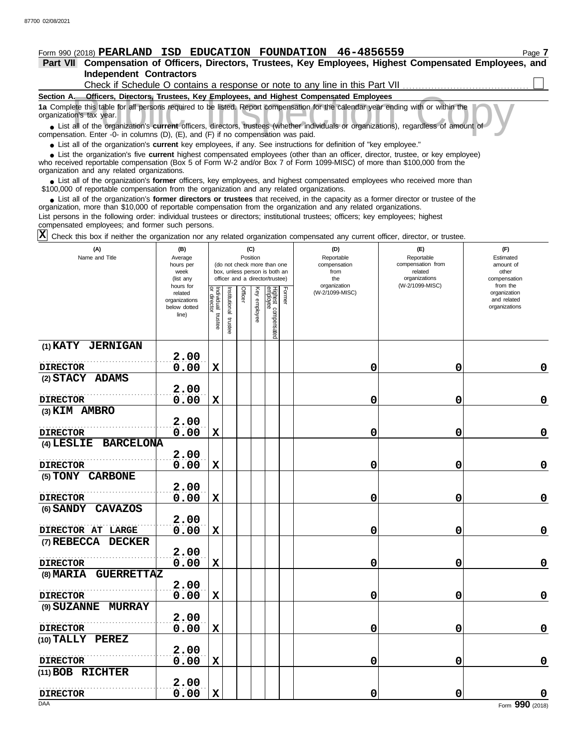# **Form 990 (2018) PEARLAND ISD EDUCATION FOUNDATION 46-4856559**

**Independent Contractors Part VII Compensation of Officers, Directors, Trustees, Key Employees, Highest Compensated Employees, and**

| Check if Schedule O contains a response or note to any line in this Part VII.                                                                                 |
|---------------------------------------------------------------------------------------------------------------------------------------------------------------|
| Section A.<br>Officers, Directors, Trustees, Key Employees, and Highest Compensated Employees                                                                 |
| 1a Complete this table for all persons required to be listed. Report compensation for the calendar year ending with or within the<br>organization's tax year. |
| • List all of the organization's current officers, directors, trustees (whether individuals or organizations), regardless of amount of                        |
| compensation. Enter -0- in columns $(D)$ $(F)$ and $(F)$ if no compensation was paid                                                                          |

compensation. Enter -0- in columns (D), (E), and (F) if no compensation was paid.

● List all of the organization's **current** key employees, if any. See instructions for definition of "key employee."

who received reportable compensation (Box 5 of Form W-2 and/or Box 7 of Form 1099-MISC) of more than \$100,000 from the organization and any related organizations. ■ List the organization's five **current** highest compensated employees (other than an officer, director, trustee, or key employee)<br>
a received reportable compensation (Box 5 of Form W-2 and/or Box 7 of Form 1099-MISC) of

■ List all of the organization's **former** officers, key employees, and highest compensated employees who received more than<br>00,000 of reportable compensation from the organization and any related organizations \$100,000 of reportable compensation from the organization and any related organizations.

• List all of the organization's **former directors or trustees** that received, in the capacity as a former director or trustee of the prization more than \$10,000 of reportable compensation from the organization and any rel organization, more than \$10,000 of reportable compensation from the organization and any related organizations.

List persons in the following order: individual trustees or directors; institutional trustees; officers; key employees; highest compensated employees; and former such persons.

Check this box if neither the organization nor any related organization compensated any current officer, director, or trustee. **X**

| (A)<br>Name and Title | (B)<br>Average<br>hours per<br>(do not check more than one<br>box, unless person is both an<br>week<br>officer and a director/trustee)<br>(list any |                                   |                         | (C)<br>Position |                 |                                 |        | (D)<br>Reportable<br>compensation<br>from<br>the | (E)<br>Reportable<br>compensation from<br>related<br>organizations<br>(W-2/1099-MISC) | (F)<br>Estimated<br>amount of<br>other<br>compensation   |
|-----------------------|-----------------------------------------------------------------------------------------------------------------------------------------------------|-----------------------------------|-------------------------|-----------------|-----------------|---------------------------------|--------|--------------------------------------------------|---------------------------------------------------------------------------------------|----------------------------------------------------------|
|                       | hours for<br>related<br>organizations<br>below dotted<br>line)                                                                                      | Individual trustee<br>or director | nstitutional<br>trustee | Officer         | Key<br>employee | Highest compensated<br>employee | Former | organization<br>(W-2/1099-MISC)                  |                                                                                       | from the<br>organization<br>and related<br>organizations |
| (1) KATY JERNIGAN     |                                                                                                                                                     |                                   |                         |                 |                 |                                 |        |                                                  |                                                                                       |                                                          |
| <b>DIRECTOR</b>       | 2.00<br>0.00                                                                                                                                        | $\mathbf x$                       |                         |                 |                 |                                 |        | 0                                                | 0                                                                                     | $\mathbf 0$                                              |
| (2) STACY ADAMS       |                                                                                                                                                     |                                   |                         |                 |                 |                                 |        |                                                  |                                                                                       |                                                          |
|                       | 2.00                                                                                                                                                |                                   |                         |                 |                 |                                 |        |                                                  |                                                                                       |                                                          |
| <b>DIRECTOR</b>       | 0.00                                                                                                                                                | $\mathbf x$                       |                         |                 |                 |                                 |        | 0                                                | 0                                                                                     | $\mathbf 0$                                              |
| (3) KIM AMBRO         |                                                                                                                                                     |                                   |                         |                 |                 |                                 |        |                                                  |                                                                                       |                                                          |
| <b>DIRECTOR</b>       | 2.00<br>0.00                                                                                                                                        | $\mathbf X$                       |                         |                 |                 |                                 |        | 0                                                | 0                                                                                     | $\mathbf 0$                                              |
| (4) LESLIE BARCELONA  |                                                                                                                                                     |                                   |                         |                 |                 |                                 |        |                                                  |                                                                                       |                                                          |
|                       | 2.00                                                                                                                                                |                                   |                         |                 |                 |                                 |        |                                                  |                                                                                       |                                                          |
| <b>DIRECTOR</b>       | 0.00                                                                                                                                                | $\mathbf X$                       |                         |                 |                 |                                 |        | 0                                                | 0                                                                                     | $\mathbf 0$                                              |
| (5) TONY CARBONE      |                                                                                                                                                     |                                   |                         |                 |                 |                                 |        |                                                  |                                                                                       |                                                          |
|                       | 2.00                                                                                                                                                |                                   |                         |                 |                 |                                 |        |                                                  |                                                                                       |                                                          |
| <b>DIRECTOR</b>       | 0.00                                                                                                                                                | $\mathbf x$                       |                         |                 |                 |                                 |        | 0                                                | 0                                                                                     | $\mathbf 0$                                              |
| (6) SANDY CAVAZOS     |                                                                                                                                                     |                                   |                         |                 |                 |                                 |        |                                                  |                                                                                       |                                                          |
|                       | 2.00                                                                                                                                                |                                   |                         |                 |                 |                                 |        |                                                  |                                                                                       |                                                          |
| DIRECTOR AT LARGE     | 0.00                                                                                                                                                | $\mathbf x$                       |                         |                 |                 |                                 |        | 0                                                | 0                                                                                     | $\mathbf 0$                                              |
| (7) REBECCA DECKER    | 2.00                                                                                                                                                |                                   |                         |                 |                 |                                 |        |                                                  |                                                                                       |                                                          |
| <b>DIRECTOR</b>       | 0.00                                                                                                                                                | $\mathbf x$                       |                         |                 |                 |                                 |        | 0                                                | $\mathbf 0$                                                                           | $\mathbf 0$                                              |
| (8) MARIA GUERRETTAZ  |                                                                                                                                                     |                                   |                         |                 |                 |                                 |        |                                                  |                                                                                       |                                                          |
|                       | 2.00                                                                                                                                                |                                   |                         |                 |                 |                                 |        |                                                  |                                                                                       |                                                          |
| <b>DIRECTOR</b>       | 0.00                                                                                                                                                | $\mathbf X$                       |                         |                 |                 |                                 |        | 0                                                | $\mathbf 0$                                                                           | $\mathbf 0$                                              |
| (9) SUZANNE MURRAY    |                                                                                                                                                     |                                   |                         |                 |                 |                                 |        |                                                  |                                                                                       |                                                          |
|                       | 2.00                                                                                                                                                |                                   |                         |                 |                 |                                 |        |                                                  |                                                                                       |                                                          |
| <b>DIRECTOR</b>       | 0.00                                                                                                                                                | $\mathbf x$                       |                         |                 |                 |                                 |        | 0                                                | 0                                                                                     | $\mathbf 0$                                              |
| (10) TALLY PEREZ      |                                                                                                                                                     |                                   |                         |                 |                 |                                 |        |                                                  |                                                                                       |                                                          |
|                       | 2.00                                                                                                                                                |                                   |                         |                 |                 |                                 |        |                                                  |                                                                                       |                                                          |
| <b>DIRECTOR</b>       | 0.00                                                                                                                                                | $\mathbf x$                       |                         |                 |                 |                                 |        | 0                                                | 0                                                                                     | $\mathbf 0$                                              |
| (11) BOB RICHTER      | 2.00                                                                                                                                                |                                   |                         |                 |                 |                                 |        |                                                  |                                                                                       |                                                          |
| <b>DIRECTOR</b>       | 0.00                                                                                                                                                | $\mathbf x$                       |                         |                 |                 |                                 |        | 0                                                | 0                                                                                     |                                                          |
| DAA                   |                                                                                                                                                     |                                   |                         |                 |                 |                                 |        |                                                  |                                                                                       | Form 990 (2018)                                          |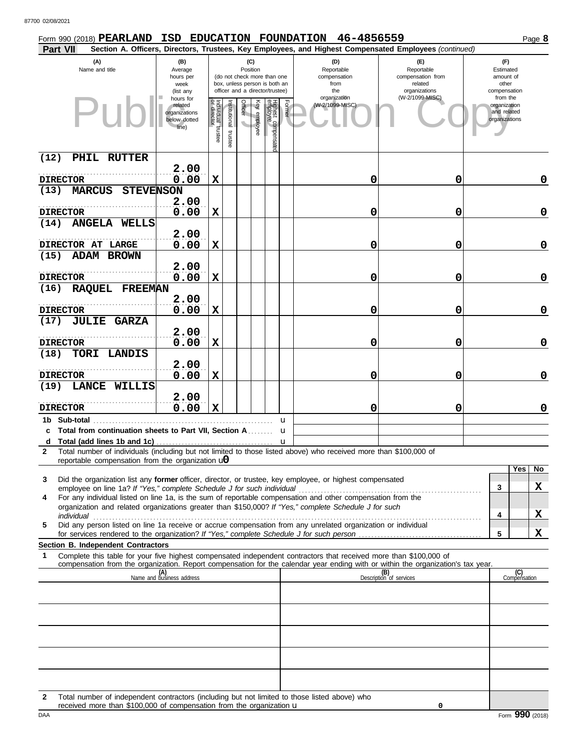| Form 990 (2018) PEARLAND                                                                                                         |                                  |                                   |               |          |                                                              |                                           | ISD EDUCATION FOUNDATION 46-4856559                                                                    |                                | Page 8                      |
|----------------------------------------------------------------------------------------------------------------------------------|----------------------------------|-----------------------------------|---------------|----------|--------------------------------------------------------------|-------------------------------------------|--------------------------------------------------------------------------------------------------------|--------------------------------|-----------------------------|
| <b>Part VII</b>                                                                                                                  |                                  |                                   |               |          |                                                              |                                           | Section A. Officers, Directors, Trustees, Key Employees, and Highest Compensated Employees (continued) |                                |                             |
| (A)                                                                                                                              | (B)                              |                                   |               | (C)      |                                                              |                                           | (D)                                                                                                    | (F)                            | (F)                         |
| Name and title                                                                                                                   | Average                          |                                   |               | Position |                                                              |                                           | Reportable                                                                                             | Reportable                     | Estimated                   |
|                                                                                                                                  | hours per<br>week                |                                   |               |          | (do not check more than one<br>box, unless person is both an |                                           | compensation<br>from                                                                                   | compensation from<br>related   | amount of<br>other          |
|                                                                                                                                  | (list any                        |                                   |               |          | officer and a director/trustee)                              |                                           | the                                                                                                    | organizations                  | compensation                |
|                                                                                                                                  | hours for                        |                                   |               |          |                                                              |                                           | organization                                                                                           | (W-2/1099-MISC)                | from the                    |
| Pu                                                                                                                               | related<br>organizations         | Individual trustee<br>or director | Institutional | Officer  | Key employee                                                 | Highest compensatec<br>employee<br>Former | (W-2/1099-MISC)                                                                                        |                                | organization<br>and related |
|                                                                                                                                  | below dotted                     |                                   |               |          |                                                              |                                           |                                                                                                        |                                | organizations               |
|                                                                                                                                  | line)                            |                                   |               |          |                                                              |                                           |                                                                                                        |                                |                             |
|                                                                                                                                  |                                  |                                   | trustee       |          |                                                              |                                           |                                                                                                        |                                |                             |
|                                                                                                                                  |                                  |                                   |               |          |                                                              |                                           |                                                                                                        |                                |                             |
| (12)<br>PHIL RUTTER                                                                                                              |                                  |                                   |               |          |                                                              |                                           |                                                                                                        |                                |                             |
|                                                                                                                                  | 2.00                             |                                   |               |          |                                                              |                                           |                                                                                                        |                                |                             |
| <b>DIRECTOR</b>                                                                                                                  | 0.00                             | $\mathbf X$                       |               |          |                                                              |                                           | 0                                                                                                      | 0                              | 0                           |
| <b>MARCUS</b><br><b>STEVENSON</b><br>(13)                                                                                        |                                  |                                   |               |          |                                                              |                                           |                                                                                                        |                                |                             |
|                                                                                                                                  | 2.00                             |                                   |               |          |                                                              |                                           |                                                                                                        |                                |                             |
| <b>DIRECTOR</b>                                                                                                                  |                                  | $\mathbf X$                       |               |          |                                                              |                                           |                                                                                                        | 0                              | $\mathbf 0$                 |
|                                                                                                                                  | 0.00                             |                                   |               |          |                                                              |                                           | 0                                                                                                      |                                |                             |
| <b>ANGELA WELLS</b><br>(14)                                                                                                      |                                  |                                   |               |          |                                                              |                                           |                                                                                                        |                                |                             |
|                                                                                                                                  | 2.00                             |                                   |               |          |                                                              |                                           |                                                                                                        |                                |                             |
| DIRECTOR AT LARGE                                                                                                                | 0.00                             | $\mathbf X$                       |               |          |                                                              |                                           | 0                                                                                                      | 0                              | $\mathbf 0$                 |
| <b>ADAM BROWN</b><br>(15)                                                                                                        |                                  |                                   |               |          |                                                              |                                           |                                                                                                        |                                |                             |
|                                                                                                                                  | 2.00                             |                                   |               |          |                                                              |                                           |                                                                                                        |                                |                             |
| <b>DIRECTOR</b>                                                                                                                  | 0.00                             | $\mathbf X$                       |               |          |                                                              |                                           | 0                                                                                                      | 0                              | $\mathbf 0$                 |
| RAQUEL FREEMAN<br>(16)                                                                                                           |                                  |                                   |               |          |                                                              |                                           |                                                                                                        |                                |                             |
|                                                                                                                                  | 2.00                             |                                   |               |          |                                                              |                                           |                                                                                                        |                                |                             |
|                                                                                                                                  |                                  |                                   |               |          |                                                              |                                           |                                                                                                        |                                |                             |
| <b>DIRECTOR</b>                                                                                                                  | 0.00                             | $\mathbf X$                       |               |          |                                                              |                                           | 0                                                                                                      | 0                              | $\mathbf 0$                 |
| <b>JULIE GARZA</b><br>(17)                                                                                                       |                                  |                                   |               |          |                                                              |                                           |                                                                                                        |                                |                             |
|                                                                                                                                  | 2.00                             |                                   |               |          |                                                              |                                           |                                                                                                        |                                |                             |
| <b>DIRECTOR</b>                                                                                                                  | 0.00                             | $\mathbf X$                       |               |          |                                                              |                                           | 0                                                                                                      | 0                              | 0                           |
| TORI LANDIS<br>(18)                                                                                                              |                                  |                                   |               |          |                                                              |                                           |                                                                                                        |                                |                             |
|                                                                                                                                  | 2.00                             |                                   |               |          |                                                              |                                           |                                                                                                        |                                |                             |
| <b>DIRECTOR</b>                                                                                                                  | 0.00                             | X                                 |               |          |                                                              |                                           | 0                                                                                                      | 0                              | 0                           |
| (19)<br>LANCE WILLIS                                                                                                             |                                  |                                   |               |          |                                                              |                                           |                                                                                                        |                                |                             |
|                                                                                                                                  | 2.00                             |                                   |               |          |                                                              |                                           |                                                                                                        |                                |                             |
| <b>DIRECTOR</b>                                                                                                                  | 0.00                             | $\mathbf X$                       |               |          |                                                              |                                           | 0                                                                                                      | 0                              | 0                           |
|                                                                                                                                  |                                  |                                   |               |          |                                                              |                                           |                                                                                                        |                                |                             |
| 1b Sub-total                                                                                                                     |                                  |                                   |               |          |                                                              | u                                         |                                                                                                        |                                |                             |
| c Total from continuation sheets to Part VII, Section A u                                                                        |                                  |                                   |               |          |                                                              |                                           |                                                                                                        |                                |                             |
|                                                                                                                                  |                                  |                                   |               |          |                                                              |                                           |                                                                                                        |                                |                             |
| Total number of individuals (including but not limited to those listed above) who received more than \$100,000 of<br>2           |                                  |                                   |               |          |                                                              |                                           |                                                                                                        |                                |                             |
| reportable compensation from the organization $\mathbf{u}$                                                                       |                                  |                                   |               |          |                                                              |                                           |                                                                                                        |                                |                             |
|                                                                                                                                  |                                  |                                   |               |          |                                                              |                                           |                                                                                                        |                                | Yes<br>No                   |
| Did the organization list any former officer, director, or trustee, key employee, or highest compensated<br>3                    |                                  |                                   |               |          |                                                              |                                           |                                                                                                        |                                | $\mathbf x$                 |
| For any individual listed on line 1a, is the sum of reportable compensation and other compensation from the                      |                                  |                                   |               |          |                                                              |                                           |                                                                                                        |                                | 3                           |
| 4<br>organization and related organizations greater than \$150,000? If "Yes," complete Schedule J for such                       |                                  |                                   |               |          |                                                              |                                           |                                                                                                        |                                |                             |
|                                                                                                                                  |                                  |                                   |               |          |                                                              |                                           |                                                                                                        |                                | X<br>4                      |
| Did any person listed on line 1a receive or accrue compensation from any unrelated organization or individual<br>5               |                                  |                                   |               |          |                                                              |                                           |                                                                                                        |                                |                             |
|                                                                                                                                  |                                  |                                   |               |          |                                                              |                                           |                                                                                                        |                                | X<br>5                      |
| Section B. Independent Contractors                                                                                               |                                  |                                   |               |          |                                                              |                                           |                                                                                                        |                                |                             |
| Complete this table for your five highest compensated independent contractors that received more than \$100,000 of<br>1          |                                  |                                   |               |          |                                                              |                                           |                                                                                                        |                                |                             |
| compensation from the organization. Report compensation for the calendar year ending with or within the organization's tax year. |                                  |                                   |               |          |                                                              |                                           |                                                                                                        |                                |                             |
|                                                                                                                                  | (A)<br>Name and business address |                                   |               |          |                                                              |                                           |                                                                                                        | (B)<br>Description of services | (C)<br>Compensation         |
|                                                                                                                                  |                                  |                                   |               |          |                                                              |                                           |                                                                                                        |                                |                             |
|                                                                                                                                  |                                  |                                   |               |          |                                                              |                                           |                                                                                                        |                                |                             |
|                                                                                                                                  |                                  |                                   |               |          |                                                              |                                           |                                                                                                        |                                |                             |
|                                                                                                                                  |                                  |                                   |               |          |                                                              |                                           |                                                                                                        |                                |                             |
|                                                                                                                                  |                                  |                                   |               |          |                                                              |                                           |                                                                                                        |                                |                             |
|                                                                                                                                  |                                  |                                   |               |          |                                                              |                                           |                                                                                                        |                                |                             |
|                                                                                                                                  |                                  |                                   |               |          |                                                              |                                           |                                                                                                        |                                |                             |
|                                                                                                                                  |                                  |                                   |               |          |                                                              |                                           |                                                                                                        |                                |                             |
|                                                                                                                                  |                                  |                                   |               |          |                                                              |                                           |                                                                                                        |                                |                             |
|                                                                                                                                  |                                  |                                   |               |          |                                                              |                                           |                                                                                                        |                                |                             |
|                                                                                                                                  |                                  |                                   |               |          |                                                              |                                           |                                                                                                        |                                |                             |
|                                                                                                                                  |                                  |                                   |               |          |                                                              |                                           |                                                                                                        |                                |                             |
|                                                                                                                                  |                                  |                                   |               |          |                                                              |                                           |                                                                                                        |                                |                             |

**2** Total number of independent contractors (including but not limited to those listed above) who received more than \$100,000 of compensation from the organization u

**0**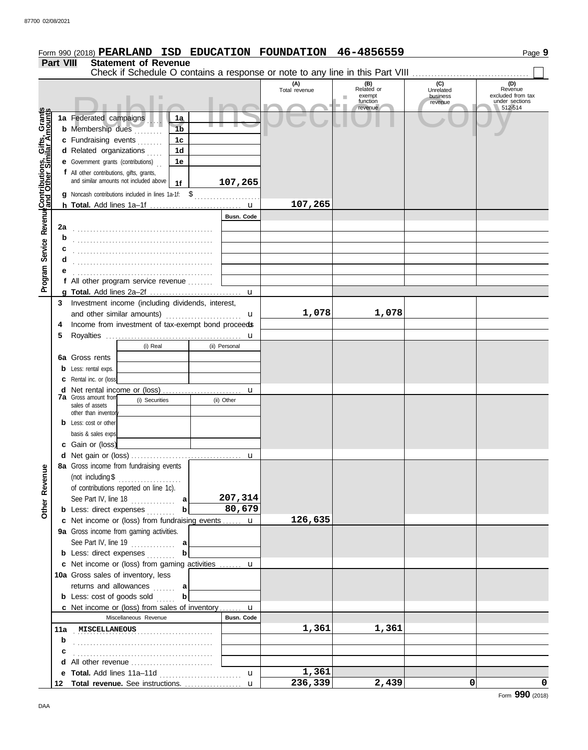|                                              |                  |                                                |                                                     |                |                   | Form 990 (2018) PEARLAND ISD EDUCATION FOUNDATION 46-4856559                  |                                                    |                                         | Page 9                                                           |
|----------------------------------------------|------------------|------------------------------------------------|-----------------------------------------------------|----------------|-------------------|-------------------------------------------------------------------------------|----------------------------------------------------|-----------------------------------------|------------------------------------------------------------------|
|                                              | <b>Part VIII</b> |                                                | <b>Statement of Revenue</b>                         |                |                   |                                                                               |                                                    |                                         |                                                                  |
|                                              |                  |                                                |                                                     |                |                   | Check if Schedule O contains a response or note to any line in this Part VIII |                                                    |                                         |                                                                  |
|                                              |                  |                                                |                                                     |                |                   | (A)<br>Total revenue                                                          | (B)<br>Related or<br>exempt<br>function<br>revenue | (C)<br>Unrelated<br>business<br>revenue | (D)<br>Revenue<br>excluded from tax<br>under sections<br>512-514 |
| Service Revenue Contributions, Gifts, Grants |                  | 1a Federated campaigns                         |                                                     | 1a             |                   |                                                                               |                                                    |                                         |                                                                  |
|                                              |                  |                                                | <b>b</b> Membership dues                            | 1 <sub>b</sub> |                   |                                                                               |                                                    |                                         |                                                                  |
|                                              |                  |                                                | c Fundraising events                                | 1 <sub>c</sub> |                   |                                                                               |                                                    |                                         |                                                                  |
|                                              |                  |                                                | d Related organizations                             | 1 <sub>d</sub> |                   |                                                                               |                                                    |                                         |                                                                  |
|                                              |                  |                                                | <b>e</b> Government grants (contributions).         | 1e             |                   |                                                                               |                                                    |                                         |                                                                  |
|                                              |                  | f All other contributions, gifts, grants,      |                                                     |                |                   |                                                                               |                                                    |                                         |                                                                  |
|                                              |                  |                                                | and similar amounts not included above              | 1f             | 107,265           |                                                                               |                                                    |                                         |                                                                  |
|                                              |                  |                                                | g Noncash contributions included in lines 1a-1f: \$ |                |                   |                                                                               |                                                    |                                         |                                                                  |
|                                              |                  |                                                |                                                     |                |                   | 107,265                                                                       |                                                    |                                         |                                                                  |
|                                              |                  |                                                |                                                     |                | <b>Busn. Code</b> |                                                                               |                                                    |                                         |                                                                  |
|                                              | 2a               |                                                |                                                     |                |                   |                                                                               |                                                    |                                         |                                                                  |
|                                              | b                |                                                |                                                     |                |                   |                                                                               |                                                    |                                         |                                                                  |
|                                              | С                |                                                |                                                     |                |                   |                                                                               |                                                    |                                         |                                                                  |
|                                              | d                |                                                |                                                     |                |                   |                                                                               |                                                    |                                         |                                                                  |
| Program                                      |                  |                                                | f All other program service revenue $\ldots$        |                |                   |                                                                               |                                                    |                                         |                                                                  |
|                                              |                  |                                                |                                                     |                |                   |                                                                               |                                                    |                                         |                                                                  |
|                                              | 3                |                                                | Investment income (including dividends, interest,   |                |                   |                                                                               |                                                    |                                         |                                                                  |
|                                              |                  |                                                | and other similar amounts)                          |                | u                 | 1,078                                                                         | 1,078                                              |                                         |                                                                  |
|                                              | 4                |                                                | Income from investment of tax-exempt bond proceeds  |                |                   |                                                                               |                                                    |                                         |                                                                  |
|                                              | 5                |                                                |                                                     |                | u                 |                                                                               |                                                    |                                         |                                                                  |
|                                              |                  |                                                | (i) Real                                            |                | (ii) Personal     |                                                                               |                                                    |                                         |                                                                  |
|                                              |                  | 6a Gross rents                                 |                                                     |                |                   |                                                                               |                                                    |                                         |                                                                  |
|                                              |                  | <b>b</b> Less: rental exps.                    |                                                     |                |                   |                                                                               |                                                    |                                         |                                                                  |
|                                              |                  | <b>c</b> Rental inc. or (loss)                 |                                                     |                |                   |                                                                               |                                                    |                                         |                                                                  |
|                                              |                  |                                                |                                                     |                | u                 |                                                                               |                                                    |                                         |                                                                  |
|                                              |                  | <b>7a</b> Gross amount from<br>sales of assets | (i) Securities                                      |                | (ii) Other        |                                                                               |                                                    |                                         |                                                                  |
|                                              |                  | other than inventory                           |                                                     |                |                   |                                                                               |                                                    |                                         |                                                                  |
|                                              |                  | <b>b</b> Less: cost or other                   |                                                     |                |                   |                                                                               |                                                    |                                         |                                                                  |
|                                              |                  | basis & sales exps.                            |                                                     |                |                   |                                                                               |                                                    |                                         |                                                                  |
|                                              |                  | c Gain or (loss)                               |                                                     |                |                   |                                                                               |                                                    |                                         |                                                                  |
|                                              |                  |                                                |                                                     |                |                   |                                                                               |                                                    |                                         |                                                                  |
| Revenue                                      |                  | (not including $$$                             | 8a Gross income from fundraising events             |                |                   |                                                                               |                                                    |                                         |                                                                  |
|                                              |                  |                                                | of contributions reported on line 1c).              |                |                   |                                                                               |                                                    |                                         |                                                                  |
|                                              |                  |                                                | See Part IV, line $18$                              | a              | 207,314           |                                                                               |                                                    |                                         |                                                                  |
| Other                                        |                  |                                                | <b>b</b> Less: direct expenses                      | $\mathbf b$    | 80,679            |                                                                               |                                                    |                                         |                                                                  |
|                                              |                  |                                                | c Net income or (loss) from fundraising events  u   |                |                   | 126,635                                                                       |                                                    |                                         |                                                                  |
|                                              |                  |                                                | 9a Gross income from gaming activities.             |                |                   |                                                                               |                                                    |                                         |                                                                  |
|                                              |                  |                                                |                                                     |                |                   |                                                                               |                                                    |                                         |                                                                  |
|                                              |                  |                                                | <b>b</b> Less: direct expenses                      | b              |                   |                                                                               |                                                    |                                         |                                                                  |
|                                              |                  |                                                | c Net income or (loss) from gaming activities  u    |                |                   |                                                                               |                                                    |                                         |                                                                  |
|                                              |                  |                                                | 10a Gross sales of inventory, less                  |                |                   |                                                                               |                                                    |                                         |                                                                  |
|                                              |                  |                                                | returns and allowances  a                           |                |                   |                                                                               |                                                    |                                         |                                                                  |
|                                              |                  |                                                | <b>b</b> Less: $cost$ of goods sold $\ldots$        | b              |                   |                                                                               |                                                    |                                         |                                                                  |
|                                              |                  |                                                | c Net income or (loss) from sales of inventory u    |                |                   |                                                                               |                                                    |                                         |                                                                  |
|                                              |                  |                                                | Miscellaneous Revenue                               |                | Busn. Code        |                                                                               |                                                    |                                         |                                                                  |
|                                              |                  | 11a MISCELLANEOUS                              |                                                     |                |                   | 1,361                                                                         | 1,361                                              |                                         |                                                                  |
|                                              | b                |                                                |                                                     |                |                   |                                                                               |                                                    |                                         |                                                                  |
|                                              | с                |                                                |                                                     |                |                   |                                                                               |                                                    |                                         |                                                                  |
|                                              |                  |                                                |                                                     |                | u                 | 1,361                                                                         |                                                    |                                         |                                                                  |
|                                              |                  |                                                | 12 Total revenue. See instructions.                 |                | $\mathbf{u}$      | 236,339                                                                       | 2,439                                              | 0                                       | 0                                                                |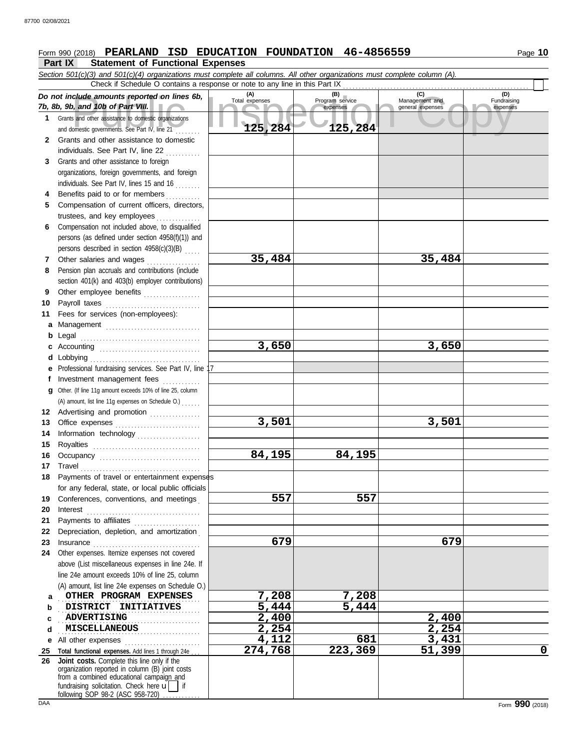# **Form 990 (2018) PEARLAND ISD EDUCATION FOUNDATION 46-4856559** Page 10

## **Part IX Statement of Functional Expenses**

Collate amounts reported on lines 6b, Total expenses<br>
Program service Management and Copyright Service Management and European Service Stand 10b of Part VIII.<br>
Sand other assistance to domestic organizations<br>
Sand other as *Section 501(c)(3) and 501(c)(4) organizations must complete all columns. All other organizations must complete column (A). Do not include amounts reported on lines 6b, 7b, 8b, 9b, and 10b of Part VIII.* **1 2 3 4** Benefits paid to or for members **........**.. **5 6** Compensation not included above, to disqualified **7 8 9 10** Payroll taxes ............................... **11 a** Management .............................. **b** Legal **c** Accounting . . . . . . . . . . . . . . . . . . . . . . . . . . . . . . . . **d** Lobbying . . . . . . . . . . . . . . . . . . . . . . . . . . . . . . . . . . . **e** Professional fundraising services. See Part IV, line 17 **f g 12** Advertising and promotion ............... **13** Office expenses **.......................**... **14 15 16 17 18 19 20** Interest . . . . . . . . . . . . . . . . . . . . . . . . . . . . . . . . . . . . **21 22** Depreciation, depletion, and amortization . **23** Insurance . . . . . . . . . . . . . . . . . . . . . . . . . . . . . . . . . . **24** Other expenses. Itemize expenses not covered **a** . OTHER PROGRAM EXPENSES  $\boxed{7,208}$  . . . . . 7,208 **b c d e** All other expenses . . . . . . . . . . . . . . . . . . . . . . . . **25 Total functional expenses.** Add lines 1 through 24e . . . **26** Grants and other assistance to domestic organizations and domestic governments. See Part IV, line 21 . . . . . . . . Grants and other assistance to domestic individuals. See Part IV, line 22 Grants and other assistance to foreign organizations, foreign governments, and foreign individuals. See Part IV, lines 15 and 16 Compensation of current officers, directors, trustees, and key employees .............. persons (as defined under section 4958(f)(1)) and persons described in section 4958(c)(3)(B) . . . . . Other salaries and wages ............ Pension plan accruals and contributions (include section 401(k) and 403(b) employer contributions) Other employee benefits ................... Fees for services (non-employees): . . . . . . . . . . . . . . . . . . . . . . . . . . . . . . . . . . . . . . Investment management fees Other. (If line 11g amount exceeds 10% of line 25, column Information technology . . . . . . . . . . . . . . . . . . . . Royalties . . . . . . . . . . . . . . . . . . . . . . . . . . . . . . . . . . Occupancy . . . . . . . . . . . . . . . . . . . . . . . . . . . . . . . . Travel . . . . . . . . . . . . . . . . . . . . . . . . . . . . . . . . . . . . . . Payments of travel or entertainment expenses for any federal, state, or local public officials Conferences, conventions, and meetings . Payments to affiliates ....................... above (List miscellaneous expenses in line 24e. If line 24e amount exceeds 10% of line 25, column (A) amount, list line 24e expenses on Schedule O.) fundraising solicitation. Check here  $\mathbf{u}$  | if organization reported in column (B) joint costs from a combined educational campaign and **(A) (B) (C) (D)** Total expenses Program service Management and expenses (B) (C)<br>
Program service Management and general expenses Fundraising expenses **DISTRICT INITIATIVES 5,444 5,444** . . . . . . . . . . . . . . . . . . . . . . . . . . . . . . . . . . . . . . . . . . . . . **ADVERTISING 2,400 2,400** . . . . . . . . . . . . . . . . . . . . . . . . . . . . . . . . . . . . . . . . . . . . . Check if Schedule O contains a response or note to any line in this Part IX **Joint costs.** Complete this line only if the (A) amount, list line 11g expenses on Schedule O.) . . . . . . **125,284 125,284 35,484 35,484 3,650 3,650 3,501 3,501 84,195 84,195 557 557 679 679 MISCELLANEOUS** 2,254<br> **2,254 2,254 2,254 2,254 2,254 2,254 2,254 2,254 2,254 4,112 681 3,431 274,768 223,369 51,399 0**

following SOP 98-2 (ASC 958-720)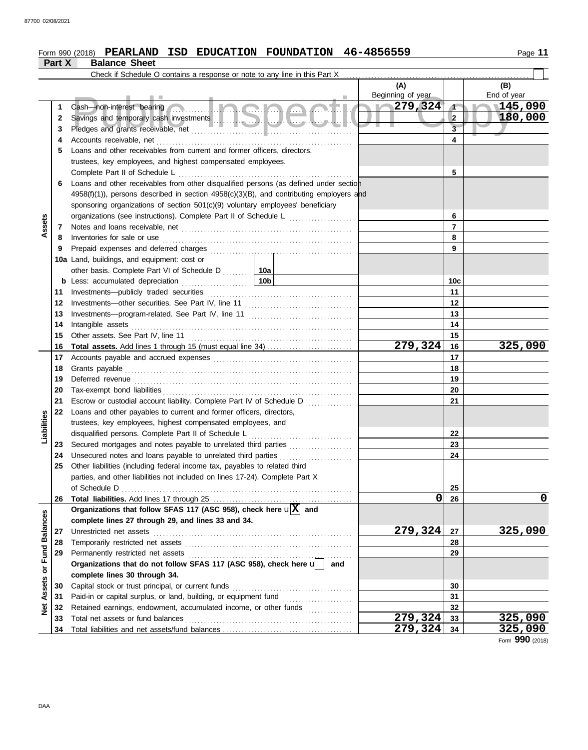#### Form 990 (2018) PEARLAND ISD EDUCATION FOUNDATION 46-4856559 Page 11 **PEARLAND ISD EDUCATION FOUNDATION 46-4856559**

|                      | Part X | <b>Balance Sheet</b>                                                                                                                                                                                                                                                                                                                                                                                                                                                                                                                                                                                                                                                                                                                                                                                                                                                                               |                   |                |                |
|----------------------|--------|----------------------------------------------------------------------------------------------------------------------------------------------------------------------------------------------------------------------------------------------------------------------------------------------------------------------------------------------------------------------------------------------------------------------------------------------------------------------------------------------------------------------------------------------------------------------------------------------------------------------------------------------------------------------------------------------------------------------------------------------------------------------------------------------------------------------------------------------------------------------------------------------------|-------------------|----------------|----------------|
|                      |        | Check if Schedule O contains a response or note to any line in this Part X                                                                                                                                                                                                                                                                                                                                                                                                                                                                                                                                                                                                                                                                                                                                                                                                                         |                   |                |                |
|                      |        |                                                                                                                                                                                                                                                                                                                                                                                                                                                                                                                                                                                                                                                                                                                                                                                                                                                                                                    | (A)               |                | (B)            |
|                      |        |                                                                                                                                                                                                                                                                                                                                                                                                                                                                                                                                                                                                                                                                                                                                                                                                                                                                                                    | Beginning of year |                | End of year    |
|                      | 1      | <b>2 Inchecty</b><br>Cash-non-interest bearing                                                                                                                                                                                                                                                                                                                                                                                                                                                                                                                                                                                                                                                                                                                                                                                                                                                     | $\sim$ 279,324    | $\sqrt{2}$     | 145,090        |
|                      | 2      |                                                                                                                                                                                                                                                                                                                                                                                                                                                                                                                                                                                                                                                                                                                                                                                                                                                                                                    |                   | $\mathbf{2}$   | 180,000        |
|                      | 3      |                                                                                                                                                                                                                                                                                                                                                                                                                                                                                                                                                                                                                                                                                                                                                                                                                                                                                                    |                   | $\overline{3}$ |                |
|                      | 4      |                                                                                                                                                                                                                                                                                                                                                                                                                                                                                                                                                                                                                                                                                                                                                                                                                                                                                                    |                   | 4              |                |
|                      | 5      | Loans and other receivables from current and former officers, directors,                                                                                                                                                                                                                                                                                                                                                                                                                                                                                                                                                                                                                                                                                                                                                                                                                           |                   |                |                |
|                      |        | trustees, key employees, and highest compensated employees.                                                                                                                                                                                                                                                                                                                                                                                                                                                                                                                                                                                                                                                                                                                                                                                                                                        |                   |                |                |
|                      |        | Complete Part II of Schedule L                                                                                                                                                                                                                                                                                                                                                                                                                                                                                                                                                                                                                                                                                                                                                                                                                                                                     |                   | 5              |                |
|                      | 6      |                                                                                                                                                                                                                                                                                                                                                                                                                                                                                                                                                                                                                                                                                                                                                                                                                                                                                                    |                   |                |                |
|                      |        |                                                                                                                                                                                                                                                                                                                                                                                                                                                                                                                                                                                                                                                                                                                                                                                                                                                                                                    |                   |                |                |
|                      |        | sponsoring organizations of section 501(c)(9) voluntary employees' beneficiary                                                                                                                                                                                                                                                                                                                                                                                                                                                                                                                                                                                                                                                                                                                                                                                                                     |                   |                |                |
|                      |        |                                                                                                                                                                                                                                                                                                                                                                                                                                                                                                                                                                                                                                                                                                                                                                                                                                                                                                    |                   | 6              |                |
| Assets               | 7      | Loans and other receivables from other disqualified persons (as defined under section<br>$4958(f)(1)$ ), persons described in section $4958(c)(3)(B)$ , and contributing employers and<br>organizations (see instructions). Complete Part II of Schedule L<br>Inventories for sale or use<br>10a Land, buildings, and equipment: cost or<br>other basis. Complete Part VI of Schedule D  10a<br>Less: accumulated depreciation<br>10b<br>.<br>Intangible assets<br>Other assets. See Part IV, line 11<br>279,324<br>Accounts payable and accrued expenses [[11][11] Accounts payable and accrued expenses [[11] Accounts are not accrued to a set of the set of the set of the set of the set of the set of the set of the set of the set of the s<br>Escrow or custodial account liability. Complete Part IV of Schedule D<br>Loans and other payables to current and former officers, directors, |                   | $\overline{7}$ |                |
|                      | 8      |                                                                                                                                                                                                                                                                                                                                                                                                                                                                                                                                                                                                                                                                                                                                                                                                                                                                                                    |                   | 8              |                |
|                      | 9      |                                                                                                                                                                                                                                                                                                                                                                                                                                                                                                                                                                                                                                                                                                                                                                                                                                                                                                    |                   | 9              |                |
|                      |        |                                                                                                                                                                                                                                                                                                                                                                                                                                                                                                                                                                                                                                                                                                                                                                                                                                                                                                    |                   |                |                |
|                      |        |                                                                                                                                                                                                                                                                                                                                                                                                                                                                                                                                                                                                                                                                                                                                                                                                                                                                                                    |                   |                |                |
|                      | b      |                                                                                                                                                                                                                                                                                                                                                                                                                                                                                                                                                                                                                                                                                                                                                                                                                                                                                                    |                   | 10c            |                |
|                      | 11     |                                                                                                                                                                                                                                                                                                                                                                                                                                                                                                                                                                                                                                                                                                                                                                                                                                                                                                    |                   | 11             |                |
|                      | 12     |                                                                                                                                                                                                                                                                                                                                                                                                                                                                                                                                                                                                                                                                                                                                                                                                                                                                                                    |                   | 12             |                |
|                      | 13     |                                                                                                                                                                                                                                                                                                                                                                                                                                                                                                                                                                                                                                                                                                                                                                                                                                                                                                    |                   | 13             |                |
|                      | 14     |                                                                                                                                                                                                                                                                                                                                                                                                                                                                                                                                                                                                                                                                                                                                                                                                                                                                                                    |                   | 14             |                |
|                      | 15     |                                                                                                                                                                                                                                                                                                                                                                                                                                                                                                                                                                                                                                                                                                                                                                                                                                                                                                    |                   | 15             |                |
|                      | 16     |                                                                                                                                                                                                                                                                                                                                                                                                                                                                                                                                                                                                                                                                                                                                                                                                                                                                                                    |                   | 16             | 325,090        |
|                      | 17     |                                                                                                                                                                                                                                                                                                                                                                                                                                                                                                                                                                                                                                                                                                                                                                                                                                                                                                    |                   | 17             |                |
|                      | 18     |                                                                                                                                                                                                                                                                                                                                                                                                                                                                                                                                                                                                                                                                                                                                                                                                                                                                                                    |                   | 18             |                |
|                      | 19     |                                                                                                                                                                                                                                                                                                                                                                                                                                                                                                                                                                                                                                                                                                                                                                                                                                                                                                    |                   | 19             |                |
|                      | 20     |                                                                                                                                                                                                                                                                                                                                                                                                                                                                                                                                                                                                                                                                                                                                                                                                                                                                                                    |                   | 20             |                |
|                      | 21     |                                                                                                                                                                                                                                                                                                                                                                                                                                                                                                                                                                                                                                                                                                                                                                                                                                                                                                    |                   | 21             |                |
|                      | 22     |                                                                                                                                                                                                                                                                                                                                                                                                                                                                                                                                                                                                                                                                                                                                                                                                                                                                                                    |                   |                |                |
|                      |        | trustees, key employees, highest compensated employees, and                                                                                                                                                                                                                                                                                                                                                                                                                                                                                                                                                                                                                                                                                                                                                                                                                                        |                   |                |                |
| Liabilities          |        | disqualified persons. Complete Part II of Schedule L                                                                                                                                                                                                                                                                                                                                                                                                                                                                                                                                                                                                                                                                                                                                                                                                                                               |                   | 22             |                |
|                      | 23     | Secured mortgages and notes payable to unrelated third parties                                                                                                                                                                                                                                                                                                                                                                                                                                                                                                                                                                                                                                                                                                                                                                                                                                     |                   | 23             |                |
|                      | 24     | Unsecured notes and loans payable to unrelated third parties                                                                                                                                                                                                                                                                                                                                                                                                                                                                                                                                                                                                                                                                                                                                                                                                                                       |                   | 24             |                |
|                      | 25     | Other liabilities (including federal income tax, payables to related third                                                                                                                                                                                                                                                                                                                                                                                                                                                                                                                                                                                                                                                                                                                                                                                                                         |                   |                |                |
|                      |        | parties, and other liabilities not included on lines 17-24). Complete Part X<br>of Schedule D                                                                                                                                                                                                                                                                                                                                                                                                                                                                                                                                                                                                                                                                                                                                                                                                      |                   | 25             |                |
|                      | 26     |                                                                                                                                                                                                                                                                                                                                                                                                                                                                                                                                                                                                                                                                                                                                                                                                                                                                                                    | 0                 | 26             | 0              |
|                      |        | Organizations that follow SFAS 117 (ASC 958), check here $\mathbf{u}[\overline{\mathbf{X}}]$ and                                                                                                                                                                                                                                                                                                                                                                                                                                                                                                                                                                                                                                                                                                                                                                                                   |                   |                |                |
| <b>Fund Balances</b> |        | complete lines 27 through 29, and lines 33 and 34.                                                                                                                                                                                                                                                                                                                                                                                                                                                                                                                                                                                                                                                                                                                                                                                                                                                 |                   |                |                |
|                      | 27     | Unrestricted net assets                                                                                                                                                                                                                                                                                                                                                                                                                                                                                                                                                                                                                                                                                                                                                                                                                                                                            | 279,324           | 27             | 325,090        |
|                      | 28     |                                                                                                                                                                                                                                                                                                                                                                                                                                                                                                                                                                                                                                                                                                                                                                                                                                                                                                    |                   | 28             |                |
|                      | 29     |                                                                                                                                                                                                                                                                                                                                                                                                                                                                                                                                                                                                                                                                                                                                                                                                                                                                                                    |                   | 29             |                |
|                      |        | Organizations that do not follow SFAS 117 (ASC 958), check here $\mathbf{u}$  <br>and                                                                                                                                                                                                                                                                                                                                                                                                                                                                                                                                                                                                                                                                                                                                                                                                              |                   |                |                |
| ð                    |        | complete lines 30 through 34.                                                                                                                                                                                                                                                                                                                                                                                                                                                                                                                                                                                                                                                                                                                                                                                                                                                                      |                   |                |                |
|                      | 30     | Capital stock or trust principal, or current funds                                                                                                                                                                                                                                                                                                                                                                                                                                                                                                                                                                                                                                                                                                                                                                                                                                                 |                   | 30             |                |
|                      | 31     | Paid-in or capital surplus, or land, building, or equipment fund [[[[[[[[[[[[[[[[[[[[[[[[[[[[[[[[[[[                                                                                                                                                                                                                                                                                                                                                                                                                                                                                                                                                                                                                                                                                                                                                                                               |                   | 31             |                |
| <b>Net Assets</b>    | 32     | Retained earnings, endowment, accumulated income, or other funds                                                                                                                                                                                                                                                                                                                                                                                                                                                                                                                                                                                                                                                                                                                                                                                                                                   |                   | 32             |                |
|                      | 33     | Total net assets or fund balances                                                                                                                                                                                                                                                                                                                                                                                                                                                                                                                                                                                                                                                                                                                                                                                                                                                                  | 279,324           | 33             | 325,090        |
|                      | 34     |                                                                                                                                                                                                                                                                                                                                                                                                                                                                                                                                                                                                                                                                                                                                                                                                                                                                                                    | <u>279,324 34</u> |                | <u>325,090</u> |

Form **990** (2018)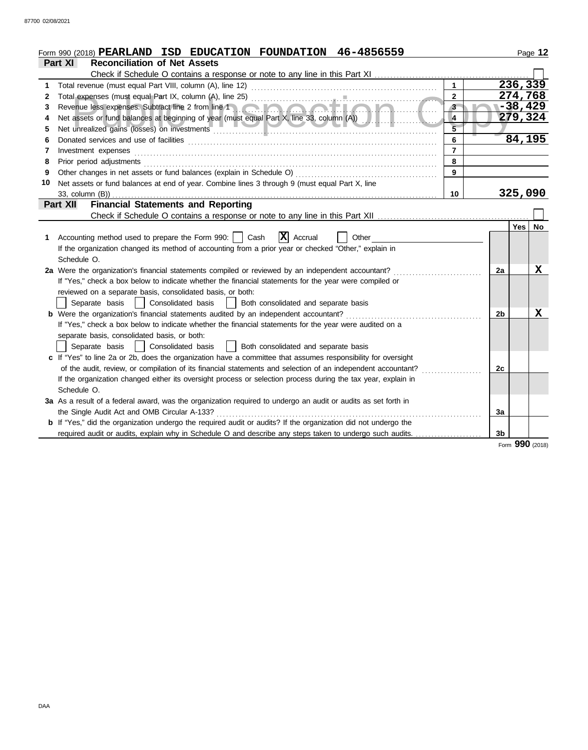|    | Form 990 (2018) PEARLAND ISD EDUCATION FOUNDATION $46-4856559$                                                 |                |                |           | Page 12 |
|----|----------------------------------------------------------------------------------------------------------------|----------------|----------------|-----------|---------|
|    | <b>Reconciliation of Net Assets</b><br>Part XI                                                                 |                |                |           |         |
|    |                                                                                                                |                |                |           |         |
| 1. |                                                                                                                |                |                | 236, 339  |         |
| 2  |                                                                                                                | $\overline{2}$ |                | 274,768   |         |
| 3  | Revenue less expenses. Subtract line 2 from line 1                                                             | $3 -$          |                | $-38,429$ |         |
| 4  | Net assets or fund balances at beginning of year (must equal Part X, line 33, column (A))                      | $\overline{4}$ |                | 279,324   |         |
| 5  |                                                                                                                |                |                |           |         |
| 6  |                                                                                                                | 6              |                | 84,195    |         |
| 7  | Investment expenses                                                                                            | $\overline{7}$ |                |           |         |
| 8  | Prior period adjustments                                                                                       | 8              |                |           |         |
| 9  | Other changes in net assets or fund balances (explain in Schedule O)                                           | 9              |                |           |         |
| 10 | Net assets or fund balances at end of year. Combine lines 3 through 9 (must equal Part X, line                 |                |                |           |         |
|    | 33, column (B))                                                                                                | 10             |                | 325,090   |         |
|    | <b>Financial Statements and Reporting</b><br><b>Part XII</b>                                                   |                |                |           |         |
|    |                                                                                                                |                |                |           |         |
|    | $ \mathbf{X} $ Accrual<br>Accounting method used to prepare the Form 990:     Cash                             |                |                | Yes l     | No      |
| 1. | Other<br>If the organization changed its method of accounting from a prior year or checked "Other," explain in |                |                |           |         |
|    | Schedule O.                                                                                                    |                |                |           |         |
|    | 2a Were the organization's financial statements compiled or reviewed by an independent accountant?             |                | 2a             |           | X       |
|    | If "Yes," check a box below to indicate whether the financial statements for the year were compiled or         |                |                |           |         |
|    | reviewed on a separate basis, consolidated basis, or both:                                                     |                |                |           |         |
|    | Both consolidated and separate basis<br>Separate basis     Consolidated basis<br>$\Box$                        |                |                |           |         |
|    | <b>b</b> Were the organization's financial statements audited by an independent accountant?                    |                | 2 <sub>b</sub> |           | x       |
|    | If "Yes," check a box below to indicate whether the financial statements for the year were audited on a        |                |                |           |         |
|    | separate basis, consolidated basis, or both:                                                                   |                |                |           |         |
|    | Separate basis   Consolidated basis<br>  Both consolidated and separate basis                                  |                |                |           |         |
|    | c If "Yes" to line 2a or 2b, does the organization have a committee that assumes responsibility for oversight  |                |                |           |         |
|    | of the audit, review, or compilation of its financial statements and selection of an independent accountant?   |                | 2c             |           |         |
|    | If the organization changed either its oversight process or selection process during the tax year, explain in  |                |                |           |         |
|    | Schedule O.                                                                                                    |                |                |           |         |
|    | 3a As a result of a federal award, was the organization required to undergo an audit or audits as set forth in |                |                |           |         |
|    | the Single Audit Act and OMB Circular A-133?                                                                   |                | 3a             |           |         |
|    | b If "Yes," did the organization undergo the required audit or audits? If the organization did not undergo the |                |                |           |         |
|    | required audit or audits, explain why in Schedule O and describe any steps taken to undergo such audits.       |                | 3 <sub>b</sub> |           |         |

## Form **990** (2018)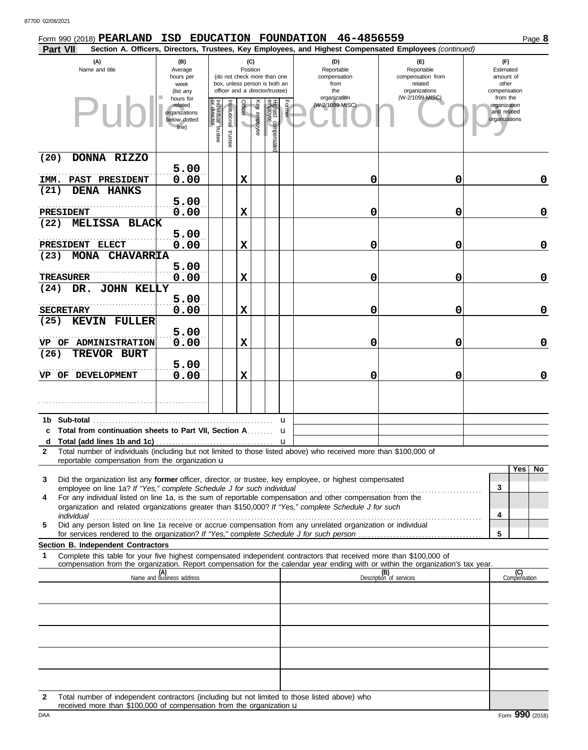|                  | Form 990 (2018) PEARLAND                                                                                                                                             |                                                               |                                   |                          |                 |              |                                                                                                 |        | ISD EDUCATION FOUNDATION 46-4856559                              |                                                                                                                                                                                                                                                        |                                                                    | Page 8              |
|------------------|----------------------------------------------------------------------------------------------------------------------------------------------------------------------|---------------------------------------------------------------|-----------------------------------|--------------------------|-----------------|--------------|-------------------------------------------------------------------------------------------------|--------|------------------------------------------------------------------|--------------------------------------------------------------------------------------------------------------------------------------------------------------------------------------------------------------------------------------------------------|--------------------------------------------------------------------|---------------------|
| Part VII         |                                                                                                                                                                      |                                                               |                                   |                          |                 |              |                                                                                                 |        |                                                                  | Section A. Officers, Directors, Trustees, Key Employees, and Highest Compensated Employees (continued)                                                                                                                                                 |                                                                    |                     |
|                  | (A)<br>Name and title                                                                                                                                                | (B)<br>Average<br>hours per<br>week<br>(list any<br>hours for |                                   |                          | (C)<br>Position |              | (do not check more than one<br>box, unless person is both an<br>officer and a director/trustee) |        | (D)<br>Reportable<br>compensation<br>from<br>the<br>organization | (F)<br>Reportable<br>compensation from<br>related<br>organizations<br>(W-2/1099-MISC)                                                                                                                                                                  | (F)<br>Estimated<br>amount of<br>other<br>compensation<br>from the |                     |
|                  | Pul                                                                                                                                                                  | related<br>organizations<br>below dotted<br>line)             | Individual trustee<br>or director | Institutional<br>trustee | Officer         | Key employee | Highest compensater<br>employee                                                                 | Former | (W-2/1099-MISC)                                                  |                                                                                                                                                                                                                                                        | organization<br>and related<br>organizations                       |                     |
| (20)             | DONNA RIZZO                                                                                                                                                          |                                                               |                                   |                          |                 |              |                                                                                                 |        |                                                                  |                                                                                                                                                                                                                                                        |                                                                    |                     |
|                  |                                                                                                                                                                      | 5.00                                                          |                                   |                          |                 |              |                                                                                                 |        |                                                                  |                                                                                                                                                                                                                                                        |                                                                    |                     |
| IMM.             | PAST PRESIDENT                                                                                                                                                       | 0.00                                                          |                                   |                          | X               |              |                                                                                                 |        | 0                                                                | 0                                                                                                                                                                                                                                                      |                                                                    | $\mathbf 0$         |
| (21)             | DENA HANKS                                                                                                                                                           | 5.00                                                          |                                   |                          |                 |              |                                                                                                 |        |                                                                  |                                                                                                                                                                                                                                                        |                                                                    |                     |
| PRESIDENT        |                                                                                                                                                                      | 0.00                                                          |                                   |                          | X               |              |                                                                                                 |        | 0                                                                | 0                                                                                                                                                                                                                                                      |                                                                    | $\mathbf 0$         |
| (22)             | MELISSA BLACK                                                                                                                                                        |                                                               |                                   |                          |                 |              |                                                                                                 |        |                                                                  |                                                                                                                                                                                                                                                        |                                                                    |                     |
|                  |                                                                                                                                                                      | 5.00                                                          |                                   |                          |                 |              |                                                                                                 |        |                                                                  |                                                                                                                                                                                                                                                        |                                                                    |                     |
| (23)             | PRESIDENT ELECT<br><b>CHAVARRIA</b>                                                                                                                                  | 0.00                                                          |                                   |                          | X               |              |                                                                                                 |        | 0                                                                | 0                                                                                                                                                                                                                                                      |                                                                    | $\mathbf 0$         |
|                  | <b>MONA</b>                                                                                                                                                          | 5.00                                                          |                                   |                          |                 |              |                                                                                                 |        |                                                                  |                                                                                                                                                                                                                                                        |                                                                    |                     |
| <b>TREASURER</b> |                                                                                                                                                                      | 0.00                                                          |                                   |                          | X               |              |                                                                                                 |        | 0                                                                | 0                                                                                                                                                                                                                                                      |                                                                    | $\mathbf 0$         |
| (24)             | <b>JOHN KELLY</b><br>DR.                                                                                                                                             |                                                               |                                   |                          |                 |              |                                                                                                 |        |                                                                  |                                                                                                                                                                                                                                                        |                                                                    |                     |
|                  |                                                                                                                                                                      | 5.00                                                          |                                   |                          |                 |              |                                                                                                 |        |                                                                  |                                                                                                                                                                                                                                                        |                                                                    |                     |
| <b>SECRETARY</b> |                                                                                                                                                                      | 0.00                                                          |                                   |                          | X               |              |                                                                                                 |        | 0                                                                | 0                                                                                                                                                                                                                                                      |                                                                    | $\mathbf 0$         |
| (25)             | <b>KEVIN FULLER</b>                                                                                                                                                  | 5.00                                                          |                                   |                          |                 |              |                                                                                                 |        |                                                                  |                                                                                                                                                                                                                                                        |                                                                    |                     |
|                  | VP OF ADMINISTRATION                                                                                                                                                 | 0.00                                                          |                                   |                          | X               |              |                                                                                                 |        | 0                                                                | 0                                                                                                                                                                                                                                                      |                                                                    | $\mathbf 0$         |
| (26)             | TREVOR BURT                                                                                                                                                          |                                                               |                                   |                          |                 |              |                                                                                                 |        |                                                                  |                                                                                                                                                                                                                                                        |                                                                    |                     |
|                  | VP OF DEVELOPMENT                                                                                                                                                    | 5.00<br>0.00                                                  |                                   |                          | X               |              |                                                                                                 |        | 0                                                                | 0                                                                                                                                                                                                                                                      |                                                                    | $\mathbf 0$         |
|                  |                                                                                                                                                                      |                                                               |                                   |                          |                 |              |                                                                                                 |        |                                                                  |                                                                                                                                                                                                                                                        |                                                                    |                     |
|                  | 1b Sub-total                                                                                                                                                         |                                                               |                                   |                          |                 |              |                                                                                                 | u      |                                                                  |                                                                                                                                                                                                                                                        |                                                                    |                     |
|                  |                                                                                                                                                                      |                                                               |                                   |                          |                 |              |                                                                                                 |        |                                                                  |                                                                                                                                                                                                                                                        |                                                                    |                     |
|                  |                                                                                                                                                                      |                                                               |                                   |                          |                 |              |                                                                                                 |        |                                                                  |                                                                                                                                                                                                                                                        |                                                                    |                     |
| 2                | Total number of individuals (including but not limited to those listed above) who received more than \$100,000 of<br>reportable compensation from the organization u |                                                               |                                   |                          |                 |              |                                                                                                 |        |                                                                  |                                                                                                                                                                                                                                                        |                                                                    |                     |
|                  |                                                                                                                                                                      |                                                               |                                   |                          |                 |              |                                                                                                 |        |                                                                  |                                                                                                                                                                                                                                                        |                                                                    | Yes<br>No           |
| 3                | Did the organization list any former officer, director, or trustee, key employee, or highest compensated                                                             |                                                               |                                   |                          |                 |              |                                                                                                 |        |                                                                  |                                                                                                                                                                                                                                                        |                                                                    |                     |
| 4                | For any individual listed on line 1a, is the sum of reportable compensation and other compensation from the                                                          |                                                               |                                   |                          |                 |              |                                                                                                 |        |                                                                  |                                                                                                                                                                                                                                                        | 3                                                                  |                     |
|                  | organization and related organizations greater than \$150,000? If "Yes," complete Schedule J for such                                                                |                                                               |                                   |                          |                 |              |                                                                                                 |        |                                                                  |                                                                                                                                                                                                                                                        |                                                                    |                     |
| 5                | Did any person listed on line 1a receive or accrue compensation from any unrelated organization or individual                                                        |                                                               |                                   |                          |                 |              |                                                                                                 |        |                                                                  |                                                                                                                                                                                                                                                        | 4                                                                  |                     |
|                  |                                                                                                                                                                      |                                                               |                                   |                          |                 |              |                                                                                                 |        |                                                                  |                                                                                                                                                                                                                                                        | 5                                                                  |                     |
|                  | Section B. Independent Contractors                                                                                                                                   |                                                               |                                   |                          |                 |              |                                                                                                 |        |                                                                  |                                                                                                                                                                                                                                                        |                                                                    |                     |
| 1                |                                                                                                                                                                      |                                                               |                                   |                          |                 |              |                                                                                                 |        |                                                                  | Complete this table for your five highest compensated independent contractors that received more than \$100,000 of<br>compensation from the organization. Report compensation for the calendar year ending with or within the organization's tax year. |                                                                    |                     |
|                  |                                                                                                                                                                      | (A)<br>Name and business address                              |                                   |                          |                 |              |                                                                                                 |        |                                                                  | (B)<br>Description of services                                                                                                                                                                                                                         |                                                                    | (C)<br>Compensation |
|                  |                                                                                                                                                                      |                                                               |                                   |                          |                 |              |                                                                                                 |        |                                                                  |                                                                                                                                                                                                                                                        |                                                                    |                     |
|                  |                                                                                                                                                                      |                                                               |                                   |                          |                 |              |                                                                                                 |        |                                                                  |                                                                                                                                                                                                                                                        |                                                                    |                     |
|                  |                                                                                                                                                                      |                                                               |                                   |                          |                 |              |                                                                                                 |        |                                                                  |                                                                                                                                                                                                                                                        |                                                                    |                     |
|                  |                                                                                                                                                                      |                                                               |                                   |                          |                 |              |                                                                                                 |        |                                                                  |                                                                                                                                                                                                                                                        |                                                                    |                     |
|                  |                                                                                                                                                                      |                                                               |                                   |                          |                 |              |                                                                                                 |        |                                                                  |                                                                                                                                                                                                                                                        |                                                                    |                     |
|                  |                                                                                                                                                                      |                                                               |                                   |                          |                 |              |                                                                                                 |        |                                                                  |                                                                                                                                                                                                                                                        |                                                                    |                     |
|                  |                                                                                                                                                                      |                                                               |                                   |                          |                 |              |                                                                                                 |        |                                                                  |                                                                                                                                                                                                                                                        |                                                                    |                     |
|                  |                                                                                                                                                                      |                                                               |                                   |                          |                 |              |                                                                                                 |        |                                                                  |                                                                                                                                                                                                                                                        |                                                                    |                     |
|                  |                                                                                                                                                                      |                                                               |                                   |                          |                 |              |                                                                                                 |        |                                                                  |                                                                                                                                                                                                                                                        |                                                                    |                     |

**2** Total number of independent contractors (including but not limited to those listed above) who received more than \$100,000 of compensation from the organization u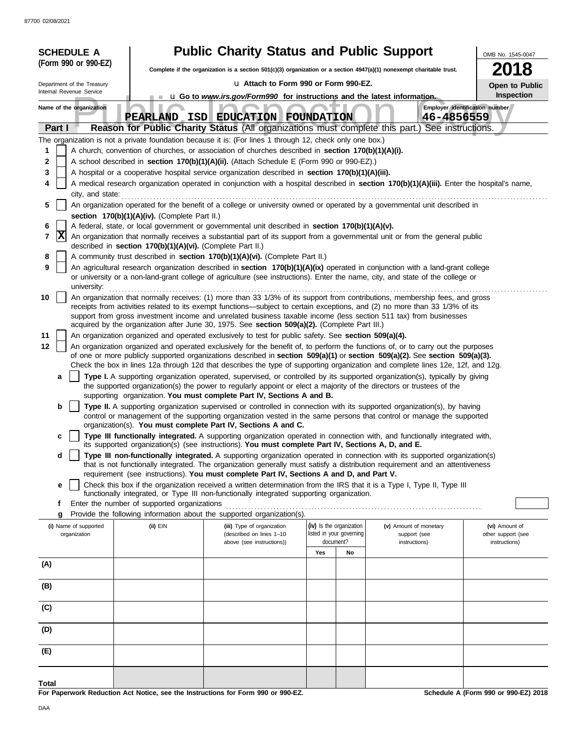87700 02/08/2021

| <b>SCHEDULE A</b>                                                                                                             |                                                                                                             | <b>Public Charity Status and Public Support</b>                                                                                                                                                                                                                                                                                                                                                                                                                                                                                                                                                                                                                                                                                                                                                                                                                                                                                                                                                                                                                                                                                                                                                                                                                                                                                                                                                                                                                                                                                                                                                                                                                                                                                                                                                                                                                                                                                                                                                                                                                                                                                                                                                                                                                                                                                                                                                                                                                                                                                                                                                                                                                                                                                                                                                                                                                                                                                                                                                                                                                                                                                                                                                                                                                                                                                                                                                                                                                                                                                                                                                                                                                   |                                                                   |                                                         | OMB No. 1545-0047                                     |
|-------------------------------------------------------------------------------------------------------------------------------|-------------------------------------------------------------------------------------------------------------|-------------------------------------------------------------------------------------------------------------------------------------------------------------------------------------------------------------------------------------------------------------------------------------------------------------------------------------------------------------------------------------------------------------------------------------------------------------------------------------------------------------------------------------------------------------------------------------------------------------------------------------------------------------------------------------------------------------------------------------------------------------------------------------------------------------------------------------------------------------------------------------------------------------------------------------------------------------------------------------------------------------------------------------------------------------------------------------------------------------------------------------------------------------------------------------------------------------------------------------------------------------------------------------------------------------------------------------------------------------------------------------------------------------------------------------------------------------------------------------------------------------------------------------------------------------------------------------------------------------------------------------------------------------------------------------------------------------------------------------------------------------------------------------------------------------------------------------------------------------------------------------------------------------------------------------------------------------------------------------------------------------------------------------------------------------------------------------------------------------------------------------------------------------------------------------------------------------------------------------------------------------------------------------------------------------------------------------------------------------------------------------------------------------------------------------------------------------------------------------------------------------------------------------------------------------------------------------------------------------------------------------------------------------------------------------------------------------------------------------------------------------------------------------------------------------------------------------------------------------------------------------------------------------------------------------------------------------------------------------------------------------------------------------------------------------------------------------------------------------------------------------------------------------------------------------------------------------------------------------------------------------------------------------------------------------------------------------------------------------------------------------------------------------------------------------------------------------------------------------------------------------------------------------------------------------------------------------------------------------------------------------------------------------------|-------------------------------------------------------------------|---------------------------------------------------------|-------------------------------------------------------|
| (Form 990 or 990-EZ)                                                                                                          |                                                                                                             | Complete if the organization is a section 501(c)(3) organization or a section $4947(a)(1)$ nonexempt charitable trust.                                                                                                                                                                                                                                                                                                                                                                                                                                                                                                                                                                                                                                                                                                                                                                                                                                                                                                                                                                                                                                                                                                                                                                                                                                                                                                                                                                                                                                                                                                                                                                                                                                                                                                                                                                                                                                                                                                                                                                                                                                                                                                                                                                                                                                                                                                                                                                                                                                                                                                                                                                                                                                                                                                                                                                                                                                                                                                                                                                                                                                                                                                                                                                                                                                                                                                                                                                                                                                                                                                                                            |                                                                   |                                                         | 18                                                    |
| Department of the Treasury                                                                                                    |                                                                                                             | u Attach to Form 990 or Form 990-EZ.                                                                                                                                                                                                                                                                                                                                                                                                                                                                                                                                                                                                                                                                                                                                                                                                                                                                                                                                                                                                                                                                                                                                                                                                                                                                                                                                                                                                                                                                                                                                                                                                                                                                                                                                                                                                                                                                                                                                                                                                                                                                                                                                                                                                                                                                                                                                                                                                                                                                                                                                                                                                                                                                                                                                                                                                                                                                                                                                                                                                                                                                                                                                                                                                                                                                                                                                                                                                                                                                                                                                                                                                                              |                                                                   |                                                         | Open to Public                                        |
| Internal Revenue Service                                                                                                      |                                                                                                             | <b>u</b> Go to www.irs.gov/Form990 for instructions and the latest information.                                                                                                                                                                                                                                                                                                                                                                                                                                                                                                                                                                                                                                                                                                                                                                                                                                                                                                                                                                                                                                                                                                                                                                                                                                                                                                                                                                                                                                                                                                                                                                                                                                                                                                                                                                                                                                                                                                                                                                                                                                                                                                                                                                                                                                                                                                                                                                                                                                                                                                                                                                                                                                                                                                                                                                                                                                                                                                                                                                                                                                                                                                                                                                                                                                                                                                                                                                                                                                                                                                                                                                                   |                                                                   |                                                         | Inspection                                            |
| Name of the organization                                                                                                      |                                                                                                             | PEARLAND ISD EDUCATION FOUNDATION                                                                                                                                                                                                                                                                                                                                                                                                                                                                                                                                                                                                                                                                                                                                                                                                                                                                                                                                                                                                                                                                                                                                                                                                                                                                                                                                                                                                                                                                                                                                                                                                                                                                                                                                                                                                                                                                                                                                                                                                                                                                                                                                                                                                                                                                                                                                                                                                                                                                                                                                                                                                                                                                                                                                                                                                                                                                                                                                                                                                                                                                                                                                                                                                                                                                                                                                                                                                                                                                                                                                                                                                                                 |                                                                   | 46-4856559                                              | Employer identification number                        |
| Part I                                                                                                                        |                                                                                                             | Reason for Public Charity Status (All organizations must complete this part.) See instructions.                                                                                                                                                                                                                                                                                                                                                                                                                                                                                                                                                                                                                                                                                                                                                                                                                                                                                                                                                                                                                                                                                                                                                                                                                                                                                                                                                                                                                                                                                                                                                                                                                                                                                                                                                                                                                                                                                                                                                                                                                                                                                                                                                                                                                                                                                                                                                                                                                                                                                                                                                                                                                                                                                                                                                                                                                                                                                                                                                                                                                                                                                                                                                                                                                                                                                                                                                                                                                                                                                                                                                                   |                                                                   |                                                         |                                                       |
| 1<br>2<br>3<br>4<br>city, and state:<br>5<br>6<br>Ιx<br>7<br>8<br>9<br>university:<br>10<br>11<br>12<br>a<br>b<br>c<br>d<br>е | section 170(b)(1)(A)(iv). (Complete Part II.)<br>described in section 170(b)(1)(A)(vi). (Complete Part II.) | The organization is not a private foundation because it is: (For lines 1 through 12, check only one box.)<br>A church, convention of churches, or association of churches described in section 170(b)(1)(A)(i).<br>A school described in section 170(b)(1)(A)(ii). (Attach Schedule E (Form 990 or 990-EZ).)<br>A hospital or a cooperative hospital service organization described in section 170(b)(1)(A)(iii).<br>A medical research organization operated in conjunction with a hospital described in section 170(b)(1)(A)(iii). Enter the hospital's name,<br>An organization operated for the benefit of a college or university owned or operated by a governmental unit described in<br>A federal, state, or local government or governmental unit described in section 170(b)(1)(A)(v).<br>An organization that normally receives a substantial part of its support from a governmental unit or from the general public<br>A community trust described in section 170(b)(1)(A)(vi). (Complete Part II.)<br>An agricultural research organization described in section 170(b)(1)(A)(ix) operated in conjunction with a land-grant college<br>or university or a non-land-grant college of agriculture (see instructions). Enter the name, city, and state of the college or<br>An organization that normally receives: (1) more than 33 1/3% of its support from contributions, membership fees, and gross<br>receipts from activities related to its exempt functions—subject to certain exceptions, and (2) no more than 33 1/3% of its<br>support from gross investment income and unrelated business taxable income (less section 511 tax) from businesses<br>acquired by the organization after June 30, 1975. See section 509(a)(2). (Complete Part III.)<br>An organization organized and operated exclusively to test for public safety. See section 509(a)(4).<br>An organization organized and operated exclusively for the benefit of, to perform the functions of, or to carry out the purposes<br>of one or more publicly supported organizations described in section 509(a)(1) or section 509(a)(2). See section 509(a)(3).<br>Check the box in lines 12a through 12d that describes the type of supporting organization and complete lines 12e, 12f, and 12g.<br>Type I. A supporting organization operated, supervised, or controlled by its supported organization(s), typically by giving<br>the supported organization(s) the power to regularly appoint or elect a majority of the directors or trustees of the<br>supporting organization. You must complete Part IV, Sections A and B.<br>Type II. A supporting organization supervised or controlled in connection with its supported organization(s), by having<br>control or management of the supporting organization vested in the same persons that control or manage the supported<br>organization(s). You must complete Part IV, Sections A and C.<br>Type III functionally integrated. A supporting organization operated in connection with, and functionally integrated with,<br>its supported organization(s) (see instructions). You must complete Part IV, Sections A, D, and E.<br>Type III non-functionally integrated. A supporting organization operated in connection with its supported organization(s)<br>that is not functionally integrated. The organization generally must satisfy a distribution requirement and an attentiveness<br>requirement (see instructions). You must complete Part IV, Sections A and D, and Part V.<br>Check this box if the organization received a written determination from the IRS that it is a Type I, Type II, Type III |                                                                   |                                                         |                                                       |
| f                                                                                                                             | Enter the number of supported organizations                                                                 | functionally integrated, or Type III non-functionally integrated supporting organization.                                                                                                                                                                                                                                                                                                                                                                                                                                                                                                                                                                                                                                                                                                                                                                                                                                                                                                                                                                                                                                                                                                                                                                                                                                                                                                                                                                                                                                                                                                                                                                                                                                                                                                                                                                                                                                                                                                                                                                                                                                                                                                                                                                                                                                                                                                                                                                                                                                                                                                                                                                                                                                                                                                                                                                                                                                                                                                                                                                                                                                                                                                                                                                                                                                                                                                                                                                                                                                                                                                                                                                         |                                                                   |                                                         |                                                       |
| g                                                                                                                             |                                                                                                             | Provide the following information about the supported organization(s).                                                                                                                                                                                                                                                                                                                                                                                                                                                                                                                                                                                                                                                                                                                                                                                                                                                                                                                                                                                                                                                                                                                                                                                                                                                                                                                                                                                                                                                                                                                                                                                                                                                                                                                                                                                                                                                                                                                                                                                                                                                                                                                                                                                                                                                                                                                                                                                                                                                                                                                                                                                                                                                                                                                                                                                                                                                                                                                                                                                                                                                                                                                                                                                                                                                                                                                                                                                                                                                                                                                                                                                            |                                                                   |                                                         |                                                       |
| (i) Name of supported<br>organization                                                                                         | (ii) EIN                                                                                                    | (iii) Type of organization<br>(described on lines 1-10<br>above (see instructions))                                                                                                                                                                                                                                                                                                                                                                                                                                                                                                                                                                                                                                                                                                                                                                                                                                                                                                                                                                                                                                                                                                                                                                                                                                                                                                                                                                                                                                                                                                                                                                                                                                                                                                                                                                                                                                                                                                                                                                                                                                                                                                                                                                                                                                                                                                                                                                                                                                                                                                                                                                                                                                                                                                                                                                                                                                                                                                                                                                                                                                                                                                                                                                                                                                                                                                                                                                                                                                                                                                                                                                               | (iv) Is the organization<br>listed in your governing<br>document? | (v) Amount of monetary<br>support (see<br>instructions) | (vi) Amount of<br>other support (see<br>instructions) |
|                                                                                                                               |                                                                                                             |                                                                                                                                                                                                                                                                                                                                                                                                                                                                                                                                                                                                                                                                                                                                                                                                                                                                                                                                                                                                                                                                                                                                                                                                                                                                                                                                                                                                                                                                                                                                                                                                                                                                                                                                                                                                                                                                                                                                                                                                                                                                                                                                                                                                                                                                                                                                                                                                                                                                                                                                                                                                                                                                                                                                                                                                                                                                                                                                                                                                                                                                                                                                                                                                                                                                                                                                                                                                                                                                                                                                                                                                                                                                   | Yes<br>No                                                         |                                                         |                                                       |
| (A)                                                                                                                           |                                                                                                             |                                                                                                                                                                                                                                                                                                                                                                                                                                                                                                                                                                                                                                                                                                                                                                                                                                                                                                                                                                                                                                                                                                                                                                                                                                                                                                                                                                                                                                                                                                                                                                                                                                                                                                                                                                                                                                                                                                                                                                                                                                                                                                                                                                                                                                                                                                                                                                                                                                                                                                                                                                                                                                                                                                                                                                                                                                                                                                                                                                                                                                                                                                                                                                                                                                                                                                                                                                                                                                                                                                                                                                                                                                                                   |                                                                   |                                                         |                                                       |
| (B)                                                                                                                           |                                                                                                             |                                                                                                                                                                                                                                                                                                                                                                                                                                                                                                                                                                                                                                                                                                                                                                                                                                                                                                                                                                                                                                                                                                                                                                                                                                                                                                                                                                                                                                                                                                                                                                                                                                                                                                                                                                                                                                                                                                                                                                                                                                                                                                                                                                                                                                                                                                                                                                                                                                                                                                                                                                                                                                                                                                                                                                                                                                                                                                                                                                                                                                                                                                                                                                                                                                                                                                                                                                                                                                                                                                                                                                                                                                                                   |                                                                   |                                                         |                                                       |
| (C)                                                                                                                           |                                                                                                             |                                                                                                                                                                                                                                                                                                                                                                                                                                                                                                                                                                                                                                                                                                                                                                                                                                                                                                                                                                                                                                                                                                                                                                                                                                                                                                                                                                                                                                                                                                                                                                                                                                                                                                                                                                                                                                                                                                                                                                                                                                                                                                                                                                                                                                                                                                                                                                                                                                                                                                                                                                                                                                                                                                                                                                                                                                                                                                                                                                                                                                                                                                                                                                                                                                                                                                                                                                                                                                                                                                                                                                                                                                                                   |                                                                   |                                                         |                                                       |
| (D)                                                                                                                           |                                                                                                             |                                                                                                                                                                                                                                                                                                                                                                                                                                                                                                                                                                                                                                                                                                                                                                                                                                                                                                                                                                                                                                                                                                                                                                                                                                                                                                                                                                                                                                                                                                                                                                                                                                                                                                                                                                                                                                                                                                                                                                                                                                                                                                                                                                                                                                                                                                                                                                                                                                                                                                                                                                                                                                                                                                                                                                                                                                                                                                                                                                                                                                                                                                                                                                                                                                                                                                                                                                                                                                                                                                                                                                                                                                                                   |                                                                   |                                                         |                                                       |
| (E)                                                                                                                           |                                                                                                             |                                                                                                                                                                                                                                                                                                                                                                                                                                                                                                                                                                                                                                                                                                                                                                                                                                                                                                                                                                                                                                                                                                                                                                                                                                                                                                                                                                                                                                                                                                                                                                                                                                                                                                                                                                                                                                                                                                                                                                                                                                                                                                                                                                                                                                                                                                                                                                                                                                                                                                                                                                                                                                                                                                                                                                                                                                                                                                                                                                                                                                                                                                                                                                                                                                                                                                                                                                                                                                                                                                                                                                                                                                                                   |                                                                   |                                                         |                                                       |
| Total                                                                                                                         |                                                                                                             |                                                                                                                                                                                                                                                                                                                                                                                                                                                                                                                                                                                                                                                                                                                                                                                                                                                                                                                                                                                                                                                                                                                                                                                                                                                                                                                                                                                                                                                                                                                                                                                                                                                                                                                                                                                                                                                                                                                                                                                                                                                                                                                                                                                                                                                                                                                                                                                                                                                                                                                                                                                                                                                                                                                                                                                                                                                                                                                                                                                                                                                                                                                                                                                                                                                                                                                                                                                                                                                                                                                                                                                                                                                                   |                                                                   |                                                         |                                                       |
|                                                                                                                               |                                                                                                             | For Paperwork Reduction Act Notice, see the Instructions for Form 990 or 990-EZ.                                                                                                                                                                                                                                                                                                                                                                                                                                                                                                                                                                                                                                                                                                                                                                                                                                                                                                                                                                                                                                                                                                                                                                                                                                                                                                                                                                                                                                                                                                                                                                                                                                                                                                                                                                                                                                                                                                                                                                                                                                                                                                                                                                                                                                                                                                                                                                                                                                                                                                                                                                                                                                                                                                                                                                                                                                                                                                                                                                                                                                                                                                                                                                                                                                                                                                                                                                                                                                                                                                                                                                                  |                                                                   |                                                         | Schedule A (Form 990 or 990-EZ) 2018                  |

aperwork Reduction Act Notice, see the Instructions for Form 990 or 990-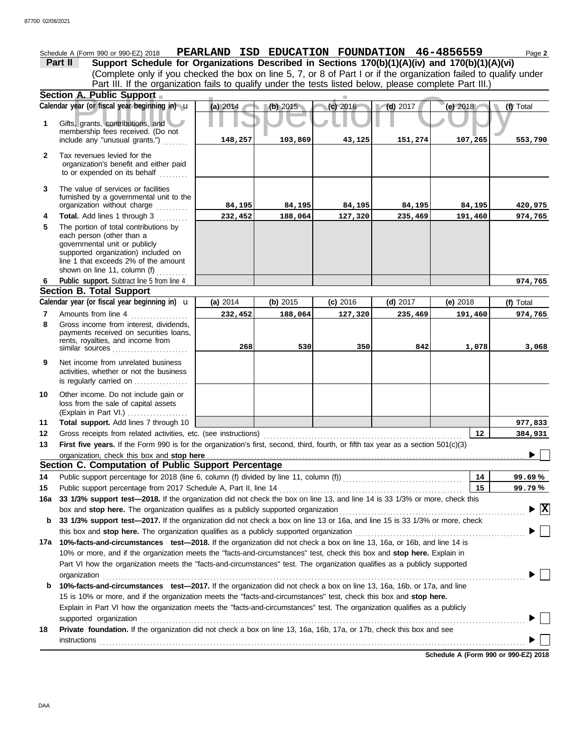**A. Public Support**<br>
year (or fiscal year beginning in) **u** (a) 2014<br>
S. grants, contributions, and<br>
mbership fees received. (Do not (Explain in Part VI.) . . . . . . . . . . . . . . . . . . . governmental unit or publicly **Section A. Public Support Total support.** Add lines 7 through 10 loss from the sale of capital assets Other income. Do not include gain or is regularly carried on ................. activities, whether or not the business Net income from unrelated business rents, royalties, and income from payments received on securities loans, Gross income from interest, dividends, line 1 that exceeds 2% of the amount supported organization) included on each person (other than a The portion of total contributions by **Total.** Add lines 1 through 3 .......... The value of services or facilities to or expended on its behalf ......... organization's benefit and either paid Tax revenues levied for the First five years. If the Form 990 is for the organization's first, second, third, fourth, or fifth tax year as a section 501(c)(3) Gross receipts from related activities, etc. (see instructions) . . . . . . . . . . . . . . . . . . . . . . . . . . . . . . . . . . . . . . . . . . . . . . . . . . . . . . . . . . . . . . . Amounts from line 4 Public support. Subtract line 5 from line 4 include any "unusual grants.") . . . . . . . . membership fees received. (Do not Gifts, grants, contributions, and Schedule A (Form 990 or 990-EZ) 2018 **PEARLAND ISD EDUCATION FOUNDATION 46-4856559** Page 2 **13 12 11 9 8 6 4 3 2 1 (a)** 2014 **(b)** 2015 **(c)** 2016 **(d)** 2017 **(e)** 2018 (Complete only if you checked the box on line 5, 7, or 8 of Part I or if the organization failed to qualify under **Part II Support Schedule for Organizations Described in Sections 170(b)(1)(A)(iv) and 170(b)(1)(A)(vi)** Calendar year (or fiscal year beginning in)  $\cdot$  **(a)** 2014 (b) 2015 (c) 2016 (d) 2017 (d) 2017 (e) 2018 (f) Total furnished by a governmental unit to the organization without charge **5 Section B. Total Support 7** similar sources **10** organization, check this box and stop here **Section C. Computation of Public Support Percentage 12 14** Public support percentage for 2018 (line 6, column (f) divided by line 11, column (f)) . . . . . . . . . . . . . . . . . . . . . . . . . . . . . . . . . . . . . . Public support percentage from 2017 Schedule A, Part II, line 14 . . . . . . . . . . . . . . . . . . . . . . . . . . . . . . . . . . . . . . . . . . . . . . . . . . . . . . . . . . **15 16a 33 1/3% support test—2018.** If the organization did not check the box on line 13, and line 14 is 33 1/3% or more, check this box and stop here. The organization qualifies as a publicly supported organization .............. **b 33 1/3% support test—2017.** If the organization did not check a box on line 13 or 16a, and line 15 is 33 1/3% or more, check this box and **stop here.** The organization qualifies as a publicly supported organization . . . . . . . . . . . . . . . . . . . . . . . . . . . . . . . . . . . . . . . . . . . . . . . . . . . . . . **17a 10%-facts-and-circumstances test—2018.** If the organization did not check a box on line 13, 16a, or 16b, and line 14 is 10% or more, and if the organization meets the "facts-and-circumstances" test, check this box and **stop here.** Explain in Part VI how the organization meets the "facts-and-circumstances" test. The organization qualifies as a publicly supported **b 10%-facts-and-circumstances test—2017.** If the organization did not check a box on line 13, 16a, 16b, or 17a, and line Explain in Part VI how the organization meets the "facts-and-circumstances" test. The organization qualifies as a publicly 15 is 10% or more, and if the organization meets the "facts-and-circumstances" test, check this box and **stop here. 18 Private foundation.** If the organization did not check a box on line 13, 16a, 16b, 17a, or 17b, check this box and see **14 15 % 99.69 % 99.79** Calendar year (or fiscal year beginning in)  $\bf{u}$  (a) 2014 (b) 2015 (c) 2016 (d) 2017 (e) 2018 (f) Total Part III. If the organization fails to qualify under the tests listed below, please complete Part III.) **(a)** 2014 shown on line 11, column (f)  $\ldots$ organization . . . . . . . . . . . . . . . . . . . . . . . . . . . . . . . . . . . . . . . . . . . . . . . . . . . . . . . . . . . . . . . . . . . . . . . . . . . . . . . . . . . . . . . . . . . . . . . . . . . . . . . . . . . . . . . . . . . . . . . . . . . . . . . . . . . . . . supported organization . . . . . . . . . . . . . . . . . . . . . . . . . . . . . . . . . . . . . . . . . . . . . . . . . . . . . . . . . . . . . . . . . . . . . . . . . . . . . . . . . . . . . . . . . . . . . . . . . . . . . . . . . . . . . . . . . . . . . . . . . . instructions . . . . . . . . . . . . . . . . . . . . . . . . . . . . . . . . . . . . . . . . . . . . . . . . . . . . . . . . . . . . . . . . . . . . . . . . . . . . . . . . . . . . . . . . . . . . . . . . . . . . . . . . . . . . . . . . . . . . . . . . . . . . . . . . . . . . . . . u **(b)** 2015 **(c)** 2016 **(d)** 2017 **(e)** 2018 **148,257 103,869 43,125 151,274 107,265 553,790 84,195 84,195 84,195 84,195 84,195 420,975 232,452 188,064 127,320 235,469 191,460 974,765 974,765 232,452 188,064 127,320 235,469 191,460 974,765 268 530 350 842 1,078 3,068 977,833 384,931 X**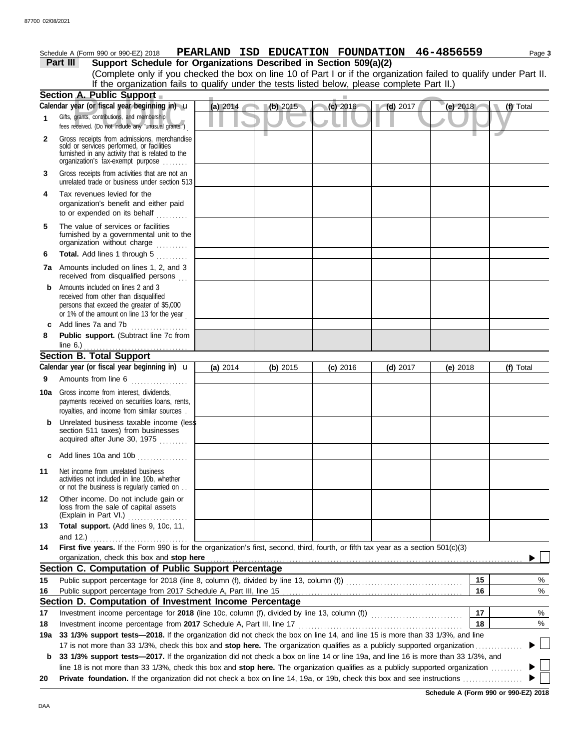|     | Schedule A (Form 990 or 990-EZ) 2018                                                                                                                                                                                                                            |          | PEARLAND ISD EDUCATION FOUNDATION 46-4856559 |            |            |            | Page 3    |
|-----|-----------------------------------------------------------------------------------------------------------------------------------------------------------------------------------------------------------------------------------------------------------------|----------|----------------------------------------------|------------|------------|------------|-----------|
|     | Support Schedule for Organizations Described in Section 509(a)(2)<br>Part III                                                                                                                                                                                   |          |                                              |            |            |            |           |
|     | (Complete only if you checked the box on line 10 of Part I or if the organization failed to qualify under Part II.                                                                                                                                              |          |                                              |            |            |            |           |
|     | If the organization fails to qualify under the tests listed below, please complete Part II.)                                                                                                                                                                    |          |                                              |            |            |            |           |
|     | Section A. Public Support                                                                                                                                                                                                                                       |          |                                              |            |            |            |           |
|     | Calendar year (or fiscal year beginning in) u                                                                                                                                                                                                                   | (a) 2014 | (b) 2015                                     | (c) 2016   | $(d)$ 2017 | (e) 2018   | (f) Total |
|     | Gifts, grants, contributions, and membership<br>fees received. (Do not include any "unusual grants.")                                                                                                                                                           |          |                                              |            |            |            |           |
| 2   | Gross receipts from admissions, merchandise<br>sold or services performed, or facilities<br>furnished in any activity that is related to the<br>organization's tax-exempt purpose                                                                               |          |                                              |            |            |            |           |
| 3   | Gross receipts from activities that are not an<br>unrelated trade or business under section 513                                                                                                                                                                 |          |                                              |            |            |            |           |
| 4   | Tax revenues levied for the<br>organization's benefit and either paid<br>to or expended on its behalf                                                                                                                                                           |          |                                              |            |            |            |           |
| 5   | The value of services or facilities<br>furnished by a governmental unit to the<br>organization without charge                                                                                                                                                   |          |                                              |            |            |            |           |
| 6   | Total. Add lines 1 through 5                                                                                                                                                                                                                                    |          |                                              |            |            |            |           |
|     | 7a Amounts included on lines 1, 2, and 3<br>received from disqualified persons                                                                                                                                                                                  |          |                                              |            |            |            |           |
| b   | Amounts included on lines 2 and 3<br>received from other than disqualified<br>persons that exceed the greater of \$5,000<br>or 1% of the amount on line 13 for the year                                                                                         |          |                                              |            |            |            |           |
| c   | Add lines 7a and 7b                                                                                                                                                                                                                                             |          |                                              |            |            |            |           |
| 8   | Public support. (Subtract line 7c from<br>line $6.$ )                                                                                                                                                                                                           |          |                                              |            |            |            |           |
|     | <b>Section B. Total Support</b>                                                                                                                                                                                                                                 |          |                                              |            |            |            |           |
|     | Calendar year (or fiscal year beginning in) <b>u</b>                                                                                                                                                                                                            | (a) 2014 | (b) $2015$                                   | $(c)$ 2016 | $(d)$ 2017 | (e) $2018$ | (f) Total |
| 9   | Amounts from line 6                                                                                                                                                                                                                                             |          |                                              |            |            |            |           |
| 10a | Gross income from interest, dividends,<br>payments received on securities loans, rents,<br>royalties, and income from similar sources.                                                                                                                          |          |                                              |            |            |            |           |
|     | <b>b</b> Unrelated business taxable income (less<br>section 511 taxes) from businesses<br>acquired after June 30, 1975                                                                                                                                          |          |                                              |            |            |            |           |
| c   | Add lines 10a and 10b                                                                                                                                                                                                                                           |          |                                              |            |            |            |           |
| 11  | Net income from unrelated business<br>activities not included in line 10b, whether<br>or not the business is regularly carried on                                                                                                                               |          |                                              |            |            |            |           |
| 12  | Other income. Do not include gain or<br>loss from the sale of capital assets<br>(Explain in Part VI.)                                                                                                                                                           |          |                                              |            |            |            |           |
| 13  | Total support. (Add lines 9, 10c, 11,<br>and 12.) $\ldots$                                                                                                                                                                                                      |          |                                              |            |            |            |           |
| 14  | First five years. If the Form 990 is for the organization's first, second, third, fourth, or fifth tax year as a section 501(c)(3)                                                                                                                              |          |                                              |            |            |            |           |
|     | organization, check this box and stop here                                                                                                                                                                                                                      |          |                                              |            |            |            |           |
|     | Section C. Computation of Public Support Percentage                                                                                                                                                                                                             |          |                                              |            |            |            |           |
| 15  |                                                                                                                                                                                                                                                                 |          |                                              |            |            | 15         | %         |
| 16  |                                                                                                                                                                                                                                                                 |          |                                              |            |            | 16         | $\%$      |
|     | Section D. Computation of Investment Income Percentage                                                                                                                                                                                                          |          |                                              |            |            |            |           |
| 17  |                                                                                                                                                                                                                                                                 |          |                                              |            |            | 17         | %         |
| 18  |                                                                                                                                                                                                                                                                 |          |                                              |            |            | 18         | %         |
| 19a | 33 1/3% support tests-2018. If the organization did not check the box on line 14, and line 15 is more than 33 1/3%, and line                                                                                                                                    |          |                                              |            |            |            |           |
| b   | 17 is not more than 33 1/3%, check this box and stop here. The organization qualifies as a publicly supported organization<br>33 1/3% support tests-2017. If the organization did not check a box on line 14 or line 19a, and line 16 is more than 33 1/3%, and |          |                                              |            |            |            |           |
|     | line 18 is not more than 33 1/3%, check this box and stop here. The organization qualifies as a publicly supported organization                                                                                                                                 |          |                                              |            |            |            |           |
|     | 20 Private foundation. If the organization did not check a box on line 14, 19a, or 19b, check this box and see instructions                                                                                                                                     |          |                                              |            |            |            |           |

**20 Private foundation.** If the organization did not check a box on line 14, 19a, or 19b, check this box and see instructions . . . . . . . . . . . . . . . . . . .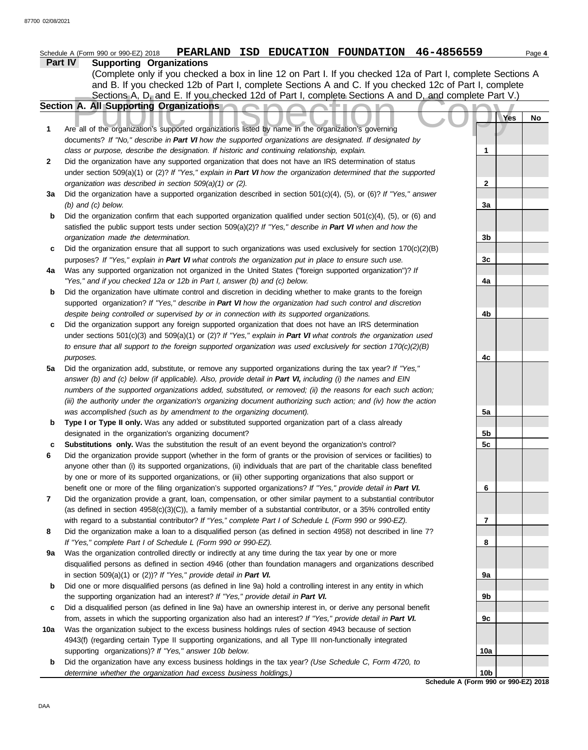|              | PEARLAND ISD EDUCATION FOUNDATION 46-4856559<br>Schedule A (Form 990 or 990-EZ) 2018                                                                                                                               |                 |     | Page 4 |
|--------------|--------------------------------------------------------------------------------------------------------------------------------------------------------------------------------------------------------------------|-----------------|-----|--------|
|              | <b>Supporting Organizations</b><br><b>Part IV</b>                                                                                                                                                                  |                 |     |        |
|              | (Complete only if you checked a box in line 12 on Part I. If you checked 12a of Part I, complete Sections A                                                                                                        |                 |     |        |
|              | and B. If you checked 12b of Part I, complete Sections A and C. If you checked 12c of Part I, complete                                                                                                             |                 |     |        |
|              | Sections A, D, and E. If you checked 12d of Part I, complete Sections A and D, and complete Part V.)                                                                                                               |                 |     |        |
|              | Section A. All Supporting Organizations                                                                                                                                                                            |                 |     |        |
|              |                                                                                                                                                                                                                    |                 | Yes | No     |
| 1            | Are all of the organization's supported organizations listed by name in the organization's governing                                                                                                               |                 |     |        |
|              | documents? If "No," describe in Part VI how the supported organizations are designated. If designated by                                                                                                           |                 |     |        |
|              | class or purpose, describe the designation. If historic and continuing relationship, explain.                                                                                                                      | 1               |     |        |
| $\mathbf{2}$ | Did the organization have any supported organization that does not have an IRS determination of status                                                                                                             |                 |     |        |
|              | under section 509(a)(1) or (2)? If "Yes," explain in Part VI how the organization determined that the supported                                                                                                    |                 |     |        |
|              | organization was described in section 509(a)(1) or (2).                                                                                                                                                            | $\mathbf{2}$    |     |        |
| За           | Did the organization have a supported organization described in section $501(c)(4)$ , (5), or (6)? If "Yes," answer                                                                                                |                 |     |        |
|              | $(b)$ and $(c)$ below.                                                                                                                                                                                             | 3a              |     |        |
| b            | Did the organization confirm that each supported organization qualified under section 501(c)(4), (5), or (6) and                                                                                                   |                 |     |        |
|              | satisfied the public support tests under section $509(a)(2)?$ If "Yes," describe in Part VI when and how the                                                                                                       |                 |     |        |
|              | organization made the determination.                                                                                                                                                                               | 3b              |     |        |
| c            | Did the organization ensure that all support to such organizations was used exclusively for section $170(c)(2)(B)$                                                                                                 |                 |     |        |
|              | purposes? If "Yes," explain in Part VI what controls the organization put in place to ensure such use.<br>Was any supported organization not organized in the United States ("foreign supported organization")? If | 3c              |     |        |
| 4a           | "Yes," and if you checked 12a or 12b in Part I, answer (b) and (c) below.                                                                                                                                          | 4a              |     |        |
| b            | Did the organization have ultimate control and discretion in deciding whether to make grants to the foreign                                                                                                        |                 |     |        |
|              | supported organization? If "Yes," describe in Part VI how the organization had such control and discretion                                                                                                         |                 |     |        |
|              | despite being controlled or supervised by or in connection with its supported organizations.                                                                                                                       | 4b              |     |        |
| c            | Did the organization support any foreign supported organization that does not have an IRS determination                                                                                                            |                 |     |        |
|              | under sections $501(c)(3)$ and $509(a)(1)$ or (2)? If "Yes," explain in Part VI what controls the organization used                                                                                                |                 |     |        |
|              | to ensure that all support to the foreign supported organization was used exclusively for section $170(c)(2)(B)$                                                                                                   |                 |     |        |
|              | purposes.                                                                                                                                                                                                          | 4c              |     |        |
| 5a           | Did the organization add, substitute, or remove any supported organizations during the tax year? If "Yes,"                                                                                                         |                 |     |        |
|              | answer (b) and (c) below (if applicable). Also, provide detail in Part VI, including (i) the names and EIN                                                                                                         |                 |     |        |
|              | numbers of the supported organizations added, substituted, or removed; (ii) the reasons for each such action;                                                                                                      |                 |     |        |
|              | (iii) the authority under the organization's organizing document authorizing such action; and (iv) how the action                                                                                                  |                 |     |        |
|              | was accomplished (such as by amendment to the organizing document).                                                                                                                                                | 5a              |     |        |
| b            | Type I or Type II only. Was any added or substituted supported organization part of a class already                                                                                                                |                 |     |        |
|              | designated in the organization's organizing document?                                                                                                                                                              | 5b              |     |        |
|              | Substitutions only. Was the substitution the result of an event beyond the organization's control?                                                                                                                 | 5c              |     |        |
| 6            | Did the organization provide support (whether in the form of grants or the provision of services or facilities) to                                                                                                 |                 |     |        |
|              | anyone other than (i) its supported organizations, (ii) individuals that are part of the charitable class benefited                                                                                                |                 |     |        |
|              | by one or more of its supported organizations, or (iii) other supporting organizations that also support or                                                                                                        |                 |     |        |
|              | benefit one or more of the filing organization's supported organizations? If "Yes," provide detail in Part VI.                                                                                                     | 6               |     |        |
| 7            | Did the organization provide a grant, loan, compensation, or other similar payment to a substantial contributor                                                                                                    |                 |     |        |
|              | (as defined in section $4958(c)(3)(C)$ ), a family member of a substantial contributor, or a 35% controlled entity                                                                                                 | 7               |     |        |
|              | with regard to a substantial contributor? If "Yes," complete Part I of Schedule L (Form 990 or 990-EZ).                                                                                                            |                 |     |        |
| 8            | Did the organization make a loan to a disqualified person (as defined in section 4958) not described in line 7?<br>If "Yes," complete Part I of Schedule L (Form 990 or 990-EZ).                                   | 8               |     |        |
| 9a           | Was the organization controlled directly or indirectly at any time during the tax year by one or more                                                                                                              |                 |     |        |
|              | disqualified persons as defined in section 4946 (other than foundation managers and organizations described                                                                                                        |                 |     |        |
|              | in section 509(a)(1) or (2))? If "Yes," provide detail in Part VI.                                                                                                                                                 | 9a              |     |        |
| b            | Did one or more disqualified persons (as defined in line 9a) hold a controlling interest in any entity in which                                                                                                    |                 |     |        |
|              | the supporting organization had an interest? If "Yes," provide detail in Part VI.                                                                                                                                  | 9b              |     |        |
| c            | Did a disqualified person (as defined in line 9a) have an ownership interest in, or derive any personal benefit                                                                                                    |                 |     |        |
|              | from, assets in which the supporting organization also had an interest? If "Yes," provide detail in Part VI.                                                                                                       | 9с              |     |        |
| 10a          | Was the organization subject to the excess business holdings rules of section 4943 because of section                                                                                                              |                 |     |        |
|              | 4943(f) (regarding certain Type II supporting organizations, and all Type III non-functionally integrated                                                                                                          |                 |     |        |
|              | supporting organizations)? If "Yes," answer 10b below.                                                                                                                                                             | 10a             |     |        |
| b            | Did the organization have any excess business holdings in the tax year? (Use Schedule C, Form 4720, to                                                                                                             |                 |     |        |
|              | determine whether the organization had excess business holdings.)                                                                                                                                                  | 10 <sub>b</sub> |     |        |
|              | Schedule A (Form 990 or 990-EZ) 2018                                                                                                                                                                               |                 |     |        |

DAA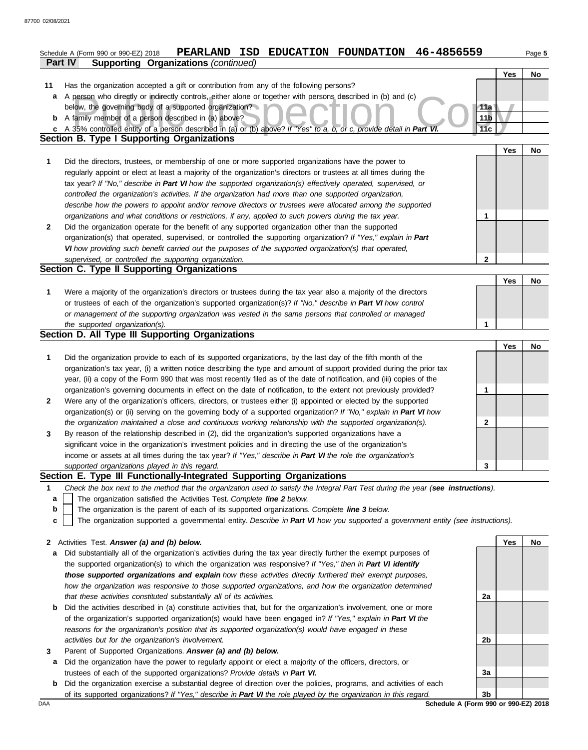|    | EDUCATION FOUNDATION 46-4856559<br>PEARLAND<br>ISD<br>Schedule A (Form 990 or 990-EZ) 2018                                        |                 |     | Page 5 |
|----|-----------------------------------------------------------------------------------------------------------------------------------|-----------------|-----|--------|
|    | <b>Supporting Organizations (continued)</b><br>Part IV                                                                            |                 |     |        |
|    |                                                                                                                                   |                 | Yes | No     |
| 11 | Has the organization accepted a gift or contribution from any of the following persons?                                           |                 |     |        |
| а  | A person who directly or indirectly controls, either alone or together with persons described in (b) and (c)                      |                 |     |        |
|    | below, the governing body of a supported organization?                                                                            | 11a             |     |        |
| b  | A family member of a person described in (a) above?                                                                               | 11 <sub>b</sub> |     |        |
| c  | A 35% controlled entity of a person described in (a) or (b) above? If "Yes" to a, b, or c, provide detail in Part VI.             | 11c             |     |        |
|    | <b>Section B. Type I Supporting Organizations</b>                                                                                 |                 |     |        |
|    |                                                                                                                                   |                 | Yes | No     |
| 1  | Did the directors, trustees, or membership of one or more supported organizations have the power to                               |                 |     |        |
|    | regularly appoint or elect at least a majority of the organization's directors or trustees at all times during the                |                 |     |        |
|    | tax year? If "No," describe in Part VI how the supported organization(s) effectively operated, supervised, or                     |                 |     |        |
|    | controlled the organization's activities. If the organization had more than one supported organization,                           |                 |     |        |
|    | describe how the powers to appoint and/or remove directors or trustees were allocated among the supported                         |                 |     |        |
|    | organizations and what conditions or restrictions, if any, applied to such powers during the tax year.                            | 1               |     |        |
| 2  | Did the organization operate for the benefit of any supported organization other than the supported                               |                 |     |        |
|    | organization(s) that operated, supervised, or controlled the supporting organization? If "Yes," explain in Part                   |                 |     |        |
|    | VI how providing such benefit carried out the purposes of the supported organization(s) that operated,                            |                 |     |        |
|    | supervised, or controlled the supporting organization.                                                                            | 2               |     |        |
|    | Section C. Type II Supporting Organizations                                                                                       |                 |     |        |
|    |                                                                                                                                   |                 | Yes | No     |
| 1  | Were a majority of the organization's directors or trustees during the tax year also a majority of the directors                  |                 |     |        |
|    | or trustees of each of the organization's supported organization(s)? If "No," describe in Part VI how control                     |                 |     |        |
|    | or management of the supporting organization was vested in the same persons that controlled or managed                            | 1               |     |        |
|    | the supported organization(s).<br>Section D. All Type III Supporting Organizations                                                |                 |     |        |
|    |                                                                                                                                   |                 | Yes | No     |
| 1  | Did the organization provide to each of its supported organizations, by the last day of the fifth month of the                    |                 |     |        |
|    | organization's tax year, (i) a written notice describing the type and amount of support provided during the prior tax             |                 |     |        |
|    | year, (ii) a copy of the Form 990 that was most recently filed as of the date of notification, and (iii) copies of the            |                 |     |        |
|    | organization's governing documents in effect on the date of notification, to the extent not previously provided?                  | 1               |     |        |
| 2  | Were any of the organization's officers, directors, or trustees either (i) appointed or elected by the supported                  |                 |     |        |
|    | organization(s) or (ii) serving on the governing body of a supported organization? If "No," explain in Part VI how                |                 |     |        |
|    | the organization maintained a close and continuous working relationship with the supported organization(s).                       | 2               |     |        |
| 3  | By reason of the relationship described in (2), did the organization's supported organizations have a                             |                 |     |        |
|    | significant voice in the organization's investment policies and in directing the use of the organization's                        |                 |     |        |
|    | income or assets at all times during the tax year? If "Yes," describe in Part VI the role the organization's                      |                 |     |        |
|    | supported organizations played in this regard.                                                                                    | 3               |     |        |
|    | Section E. Type III Functionally-Integrated Supporting Organizations                                                              |                 |     |        |
| 1  | Check the box next to the method that the organization used to satisfy the Integral Part Test during the year (see instructions). |                 |     |        |
| а  | The organization satisfied the Activities Test. Complete line 2 below.                                                            |                 |     |        |
| b  | The organization is the parent of each of its supported organizations. Complete line 3 below.                                     |                 |     |        |
| c  | The organization supported a governmental entity. Describe in Part VI how you supported a government entity (see instructions).   |                 |     |        |
|    |                                                                                                                                   |                 |     |        |
| 2  | Activities Test. Answer (a) and (b) below.                                                                                        |                 | Yes | No     |
| a  | Did substantially all of the organization's activities during the tax year directly further the exempt purposes of                |                 |     |        |
|    | the supported organization(s) to which the organization was responsive? If "Yes," then in Part VI identify                        |                 |     |        |
|    | those supported organizations and explain how these activities directly furthered their exempt purposes,                          |                 |     |        |
|    | how the organization was responsive to those supported organizations, and how the organization determined                         |                 |     |        |
|    | that these activities constituted substantially all of its activities.                                                            | 2a              |     |        |
| b  | Did the activities described in (a) constitute activities that, but for the organization's involvement, one or more               |                 |     |        |

- of the organization's supported organization(s) would have been engaged in? *If "Yes," explain in Part VI the reasons for the organization's position that its supported organization(s) would have engaged in these activities but for the organization's involvement.*
- **3** Parent of Supported Organizations. *Answer (a) and (b) below.*
	- **a** Did the organization have the power to regularly appoint or elect a majority of the officers, directors, or trustees of each of the supported organizations? *Provide details in Part VI.*
- **b** Did the organization exercise a substantial degree of direction over the policies, programs, and activities of each of its supported organizations? *If "Yes," describe in Part VI the role played by the organization in this regard.*

**2b 3a 3b**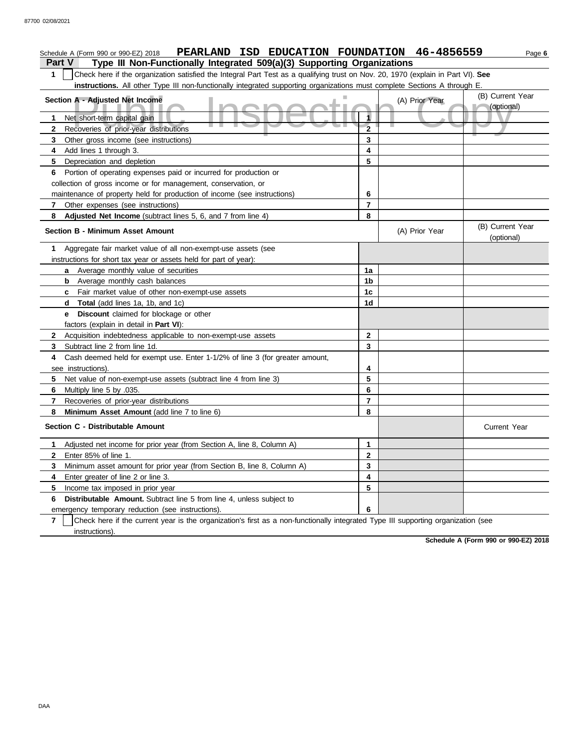#### A - Adjusted Net Income<br>et short-term capital gain<br>ecoveries of prior-year distributions **Part V Type III Non-Functionally Integrated 509(a)(3) Supporting Organizations** Schedule A (Form 990 or 990-EZ) 2018 **PEARLAND ISD EDUCATION FOUNDATION 46-4856559** Page 6 **1** Check here if the organization satisfied the Integral Part Test as a qualifying trust on Nov. 20, 1970 (explain in Part VI). **See instructions.** All other Type III non-functionally integrated supporting organizations must complete Sections A through E. **1** Net short-term capital gain **2 3 4** Add lines 1 through 3. **5** Depreciation and depletion **6** Portion of operating expenses paid or incurred for production or **7 8 Adjusted Net Income** (subtract lines 5, 6, and 7 from line 4) **1** Aggregate fair market value of all non-exempt-use assets (see **Section A - Adjusted Net Income** Recoveries of prior-year distributions Other gross income (see instructions) collection of gross income or for management, conservation, or maintenance of property held for production of income (see instructions) Other expenses (see instructions) **Section B - Minimum Asset Amount** instructions for short tax year or assets held for part of year): **a** Average monthly value of securities **b** Average monthly cash balances **c** Fair market value of other non-exempt-use assets **d Total** (add lines 1a, 1b, and 1c) **e Discount** claimed for blockage or other factors (explain in detail in **Part VI**): **8 Minimum Asset Amount** (add line 7 to line 6) **7 6** Multiply line 5 by .035. **5** Net value of non-exempt-use assets (subtract line 4 from line 3) **4** Cash deemed held for exempt use. Enter 1-1/2% of line 3 (for greater amount, **3** Subtract line 2 from line 1d. **2** Acquisition indebtedness applicable to non-exempt-use assets see instructions). Recoveries of prior-year distributions **Section C - Distributable Amount 6 Distributable Amount.** Subtract line 5 from line 4, unless subject to **5** Income tax imposed in prior year **4** Enter greater of line 2 or line 3. **3 2 1** Adjusted net income for prior year (from Section A, line 8, Column A) Enter 85% of line 1. Minimum asset amount for prior year (from Section B, line 8, Column A) emergency temporary reduction (see instructions). **8 7 6 5 4 3 2 1** (A) Prior Year (B) Current Year (optional) (optional) (B) Current Year (A) Prior Year **1a 1b 1c 1d 2 3 4 5 6 7 8 3 2 1 6 5 4** Current Year

**7** instructions). Check here if the current year is the organization's first as a non-functionally integrated Type III supporting organization (see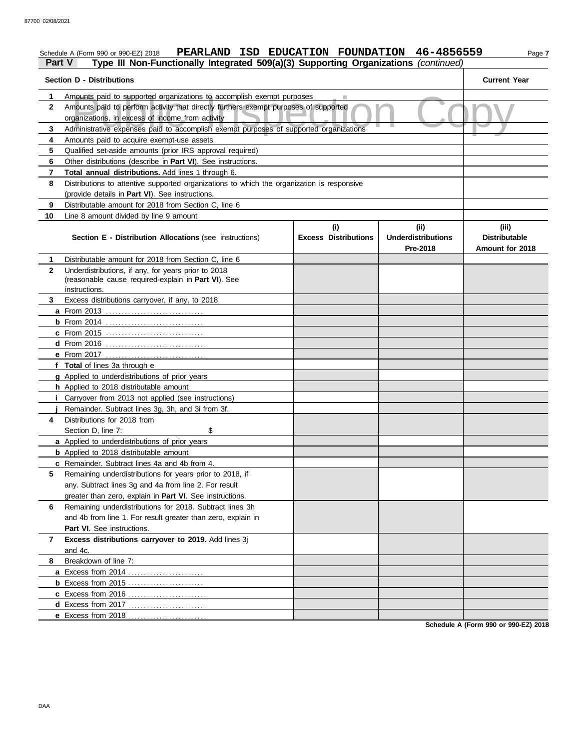# Schedule A (Form 990 or 990-EZ) 2018 **PEARLAND ISD EDUCATION FOUNDATION 46-4856559** Page 7

## **Part V Type III Non-Functionally Integrated 509(a)(3) Supporting Organizations** *(continued)*

| <b>Section D - Distributions</b> |                                                                                                                                          | <b>Current Year</b>                |                                               |                                                  |  |  |  |  |  |  |  |
|----------------------------------|------------------------------------------------------------------------------------------------------------------------------------------|------------------------------------|-----------------------------------------------|--------------------------------------------------|--|--|--|--|--|--|--|
| 1                                | Amounts paid to supported organizations to accomplish exempt purposes                                                                    |                                    |                                               |                                                  |  |  |  |  |  |  |  |
| $\mathbf{2}$                     | Amounts paid to perform activity that directly furthers exempt purposes of supported<br>organizations, in excess of income from activity |                                    |                                               |                                                  |  |  |  |  |  |  |  |
| 3                                | Administrative expenses paid to accomplish exempt purposes of supported organizations                                                    |                                    |                                               |                                                  |  |  |  |  |  |  |  |
| 4                                | Amounts paid to acquire exempt-use assets                                                                                                |                                    |                                               |                                                  |  |  |  |  |  |  |  |
| 5                                | Qualified set-aside amounts (prior IRS approval required)                                                                                |                                    |                                               |                                                  |  |  |  |  |  |  |  |
| 6                                | Other distributions (describe in Part VI). See instructions.                                                                             |                                    |                                               |                                                  |  |  |  |  |  |  |  |
| 7                                | Total annual distributions. Add lines 1 through 6.                                                                                       |                                    |                                               |                                                  |  |  |  |  |  |  |  |
| 8                                | Distributions to attentive supported organizations to which the organization is responsive                                               |                                    |                                               |                                                  |  |  |  |  |  |  |  |
|                                  | (provide details in Part VI). See instructions.                                                                                          |                                    |                                               |                                                  |  |  |  |  |  |  |  |
| 9                                | Distributable amount for 2018 from Section C, line 6                                                                                     |                                    |                                               |                                                  |  |  |  |  |  |  |  |
| 10                               | Line 8 amount divided by line 9 amount                                                                                                   |                                    |                                               |                                                  |  |  |  |  |  |  |  |
|                                  | <b>Section E - Distribution Allocations (see instructions)</b>                                                                           | (i)<br><b>Excess Distributions</b> | (ii)<br><b>Underdistributions</b><br>Pre-2018 | (iii)<br><b>Distributable</b><br>Amount for 2018 |  |  |  |  |  |  |  |
| 1                                | Distributable amount for 2018 from Section C, line 6                                                                                     |                                    |                                               |                                                  |  |  |  |  |  |  |  |
| $\mathbf{2}$                     | Underdistributions, if any, for years prior to 2018<br>(reasonable cause required-explain in Part VI). See<br>instructions.              |                                    |                                               |                                                  |  |  |  |  |  |  |  |
| 3.                               | Excess distributions carryover, if any, to 2018                                                                                          |                                    |                                               |                                                  |  |  |  |  |  |  |  |
|                                  |                                                                                                                                          |                                    |                                               |                                                  |  |  |  |  |  |  |  |
|                                  |                                                                                                                                          |                                    |                                               |                                                  |  |  |  |  |  |  |  |
|                                  | <b>c</b> From 2015                                                                                                                       |                                    |                                               |                                                  |  |  |  |  |  |  |  |
|                                  |                                                                                                                                          |                                    |                                               |                                                  |  |  |  |  |  |  |  |
|                                  |                                                                                                                                          |                                    |                                               |                                                  |  |  |  |  |  |  |  |
|                                  | f Total of lines 3a through e                                                                                                            |                                    |                                               |                                                  |  |  |  |  |  |  |  |
|                                  | g Applied to underdistributions of prior years                                                                                           |                                    |                                               |                                                  |  |  |  |  |  |  |  |
|                                  | h Applied to 2018 distributable amount                                                                                                   |                                    |                                               |                                                  |  |  |  |  |  |  |  |
|                                  | <i>i</i> Carryover from 2013 not applied (see instructions)                                                                              |                                    |                                               |                                                  |  |  |  |  |  |  |  |
|                                  | Remainder. Subtract lines 3g, 3h, and 3i from 3f.                                                                                        |                                    |                                               |                                                  |  |  |  |  |  |  |  |
| 4                                | Distributions for 2018 from                                                                                                              |                                    |                                               |                                                  |  |  |  |  |  |  |  |
|                                  | Section D. line 7:<br>\$                                                                                                                 |                                    |                                               |                                                  |  |  |  |  |  |  |  |
|                                  | a Applied to underdistributions of prior years                                                                                           |                                    |                                               |                                                  |  |  |  |  |  |  |  |
|                                  | <b>b</b> Applied to 2018 distributable amount                                                                                            |                                    |                                               |                                                  |  |  |  |  |  |  |  |
|                                  | c Remainder. Subtract lines 4a and 4b from 4.                                                                                            |                                    |                                               |                                                  |  |  |  |  |  |  |  |
| 5                                | Remaining underdistributions for years prior to 2018, if                                                                                 |                                    |                                               |                                                  |  |  |  |  |  |  |  |
|                                  | any. Subtract lines 3g and 4a from line 2. For result                                                                                    |                                    |                                               |                                                  |  |  |  |  |  |  |  |
|                                  | greater than zero, explain in Part VI. See instructions.                                                                                 |                                    |                                               |                                                  |  |  |  |  |  |  |  |
| 6                                | Remaining underdistributions for 2018. Subtract lines 3h                                                                                 |                                    |                                               |                                                  |  |  |  |  |  |  |  |
|                                  | and 4b from line 1. For result greater than zero, explain in                                                                             |                                    |                                               |                                                  |  |  |  |  |  |  |  |
|                                  | Part VI. See instructions.                                                                                                               |                                    |                                               |                                                  |  |  |  |  |  |  |  |
| 7                                | Excess distributions carryover to 2019. Add lines 3j<br>and 4c.                                                                          |                                    |                                               |                                                  |  |  |  |  |  |  |  |
| 8                                | Breakdown of line 7:                                                                                                                     |                                    |                                               |                                                  |  |  |  |  |  |  |  |
|                                  |                                                                                                                                          |                                    |                                               |                                                  |  |  |  |  |  |  |  |
|                                  | <b>b</b> Excess from 2015                                                                                                                |                                    |                                               |                                                  |  |  |  |  |  |  |  |
|                                  |                                                                                                                                          |                                    |                                               |                                                  |  |  |  |  |  |  |  |
|                                  | d Excess from 2017                                                                                                                       |                                    |                                               |                                                  |  |  |  |  |  |  |  |
|                                  | e Excess from 2018                                                                                                                       |                                    |                                               |                                                  |  |  |  |  |  |  |  |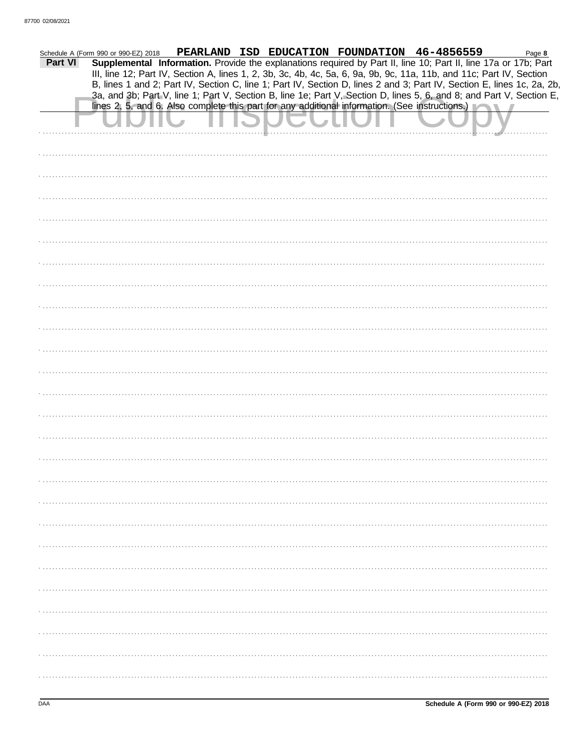|         | Schedule A (Form 990 or 990-EZ) 2018 |  |  | PEARLAND ISD EDUCATION FOUNDATION 46-4856559                                                                                                                                                                                            | Page 8 |
|---------|--------------------------------------|--|--|-----------------------------------------------------------------------------------------------------------------------------------------------------------------------------------------------------------------------------------------|--------|
| Part VI |                                      |  |  | Supplemental Information. Provide the explanations required by Part II, line 10; Part II, line 17a or 17b; Part<br>III, line 12; Part IV, Section A, lines 1, 2, 3b, 3c, 4b, 4c, 5a, 6, 9a, 9b, 9c, 11a, 11b, and 11c; Part IV, Section |        |
|         |                                      |  |  | B, lines 1 and 2; Part IV, Section C, line 1; Part IV, Section D, lines 2 and 3; Part IV, Section E, lines 1c, 2a, 2b,                                                                                                                  |        |
|         |                                      |  |  | 3a, and 3b; Part V, line 1; Part V, Section B, line 1e; Part V, Section D, lines 5, 6, and 8; and Part V, Section E,                                                                                                                    |        |
|         |                                      |  |  | lines 2, 5, and 6. Also complete this part for any additional information. (See instructions.)                                                                                                                                          |        |
|         |                                      |  |  |                                                                                                                                                                                                                                         |        |
|         |                                      |  |  |                                                                                                                                                                                                                                         |        |
|         |                                      |  |  |                                                                                                                                                                                                                                         |        |
|         |                                      |  |  |                                                                                                                                                                                                                                         |        |
|         |                                      |  |  |                                                                                                                                                                                                                                         |        |
|         |                                      |  |  |                                                                                                                                                                                                                                         |        |
|         |                                      |  |  |                                                                                                                                                                                                                                         |        |
|         |                                      |  |  |                                                                                                                                                                                                                                         |        |
|         |                                      |  |  |                                                                                                                                                                                                                                         |        |
|         |                                      |  |  |                                                                                                                                                                                                                                         |        |
|         |                                      |  |  |                                                                                                                                                                                                                                         |        |
|         |                                      |  |  |                                                                                                                                                                                                                                         |        |
|         |                                      |  |  |                                                                                                                                                                                                                                         |        |
|         |                                      |  |  |                                                                                                                                                                                                                                         |        |
|         |                                      |  |  |                                                                                                                                                                                                                                         |        |
|         |                                      |  |  |                                                                                                                                                                                                                                         |        |
|         |                                      |  |  |                                                                                                                                                                                                                                         |        |
|         |                                      |  |  |                                                                                                                                                                                                                                         |        |
|         |                                      |  |  |                                                                                                                                                                                                                                         |        |
|         |                                      |  |  |                                                                                                                                                                                                                                         |        |
|         |                                      |  |  |                                                                                                                                                                                                                                         |        |
|         |                                      |  |  |                                                                                                                                                                                                                                         |        |
|         |                                      |  |  |                                                                                                                                                                                                                                         |        |
|         |                                      |  |  |                                                                                                                                                                                                                                         |        |
|         |                                      |  |  |                                                                                                                                                                                                                                         |        |
|         |                                      |  |  |                                                                                                                                                                                                                                         |        |
|         |                                      |  |  |                                                                                                                                                                                                                                         |        |
|         |                                      |  |  |                                                                                                                                                                                                                                         |        |
|         |                                      |  |  |                                                                                                                                                                                                                                         |        |
|         |                                      |  |  |                                                                                                                                                                                                                                         |        |
|         |                                      |  |  |                                                                                                                                                                                                                                         |        |
|         |                                      |  |  |                                                                                                                                                                                                                                         |        |
|         |                                      |  |  |                                                                                                                                                                                                                                         |        |
|         |                                      |  |  |                                                                                                                                                                                                                                         |        |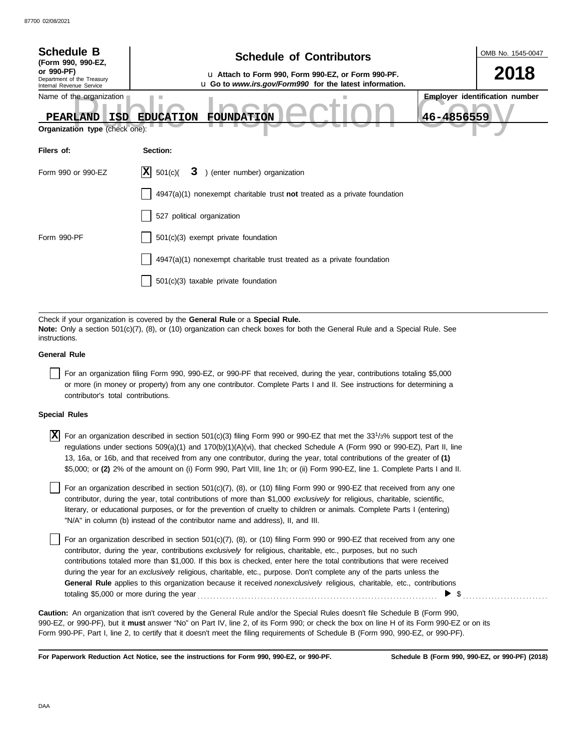| <b>Schedule B</b><br>(Form 990, 990-EZ,                                       | <b>Schedule of Contributors</b>                                                                                                                                                                                                              | OMB No. 1545-0047                     |
|-------------------------------------------------------------------------------|----------------------------------------------------------------------------------------------------------------------------------------------------------------------------------------------------------------------------------------------|---------------------------------------|
| or 990-PF)<br>Department of the Treasury<br>Internal Revenue Service          | u Attach to Form 990, Form 990-EZ, or Form 990-PF.<br>u Go to www.irs.gov/Form990 for the latest information.                                                                                                                                | 2018                                  |
| Name of the organization<br>ISD<br>PEARLAND<br>Organization type (check one): | 46-4856559<br><b>FOUNDATION</b><br><b>EDUCATION</b>                                                                                                                                                                                          | <b>Employer identification number</b> |
| Filers of:                                                                    | Section:                                                                                                                                                                                                                                     |                                       |
| Form 990 or 990-EZ                                                            | X <br>501(c)<br>3 ) (enter number) organization                                                                                                                                                                                              |                                       |
|                                                                               | $4947(a)(1)$ nonexempt charitable trust <b>not</b> treated as a private foundation                                                                                                                                                           |                                       |
|                                                                               | 527 political organization                                                                                                                                                                                                                   |                                       |
| Form 990-PF                                                                   | $501(c)(3)$ exempt private foundation                                                                                                                                                                                                        |                                       |
|                                                                               | 4947(a)(1) nonexempt charitable trust treated as a private foundation                                                                                                                                                                        |                                       |
|                                                                               | $501(c)(3)$ taxable private foundation                                                                                                                                                                                                       |                                       |
|                                                                               |                                                                                                                                                                                                                                              |                                       |
| instructions.                                                                 | Check if your organization is covered by the General Rule or a Special Rule.<br>Note: Only a section 501(c)(7), (8), or (10) organization can check boxes for both the General Rule and a Special Rule. See                                  |                                       |
| <b>General Rule</b>                                                           |                                                                                                                                                                                                                                              |                                       |
|                                                                               | For an organization filing Form 990, 990-EZ, or 990-PF that received, during the year, contributions totaling \$5,000<br>or more (in money or proporty) from any one contributor. Complete Darte Land II, Soo instructions for determining a |                                       |

or more (in money or property) from any one contributor. Complete Parts I and II. See instructions for determining a contributor's total contributions.

### **Special Rules**

 $\overline{X}$  For an organization described in section 501(c)(3) filing Form 990 or 990-EZ that met the 33<sup>1</sup>/3% support test of the regulations under sections 509(a)(1) and 170(b)(1)(A)(vi), that checked Schedule A (Form 990 or 990-EZ), Part II, line 13, 16a, or 16b, and that received from any one contributor, during the year, total contributions of the greater of **(1)** \$5,000; or **(2)** 2% of the amount on (i) Form 990, Part VIII, line 1h; or (ii) Form 990-EZ, line 1. Complete Parts I and II.

literary, or educational purposes, or for the prevention of cruelty to children or animals. Complete Parts I (entering) For an organization described in section  $501(c)(7)$ ,  $(8)$ , or  $(10)$  filing Form 990 or 990-EZ that received from any one contributor, during the year, total contributions of more than \$1,000 *exclusively* for religious, charitable, scientific, "N/A" in column (b) instead of the contributor name and address), II, and III.

For an organization described in section 501(c)(7), (8), or (10) filing Form 990 or 990-EZ that received from any one contributor, during the year, contributions *exclusively* for religious, charitable, etc., purposes, but no such contributions totaled more than \$1,000. If this box is checked, enter here the total contributions that were received during the year for an *exclusively* religious, charitable, etc., purpose. Don't complete any of the parts unless the **General Rule** applies to this organization because it received *nonexclusively* religious, charitable, etc., contributions totaling \$5,000 or more during the year . . . . . . . . . . . . . . . . . . . . . . . . . . . . . . . . . . . . . . . . . . . . . . . . . . . . . . . . . . . . . . . . . . . . . . . . . . . .  $\triangleright$  \$

990-EZ, or 990-PF), but it **must** answer "No" on Part IV, line 2, of its Form 990; or check the box on line H of its Form 990-EZ or on its Form 990-PF, Part I, line 2, to certify that it doesn't meet the filing requirements of Schedule B (Form 990, 990-EZ, or 990-PF). **Caution:** An organization that isn't covered by the General Rule and/or the Special Rules doesn't file Schedule B (Form 990,

**For Paperwork Reduction Act Notice, see the instructions for Form 990, 990-EZ, or 990-PF.**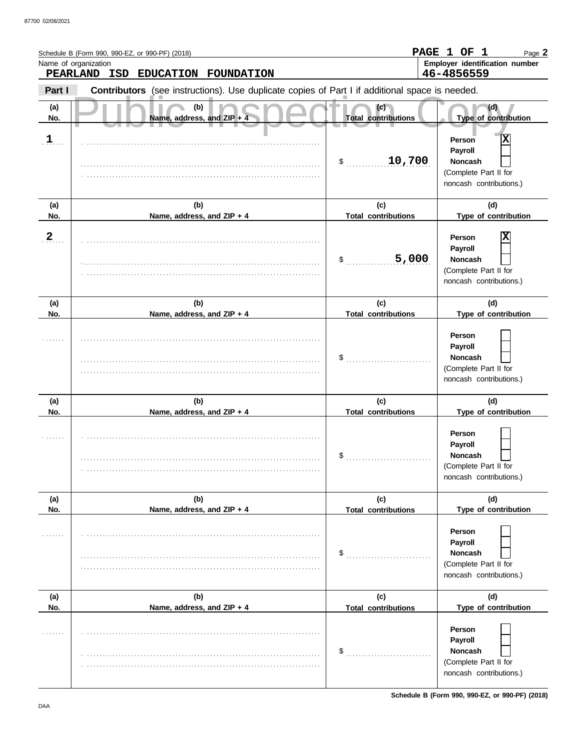|                | Schedule B (Form 990, 990-EZ, or 990-PF) (2018)<br>Name of organization                        |                                   | PAGE 1 OF 1<br>Page 2<br>Employer identification number                                      |
|----------------|------------------------------------------------------------------------------------------------|-----------------------------------|----------------------------------------------------------------------------------------------|
|                | PEARLAND<br>ISD<br><b>EDUCATION</b><br><b>FOUNDATION</b>                                       |                                   | 46-4856559                                                                                   |
| Part I         | Contributors (see instructions). Use duplicate copies of Part I if additional space is needed. |                                   |                                                                                              |
| (a)<br>No.     | (b)<br>Name, address, and ZIP + 4                                                              | (c)<br><b>Total contributions</b> | (d)<br>Type of contribution                                                                  |
| $1$            |                                                                                                | 10,700<br>$\mathfrak s$           | X<br>Person<br>Payroll<br><b>Noncash</b><br>(Complete Part II for<br>noncash contributions.) |
| (a)<br>No.     | (b)<br>Name, address, and ZIP + 4                                                              | (c)<br><b>Total contributions</b> | (d)<br>Type of contribution                                                                  |
| $\overline{2}$ |                                                                                                | 5,000<br>\$                       | X<br>Person<br>Payroll<br><b>Noncash</b><br>(Complete Part II for<br>noncash contributions.) |
| (a)<br>No.     | (b)<br>Name, address, and ZIP + 4                                                              | (c)<br><b>Total contributions</b> | (d)<br>Type of contribution                                                                  |
|                |                                                                                                | \$                                | Person<br>Payroll<br><b>Noncash</b><br>(Complete Part II for<br>noncash contributions.)      |
| (a)<br>No.     | (b)<br>Name, address, and ZIP + 4                                                              | (c)<br><b>Total contributions</b> | (d)<br>Type of contribution                                                                  |
|                |                                                                                                | \$                                | Person<br>Payroll<br>Noncash<br>(Complete Part II for<br>noncash contributions.)             |
| (a)<br>No.     | (b)<br>Name, address, and ZIP + 4                                                              | (c)<br><b>Total contributions</b> | (d)<br>Type of contribution                                                                  |
|                |                                                                                                | \$                                | Person<br>Payroll<br>Noncash<br>(Complete Part II for<br>noncash contributions.)             |
| (a)<br>No.     | (b)<br>Name, address, and ZIP + 4                                                              | (c)<br><b>Total contributions</b> | (d)<br>Type of contribution                                                                  |
| .              |                                                                                                | \$                                | Person<br>Payroll<br>Noncash<br>(Complete Part II for<br>noncash contributions.)             |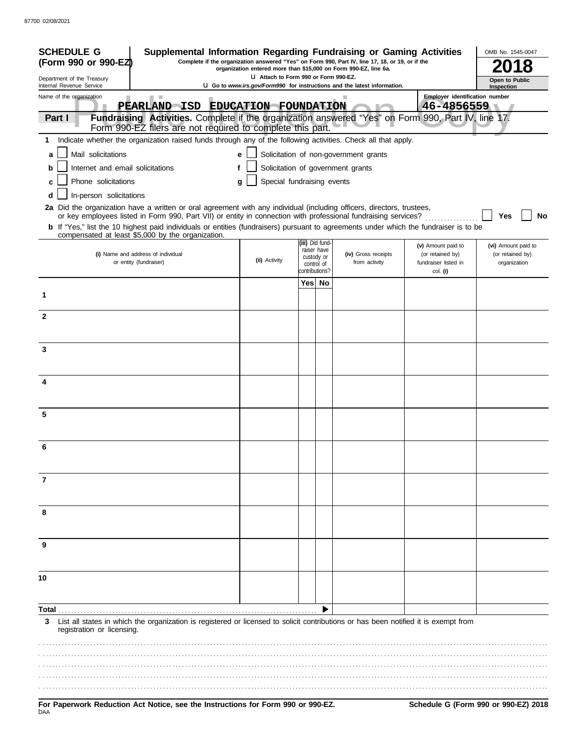| <b>SCHEDULE G</b><br>Supplemental Information Regarding Fundraising or Gaming Activities<br>(Form 990 or 990-EZ)                                                                                                                                                                                                                                                                  | organization entered more than \$15,000 on Form 990-EZ, line 6a. |                                                                              |  | Complete if the organization answered "Yes" on Form 990, Part IV, line 17, 18, or 19, or if the |                                                                            | OMB No. 1545-0047                                       |
|-----------------------------------------------------------------------------------------------------------------------------------------------------------------------------------------------------------------------------------------------------------------------------------------------------------------------------------------------------------------------------------|------------------------------------------------------------------|------------------------------------------------------------------------------|--|-------------------------------------------------------------------------------------------------|----------------------------------------------------------------------------|---------------------------------------------------------|
| Department of the Treasury                                                                                                                                                                                                                                                                                                                                                        | U Attach to Form 990 or Form 990-EZ.                             |                                                                              |  |                                                                                                 | Open to Public                                                             |                                                         |
| Internal Revenue Service<br>Name of the organization                                                                                                                                                                                                                                                                                                                              |                                                                  |                                                                              |  | U Go to www.irs.gov/Form990 for instructions and the latest information.                        | Employer identification number                                             | Inspection                                              |
| J.<br>PEARLAND ISD EDUCATION FOUNDATION                                                                                                                                                                                                                                                                                                                                           |                                                                  |                                                                              |  | ш                                                                                               | 46-4856559                                                                 |                                                         |
| Fundraising Activities. Complete if the organization answered "Yes" on Form 990, Part IV, line 17.<br>Part I<br>Form 990-EZ filers are not required to complete this part.                                                                                                                                                                                                        |                                                                  |                                                                              |  |                                                                                                 |                                                                            |                                                         |
| Indicate whether the organization raised funds through any of the following activities. Check all that apply.<br>1                                                                                                                                                                                                                                                                |                                                                  |                                                                              |  |                                                                                                 |                                                                            |                                                         |
| Mail solicitations<br>a                                                                                                                                                                                                                                                                                                                                                           | e                                                                |                                                                              |  | Solicitation of non-government grants                                                           |                                                                            |                                                         |
| Internet and email solicitations<br>b                                                                                                                                                                                                                                                                                                                                             |                                                                  |                                                                              |  | Solicitation of government grants                                                               |                                                                            |                                                         |
| Phone solicitations<br>c                                                                                                                                                                                                                                                                                                                                                          | Special fundraising events<br>a                                  |                                                                              |  |                                                                                                 |                                                                            |                                                         |
| In-person solicitations<br>d                                                                                                                                                                                                                                                                                                                                                      |                                                                  |                                                                              |  |                                                                                                 |                                                                            |                                                         |
| 2a Did the organization have a written or oral agreement with any individual (including officers, directors, trustees,<br>or key employees listed in Form 990, Part VII) or entity in connection with professional fundraising services?<br>b If "Yes," list the 10 highest paid individuals or entities (fundraisers) pursuant to agreements under which the fundraiser is to be |                                                                  |                                                                              |  |                                                                                                 |                                                                            | No<br>Yes                                               |
| compensated at least \$5,000 by the organization.                                                                                                                                                                                                                                                                                                                                 |                                                                  |                                                                              |  |                                                                                                 |                                                                            |                                                         |
| (i) Name and address of individual<br>or entity (fundraiser)                                                                                                                                                                                                                                                                                                                      | (ii) Activity                                                    | (iii) Did fund-<br>raiser have<br>custody or<br>control of<br>contributions? |  | (iv) Gross receipts<br>from activity                                                            | (v) Amount paid to<br>(or retained by)<br>fundraiser listed in<br>col. (i) | (vi) Amount paid to<br>(or retained by)<br>organization |
|                                                                                                                                                                                                                                                                                                                                                                                   |                                                                  | Yes No                                                                       |  |                                                                                                 |                                                                            |                                                         |
| 1                                                                                                                                                                                                                                                                                                                                                                                 |                                                                  |                                                                              |  |                                                                                                 |                                                                            |                                                         |
| $\mathbf{2}$                                                                                                                                                                                                                                                                                                                                                                      |                                                                  |                                                                              |  |                                                                                                 |                                                                            |                                                         |
|                                                                                                                                                                                                                                                                                                                                                                                   |                                                                  |                                                                              |  |                                                                                                 |                                                                            |                                                         |
| 3                                                                                                                                                                                                                                                                                                                                                                                 |                                                                  |                                                                              |  |                                                                                                 |                                                                            |                                                         |
|                                                                                                                                                                                                                                                                                                                                                                                   |                                                                  |                                                                              |  |                                                                                                 |                                                                            |                                                         |
| 4                                                                                                                                                                                                                                                                                                                                                                                 |                                                                  |                                                                              |  |                                                                                                 |                                                                            |                                                         |
|                                                                                                                                                                                                                                                                                                                                                                                   |                                                                  |                                                                              |  |                                                                                                 |                                                                            |                                                         |
| 5                                                                                                                                                                                                                                                                                                                                                                                 |                                                                  |                                                                              |  |                                                                                                 |                                                                            |                                                         |
| 6                                                                                                                                                                                                                                                                                                                                                                                 |                                                                  |                                                                              |  |                                                                                                 |                                                                            |                                                         |
|                                                                                                                                                                                                                                                                                                                                                                                   |                                                                  |                                                                              |  |                                                                                                 |                                                                            |                                                         |
| 7                                                                                                                                                                                                                                                                                                                                                                                 |                                                                  |                                                                              |  |                                                                                                 |                                                                            |                                                         |
| 8                                                                                                                                                                                                                                                                                                                                                                                 |                                                                  |                                                                              |  |                                                                                                 |                                                                            |                                                         |
| 9                                                                                                                                                                                                                                                                                                                                                                                 |                                                                  |                                                                              |  |                                                                                                 |                                                                            |                                                         |
|                                                                                                                                                                                                                                                                                                                                                                                   |                                                                  |                                                                              |  |                                                                                                 |                                                                            |                                                         |
| 10                                                                                                                                                                                                                                                                                                                                                                                |                                                                  |                                                                              |  |                                                                                                 |                                                                            |                                                         |
|                                                                                                                                                                                                                                                                                                                                                                                   |                                                                  |                                                                              |  |                                                                                                 |                                                                            |                                                         |
| Total<br>List all states in which the organization is registered or licensed to solicit contributions or has been notified it is exempt from<br>3<br>registration or licensing.                                                                                                                                                                                                   |                                                                  |                                                                              |  |                                                                                                 |                                                                            |                                                         |
|                                                                                                                                                                                                                                                                                                                                                                                   |                                                                  |                                                                              |  |                                                                                                 |                                                                            |                                                         |
|                                                                                                                                                                                                                                                                                                                                                                                   |                                                                  |                                                                              |  |                                                                                                 |                                                                            |                                                         |
|                                                                                                                                                                                                                                                                                                                                                                                   |                                                                  |                                                                              |  |                                                                                                 |                                                                            |                                                         |
|                                                                                                                                                                                                                                                                                                                                                                                   |                                                                  |                                                                              |  |                                                                                                 |                                                                            |                                                         |
| For Paperwork Reduction Act Notice, see the Instructions for Form 000 or 000-F7                                                                                                                                                                                                                                                                                                   |                                                                  |                                                                              |  |                                                                                                 |                                                                            | Schodule G (Form 000 or 000-F7) 2018                    |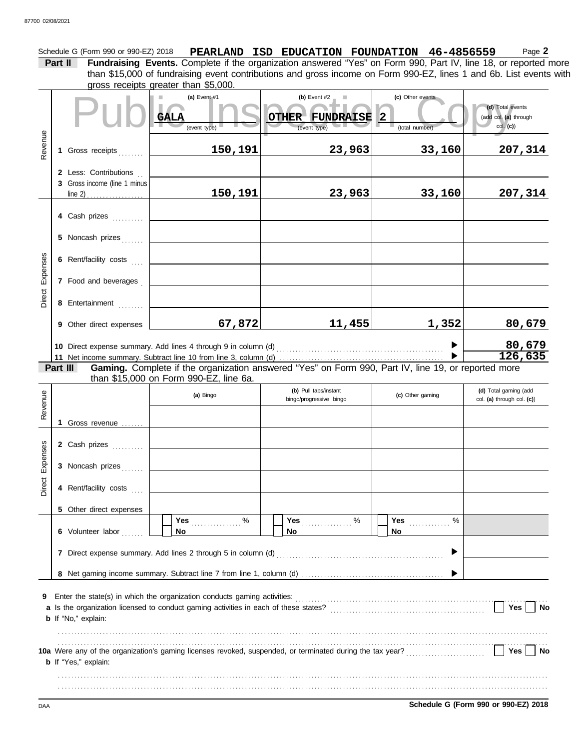|          | Part II | Schedule G (Form 990 or 990-EZ) 2018                                      | Fundraising Events. Complete if the organization answered "Yes" on Form 990, Part IV, line 18, or reported more<br>than \$15,000 of fundraising event contributions and gross income on Form 990-EZ, lines 1 and 6b. List events with<br>gross receipts greater than \$5,000. | PEARLAND ISD EDUCATION FOUNDATION 46-4856559             |                                                 | Page 2                                                |
|----------|---------|---------------------------------------------------------------------------|-------------------------------------------------------------------------------------------------------------------------------------------------------------------------------------------------------------------------------------------------------------------------------|----------------------------------------------------------|-------------------------------------------------|-------------------------------------------------------|
|          |         |                                                                           | (a) Event $#1$<br><b>I</b><br><b>GALA</b><br>(event type)                                                                                                                                                                                                                     | (b) Event $#2$<br><b>OTHER FUNDRAISE</b><br>(event type) | (c) Other events<br>$\vert$ 2<br>(total number) | (d) Total events<br>(add col. (a) through<br>col. (c) |
| Revenue  |         | 1 Gross receipts                                                          | 150,191                                                                                                                                                                                                                                                                       | 23,963                                                   | 33,160                                          | 207,314                                               |
|          |         | 2 Less: Contributions<br>3 Gross income (line 1 minus<br>line 2) $\ldots$ | 150,191                                                                                                                                                                                                                                                                       | 23,963                                                   | 33,160                                          | 207,314                                               |
|          |         | 4 Cash prizes                                                             |                                                                                                                                                                                                                                                                               |                                                          |                                                 |                                                       |
|          |         | 5 Noncash prizes                                                          |                                                                                                                                                                                                                                                                               |                                                          |                                                 |                                                       |
| Expenses |         | 6 Rent/facility costs                                                     |                                                                                                                                                                                                                                                                               |                                                          |                                                 |                                                       |
|          |         | 7 Food and beverages                                                      |                                                                                                                                                                                                                                                                               |                                                          |                                                 |                                                       |
| Direct   |         | 8 Entertainment                                                           |                                                                                                                                                                                                                                                                               |                                                          |                                                 |                                                       |
|          |         | 9 Other direct expenses                                                   | 67,872                                                                                                                                                                                                                                                                        | 11,455                                                   | 1,352                                           | 80,679                                                |
|          |         | Part III                                                                  | Gaming. Complete if the organization answered "Yes" on Form 990, Part IV, line 19, or reported more                                                                                                                                                                           |                                                          |                                                 | 80,679<br>126,635                                     |
| Revenue  |         |                                                                           | than \$15,000 on Form 990-EZ, line 6a.                                                                                                                                                                                                                                        | (b) Pull tabs/instant                                    | (c) Other gaming                                | (d) Total gaming (add                                 |
|          |         |                                                                           | (a) Bingo                                                                                                                                                                                                                                                                     | bingo/progressive bingo                                  |                                                 | col. (a) through col. (c))                            |
|          |         | 1 Gross revenue                                                           |                                                                                                                                                                                                                                                                               |                                                          |                                                 |                                                       |
|          |         | 2 Cash prizes                                                             |                                                                                                                                                                                                                                                                               |                                                          |                                                 |                                                       |
| Expenses |         | 3 Noncash prizes                                                          |                                                                                                                                                                                                                                                                               |                                                          |                                                 |                                                       |
| Direct   |         | 4 Rent/facility costs                                                     |                                                                                                                                                                                                                                                                               |                                                          |                                                 |                                                       |
|          |         | 5 Other direct expenses                                                   |                                                                                                                                                                                                                                                                               |                                                          |                                                 |                                                       |
|          |         | 6 Volunteer labor                                                         | <b>No</b>                                                                                                                                                                                                                                                                     | Yes $%$<br>No                                            | %<br>Yes <b>Market</b><br>No                    |                                                       |
|          |         |                                                                           |                                                                                                                                                                                                                                                                               |                                                          | ▶                                               |                                                       |
|          |         |                                                                           |                                                                                                                                                                                                                                                                               |                                                          |                                                 |                                                       |
| 9        |         | b If "No," explain:                                                       |                                                                                                                                                                                                                                                                               |                                                          |                                                 | Yes $\vert \ \vert$<br><b>No</b>                      |
|          |         | <b>b</b> If "Yes," explain:                                               |                                                                                                                                                                                                                                                                               |                                                          |                                                 | $Yes \mid \text{No}$                                  |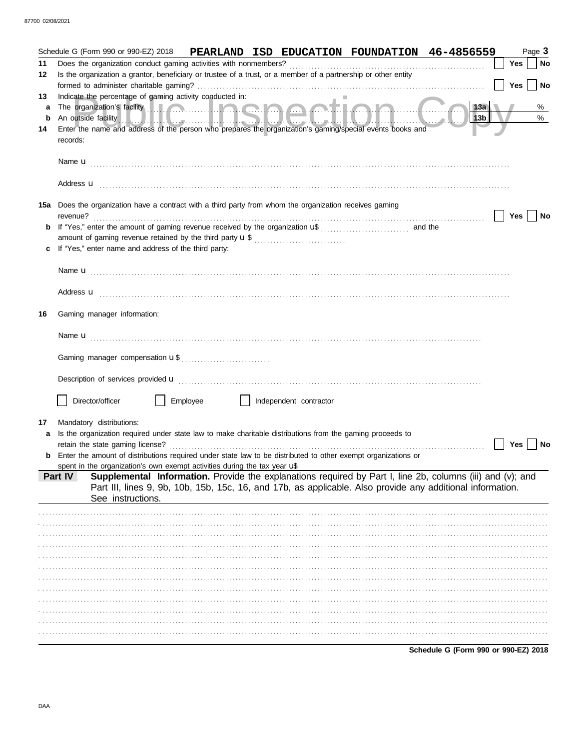|         | Schedule G (Form 990 or 990-EZ) 2018  PEARLAND ISD EDUCATION FOUNDATION 46-4856559                                                                                                                                                   |                            |            | Page 3 |
|---------|--------------------------------------------------------------------------------------------------------------------------------------------------------------------------------------------------------------------------------------|----------------------------|------------|--------|
| 11      |                                                                                                                                                                                                                                      |                            | <b>Yes</b> | No     |
| 12      | Is the organization a grantor, beneficiary or trustee of a trust, or a member of a partnership or other entity                                                                                                                       |                            |            |        |
|         |                                                                                                                                                                                                                                      |                            | Yes        | No     |
| 13      | Indicate the percentage of gaming activity conducted in:                                                                                                                                                                             |                            |            |        |
| a       | The organization's facility <b>of the contract of the contract of the contract of the contract of the contract of the contract of the contract of the contract of the contract of the contract of the contract of the contract o</b> | 13a<br>$\vert$ 13b $\vert$ |            | %<br>% |
| b<br>14 | An outside facility <b>And the Contract of Acids and Contract of Acids and Table 200</b><br>Enter the name and address of the person who prepares the organization's gaming/special events books and                                 |                            |            |        |
|         | records:                                                                                                                                                                                                                             |                            |            |        |
|         |                                                                                                                                                                                                                                      |                            |            |        |
|         |                                                                                                                                                                                                                                      |                            |            |        |
|         |                                                                                                                                                                                                                                      |                            |            |        |
|         |                                                                                                                                                                                                                                      |                            |            |        |
|         |                                                                                                                                                                                                                                      |                            |            |        |
|         | 15a Does the organization have a contract with a third party from whom the organization receives gaming<br>revenue?                                                                                                                  |                            | Yes        | No     |
| b       | If "Yes," enter the amount of gaming revenue received by the organization $\mathbf{u}^*$                                                                                                                                             |                            |            |        |
|         |                                                                                                                                                                                                                                      |                            |            |        |
|         | If "Yes," enter name and address of the third party:                                                                                                                                                                                 |                            |            |        |
|         |                                                                                                                                                                                                                                      |                            |            |        |
|         |                                                                                                                                                                                                                                      |                            |            |        |
|         |                                                                                                                                                                                                                                      |                            |            |        |
|         | Address <b>u</b>                                                                                                                                                                                                                     |                            |            |        |
| 16      | Gaming manager information:                                                                                                                                                                                                          |                            |            |        |
|         |                                                                                                                                                                                                                                      |                            |            |        |
|         |                                                                                                                                                                                                                                      |                            |            |        |
|         |                                                                                                                                                                                                                                      |                            |            |        |
|         |                                                                                                                                                                                                                                      |                            |            |        |
|         |                                                                                                                                                                                                                                      |                            |            |        |
|         |                                                                                                                                                                                                                                      |                            |            |        |
|         | Director/officer<br>Employee<br>Independent contractor                                                                                                                                                                               |                            |            |        |
|         |                                                                                                                                                                                                                                      |                            |            |        |
| 17      | Mandatory distributions:                                                                                                                                                                                                             |                            |            |        |
| a       | Is the organization required under state law to make charitable distributions from the gaming proceeds to                                                                                                                            |                            |            |        |
|         | retain the state gaming license?                                                                                                                                                                                                     |                            | Yes        | No     |
|         | <b>b</b> Enter the amount of distributions required under state law to be distributed to other exempt organizations or                                                                                                               |                            |            |        |
|         | spent in the organization's own exempt activities during the tax year us<br>Supplemental Information. Provide the explanations required by Part I, line 2b, columns (iii) and (v); and<br>Part IV                                    |                            |            |        |
|         | Part III, lines 9, 9b, 10b, 15b, 15c, 16, and 17b, as applicable. Also provide any additional information.                                                                                                                           |                            |            |        |
|         | See instructions.                                                                                                                                                                                                                    |                            |            |        |
|         |                                                                                                                                                                                                                                      |                            |            |        |
|         |                                                                                                                                                                                                                                      |                            |            |        |
|         |                                                                                                                                                                                                                                      |                            |            |        |
|         |                                                                                                                                                                                                                                      |                            |            |        |
|         |                                                                                                                                                                                                                                      |                            |            |        |
|         |                                                                                                                                                                                                                                      |                            |            |        |
|         |                                                                                                                                                                                                                                      |                            |            |        |
|         |                                                                                                                                                                                                                                      |                            |            |        |
|         |                                                                                                                                                                                                                                      |                            |            |        |
|         |                                                                                                                                                                                                                                      |                            |            |        |
|         |                                                                                                                                                                                                                                      |                            |            |        |
|         |                                                                                                                                                                                                                                      |                            |            |        |
|         | Schedule G (Form 990 or 990-EZ) 2018                                                                                                                                                                                                 |                            |            |        |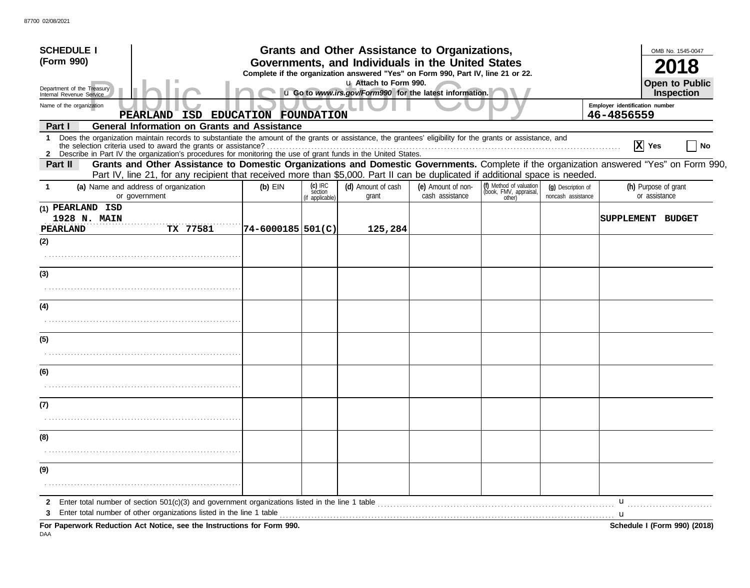| <b>SCHEDULE I</b><br>(Form 990)                                                                                                                                                                                                                                                                                                                       |                                                                                                                                       |                                        | Grants and Other Assistance to Organizations,                                    |                                       |                                                             |                                          |                                              | OMB No. 1545-0047                     |  |
|-------------------------------------------------------------------------------------------------------------------------------------------------------------------------------------------------------------------------------------------------------------------------------------------------------------------------------------------------------|---------------------------------------------------------------------------------------------------------------------------------------|----------------------------------------|----------------------------------------------------------------------------------|---------------------------------------|-------------------------------------------------------------|------------------------------------------|----------------------------------------------|---------------------------------------|--|
|                                                                                                                                                                                                                                                                                                                                                       | Governments, and Individuals in the United States<br>Complete if the organization answered "Yes" on Form 990, Part IV, line 21 or 22. |                                        |                                                                                  |                                       |                                                             |                                          |                                              |                                       |  |
| Department of the Treasury<br>Internal Revenue Service                                                                                                                                                                                                                                                                                                |                                                                                                                                       |                                        | u Attach to Form 990.<br>u Go to www.irs.gov/Form990 for the latest information. |                                       |                                                             |                                          |                                              | <b>Open to Public</b><br>Inspection   |  |
| Name of the organization<br>PEARLAND ISD                                                                                                                                                                                                                                                                                                              | EDUCATION FOUNDATION                                                                                                                  |                                        |                                                                                  |                                       |                                                             |                                          | Employer identification number<br>46-4856559 |                                       |  |
| <b>General Information on Grants and Assistance</b><br>Part I                                                                                                                                                                                                                                                                                         |                                                                                                                                       |                                        |                                                                                  |                                       |                                                             |                                          |                                              |                                       |  |
| Does the organization maintain records to substantiate the amount of the grants or assistance, the grantees' eligibility for the grants or assistance, and<br>1.<br>the selection criteria used to award the grants or assistance?<br>2 Describe in Part IV the organization's procedures for monitoring the use of grant funds in the United States. |                                                                                                                                       |                                        |                                                                                  |                                       |                                                             |                                          |                                              | $ \mathbf{X} $ Yes<br>No              |  |
| Grants and Other Assistance to Domestic Organizations and Domestic Governments. Complete if the organization answered "Yes" on Form 990,<br>Part II<br>Part IV, line 21, for any recipient that received more than \$5,000. Part II can be duplicated if additional space is needed.                                                                  |                                                                                                                                       |                                        |                                                                                  |                                       |                                                             |                                          |                                              |                                       |  |
| (a) Name and address of organization<br>-1<br>or government                                                                                                                                                                                                                                                                                           | $(b)$ EIN                                                                                                                             | $(c)$ IRC<br>section<br>if applicable) | (d) Amount of cash<br>grant                                                      | (e) Amount of non-<br>cash assistance | (f) Method of valuation<br>(book, FMV, appraisal,<br>other) | (q) Description of<br>noncash assistance |                                              | (h) Purpose of grant<br>or assistance |  |
| (1) PEARLAND ISD<br>1928 N. MAIN                                                                                                                                                                                                                                                                                                                      |                                                                                                                                       |                                        |                                                                                  |                                       |                                                             |                                          | SUPPLEMENT                                   | BUDGET                                |  |
| TX 77581<br>PEARLAND                                                                                                                                                                                                                                                                                                                                  | 74-6000185 501(C)                                                                                                                     |                                        | 125,284                                                                          |                                       |                                                             |                                          |                                              |                                       |  |
| (2)                                                                                                                                                                                                                                                                                                                                                   |                                                                                                                                       |                                        |                                                                                  |                                       |                                                             |                                          |                                              |                                       |  |
| (3)                                                                                                                                                                                                                                                                                                                                                   |                                                                                                                                       |                                        |                                                                                  |                                       |                                                             |                                          |                                              |                                       |  |
|                                                                                                                                                                                                                                                                                                                                                       |                                                                                                                                       |                                        |                                                                                  |                                       |                                                             |                                          |                                              |                                       |  |
| (4)                                                                                                                                                                                                                                                                                                                                                   |                                                                                                                                       |                                        |                                                                                  |                                       |                                                             |                                          |                                              |                                       |  |
|                                                                                                                                                                                                                                                                                                                                                       |                                                                                                                                       |                                        |                                                                                  |                                       |                                                             |                                          |                                              |                                       |  |
| (5)                                                                                                                                                                                                                                                                                                                                                   |                                                                                                                                       |                                        |                                                                                  |                                       |                                                             |                                          |                                              |                                       |  |
|                                                                                                                                                                                                                                                                                                                                                       |                                                                                                                                       |                                        |                                                                                  |                                       |                                                             |                                          |                                              |                                       |  |
| (6)                                                                                                                                                                                                                                                                                                                                                   |                                                                                                                                       |                                        |                                                                                  |                                       |                                                             |                                          |                                              |                                       |  |
|                                                                                                                                                                                                                                                                                                                                                       |                                                                                                                                       |                                        |                                                                                  |                                       |                                                             |                                          |                                              |                                       |  |
| (7)                                                                                                                                                                                                                                                                                                                                                   |                                                                                                                                       |                                        |                                                                                  |                                       |                                                             |                                          |                                              |                                       |  |
|                                                                                                                                                                                                                                                                                                                                                       |                                                                                                                                       |                                        |                                                                                  |                                       |                                                             |                                          |                                              |                                       |  |
| (8)                                                                                                                                                                                                                                                                                                                                                   |                                                                                                                                       |                                        |                                                                                  |                                       |                                                             |                                          |                                              |                                       |  |
|                                                                                                                                                                                                                                                                                                                                                       |                                                                                                                                       |                                        |                                                                                  |                                       |                                                             |                                          |                                              |                                       |  |
| (9)                                                                                                                                                                                                                                                                                                                                                   |                                                                                                                                       |                                        |                                                                                  |                                       |                                                             |                                          |                                              |                                       |  |
|                                                                                                                                                                                                                                                                                                                                                       |                                                                                                                                       |                                        |                                                                                  |                                       |                                                             |                                          |                                              |                                       |  |
| Enter total number of section $501(c)(3)$ and government organizations listed in the line 1 table<br>2<br>Enter total number of other organizations listed in the line 1 table                                                                                                                                                                        |                                                                                                                                       |                                        |                                                                                  |                                       |                                                             |                                          | u<br>u                                       |                                       |  |
| For Paperwork Reduction Act Notice, see the Instructions for Form 990.                                                                                                                                                                                                                                                                                |                                                                                                                                       |                                        |                                                                                  |                                       |                                                             |                                          |                                              | Schedule I (Form 990) (2018)          |  |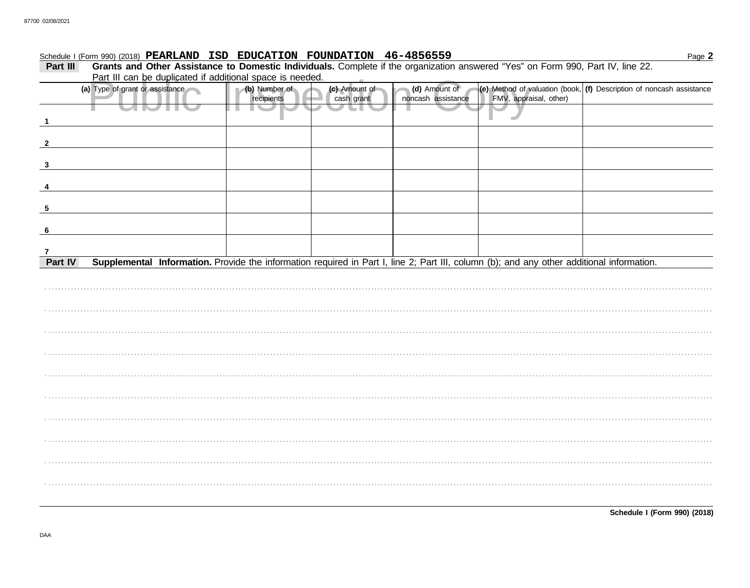## Schedule I (Form 990) (2018) PEARLAND ISD EDUCATION FOUNDATION 46-4856559

| Part III     | Grants and Other Assistance to Domestic Individuals. Complete if the organization answered "Yes" on Form 990, Part IV, line 22.           |                             |                             |                                     |                        |                                                                      |  |  |
|--------------|-------------------------------------------------------------------------------------------------------------------------------------------|-----------------------------|-----------------------------|-------------------------------------|------------------------|----------------------------------------------------------------------|--|--|
|              | Part III can be duplicated if additional space is needed.                                                                                 |                             |                             |                                     |                        |                                                                      |  |  |
|              | (a) Type of grant or assistance                                                                                                           | (b) Number of<br>recipients | (c) Amount of<br>cash grant | (d) Amount of<br>noncash assistance | FMV, appraisal, other) | (e) Method of valuation (book, (f) Description of noncash assistance |  |  |
|              |                                                                                                                                           |                             |                             |                                     |                        |                                                                      |  |  |
| -1           |                                                                                                                                           |                             |                             |                                     |                        |                                                                      |  |  |
| $\mathbf{2}$ |                                                                                                                                           |                             |                             |                                     |                        |                                                                      |  |  |
| 3            |                                                                                                                                           |                             |                             |                                     |                        |                                                                      |  |  |
|              |                                                                                                                                           |                             |                             |                                     |                        |                                                                      |  |  |
| 5            |                                                                                                                                           |                             |                             |                                     |                        |                                                                      |  |  |
| -6           |                                                                                                                                           |                             |                             |                                     |                        |                                                                      |  |  |
|              |                                                                                                                                           |                             |                             |                                     |                        |                                                                      |  |  |
| Part IV      | Supplemental Information. Provide the information required in Part I, line 2; Part III, column (b); and any other additional information. |                             |                             |                                     |                        |                                                                      |  |  |
|              |                                                                                                                                           |                             |                             |                                     |                        |                                                                      |  |  |
|              |                                                                                                                                           |                             |                             |                                     |                        |                                                                      |  |  |
|              |                                                                                                                                           |                             |                             |                                     |                        |                                                                      |  |  |
|              |                                                                                                                                           |                             |                             |                                     |                        |                                                                      |  |  |
|              |                                                                                                                                           |                             |                             |                                     |                        |                                                                      |  |  |
|              |                                                                                                                                           |                             |                             |                                     |                        |                                                                      |  |  |
|              |                                                                                                                                           |                             |                             |                                     |                        |                                                                      |  |  |
|              |                                                                                                                                           |                             |                             |                                     |                        |                                                                      |  |  |
|              |                                                                                                                                           |                             |                             |                                     |                        |                                                                      |  |  |
|              |                                                                                                                                           |                             |                             |                                     |                        |                                                                      |  |  |
|              |                                                                                                                                           |                             |                             |                                     |                        |                                                                      |  |  |
|              |                                                                                                                                           |                             |                             |                                     |                        |                                                                      |  |  |
|              |                                                                                                                                           |                             |                             |                                     |                        |                                                                      |  |  |
|              |                                                                                                                                           |                             |                             |                                     |                        |                                                                      |  |  |
|              |                                                                                                                                           |                             |                             |                                     |                        |                                                                      |  |  |
|              |                                                                                                                                           |                             |                             |                                     |                        |                                                                      |  |  |
|              |                                                                                                                                           |                             |                             |                                     |                        |                                                                      |  |  |
|              |                                                                                                                                           |                             |                             |                                     |                        |                                                                      |  |  |

Page 2